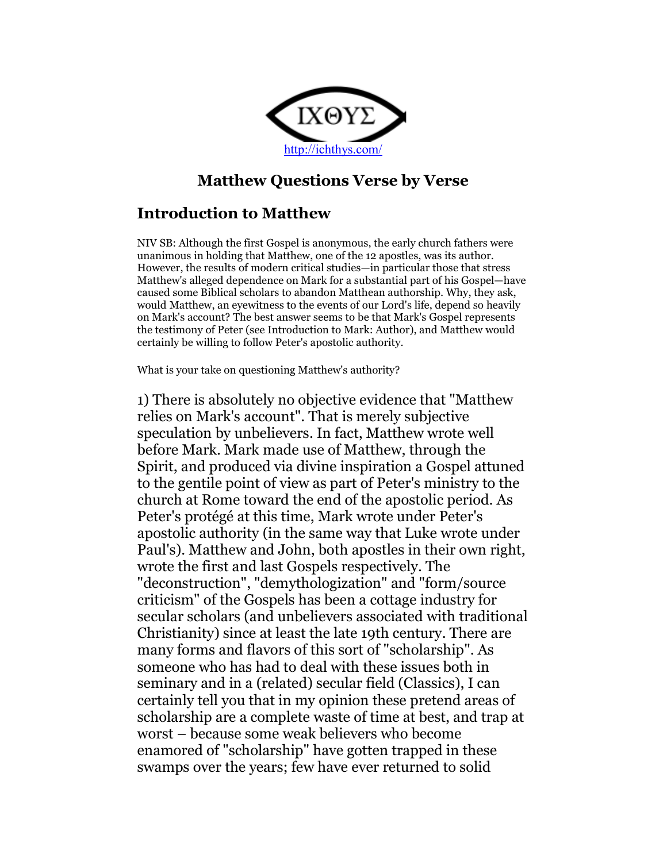

# Matthew Questions Verse by Verse

# Introduction to Matthew

NIV SB: Although the first Gospel is anonymous, the early church fathers were unanimous in holding that Matthew, one of the 12 apostles, was its author. However, the results of modern critical studies—in particular those that stress Matthew's alleged dependence on Mark for a substantial part of his Gospel—have caused some Biblical scholars to abandon Matthean authorship. Why, they ask, would Matthew, an eyewitness to the events of our Lord's life, depend so heavily on Mark's account? The best answer seems to be that Mark's Gospel represents the testimony of Peter (see Introduction to Mark: Author), and Matthew would certainly be willing to follow Peter's apostolic authority.

What is your take on questioning Matthew's authority?

1) There is absolutely no objective evidence that "Matthew relies on Mark's account". That is merely subjective speculation by unbelievers. In fact, Matthew wrote well before Mark. Mark made use of Matthew, through the Spirit, and produced via divine inspiration a Gospel attuned to the gentile point of view as part of Peter's ministry to the church at Rome toward the end of the apostolic period. As Peter's protégé at this time, Mark wrote under Peter's apostolic authority (in the same way that Luke wrote under Paul's). Matthew and John, both apostles in their own right, wrote the first and last Gospels respectively. The "deconstruction", "demythologization" and "form/source criticism" of the Gospels has been a cottage industry for secular scholars (and unbelievers associated with traditional Christianity) since at least the late 19th century. There are many forms and flavors of this sort of "scholarship". As someone who has had to deal with these issues both in seminary and in a (related) secular field (Classics), I can certainly tell you that in my opinion these pretend areas of scholarship are a complete waste of time at best, and trap at worst – because some weak believers who become enamored of "scholarship" have gotten trapped in these swamps over the years; few have ever returned to solid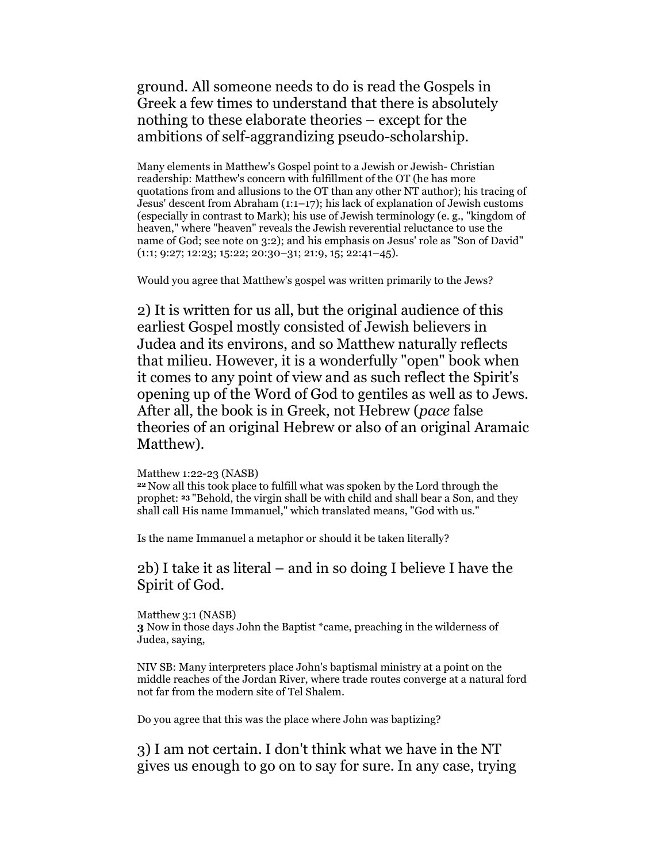ground. All someone needs to do is read the Gospels in Greek a few times to understand that there is absolutely nothing to these elaborate theories – except for the ambitions of self-aggrandizing pseudo-scholarship.

Many elements in Matthew's Gospel point to a Jewish or Jewish- Christian readership: Matthew's concern with fulfillment of the OT (he has more quotations from and allusions to the OT than any other NT author); his tracing of Jesus' descent from Abraham (1:1–17); his lack of explanation of Jewish customs (especially in contrast to Mark); his use of Jewish terminology (e. g., "kingdom of heaven," where "heaven" reveals the Jewish reverential reluctance to use the name of God; see note on 3:2); and his emphasis on Jesus' role as "Son of David" (1:1; 9:27; 12:23; 15:22; 20:30–31; 21:9, 15; 22:41–45).

Would you agree that Matthew's gospel was written primarily to the Jews?

2) It is written for us all, but the original audience of this earliest Gospel mostly consisted of Jewish believers in Judea and its environs, and so Matthew naturally reflects that milieu. However, it is a wonderfully "open" book when it comes to any point of view and as such reflect the Spirit's opening up of the Word of God to gentiles as well as to Jews. After all, the book is in Greek, not Hebrew (pace false theories of an original Hebrew or also of an original Aramaic Matthew).

### Matthew 1:22-23 (NASB)

<sup>22</sup>Now all this took place to fulfill what was spoken by the Lord through the prophet: 23 "Behold, the virgin shall be with child and shall bear a Son, and they shall call His name Immanuel," which translated means, "God with us."

Is the name Immanuel a metaphor or should it be taken literally?

## 2b) I take it as literal – and in so doing I believe I have the Spirit of God.

Matthew 3:1 (NASB) 3 Now in those days John the Baptist \*came, preaching in the wilderness of Judea, saying,

NIV SB: Many interpreters place John's baptismal ministry at a point on the middle reaches of the Jordan River, where trade routes converge at a natural ford not far from the modern site of Tel Shalem.

Do you agree that this was the place where John was baptizing?

3) I am not certain. I don't think what we have in the NT gives us enough to go on to say for sure. In any case, trying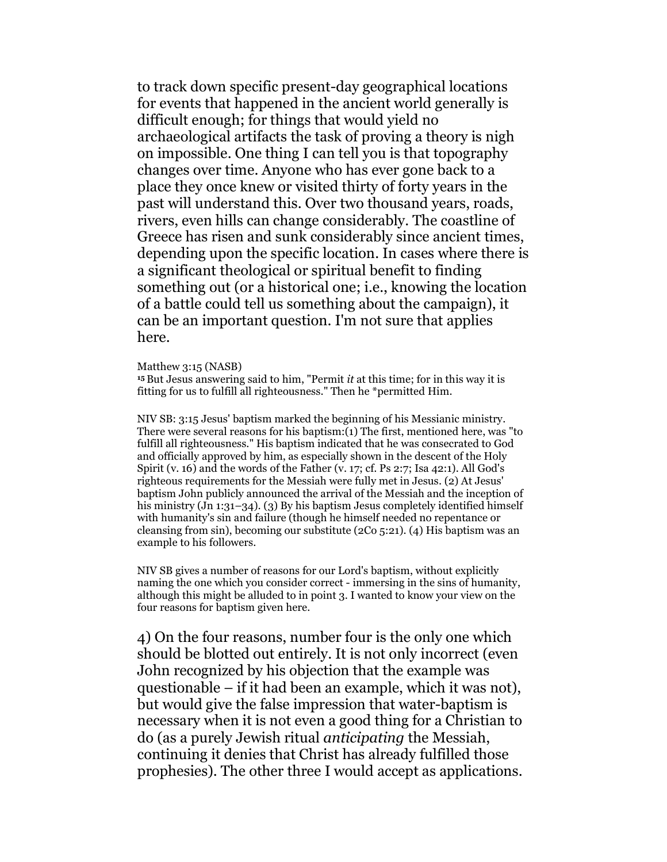to track down specific present-day geographical locations for events that happened in the ancient world generally is difficult enough; for things that would yield no archaeological artifacts the task of proving a theory is nigh on impossible. One thing I can tell you is that topography changes over time. Anyone who has ever gone back to a place they once knew or visited thirty of forty years in the past will understand this. Over two thousand years, roads, rivers, even hills can change considerably. The coastline of Greece has risen and sunk considerably since ancient times, depending upon the specific location. In cases where there is a significant theological or spiritual benefit to finding something out (or a historical one; i.e., knowing the location of a battle could tell us something about the campaign), it can be an important question. I'm not sure that applies here.

Matthew 3:15 (NASB)

 $15$  But Jesus answering said to him, "Permit *it* at this time; for in this way it is fitting for us to fulfill all righteousness." Then he \*permitted Him.

NIV SB: 3:15 Jesus' baptism marked the beginning of his Messianic ministry. There were several reasons for his baptism:(1) The first, mentioned here, was "to fulfill all righteousness." His baptism indicated that he was consecrated to God and officially approved by him, as especially shown in the descent of the Holy Spirit (v. 16) and the words of the Father (v. 17; cf. Ps 2:7; Isa 42:1). All God's righteous requirements for the Messiah were fully met in Jesus. (2) At Jesus' baptism John publicly announced the arrival of the Messiah and the inception of his ministry (Jn 1:31–34). (3) By his baptism Jesus completely identified himself with humanity's sin and failure (though he himself needed no repentance or cleansing from sin), becoming our substitute (2Co 5:21). (4) His baptism was an example to his followers.

NIV SB gives a number of reasons for our Lord's baptism, without explicitly naming the one which you consider correct - immersing in the sins of humanity, although this might be alluded to in point 3. I wanted to know your view on the four reasons for baptism given here.

4) On the four reasons, number four is the only one which should be blotted out entirely. It is not only incorrect (even John recognized by his objection that the example was questionable – if it had been an example, which it was not), but would give the false impression that water-baptism is necessary when it is not even a good thing for a Christian to do (as a purely Jewish ritual anticipating the Messiah, continuing it denies that Christ has already fulfilled those prophesies). The other three I would accept as applications.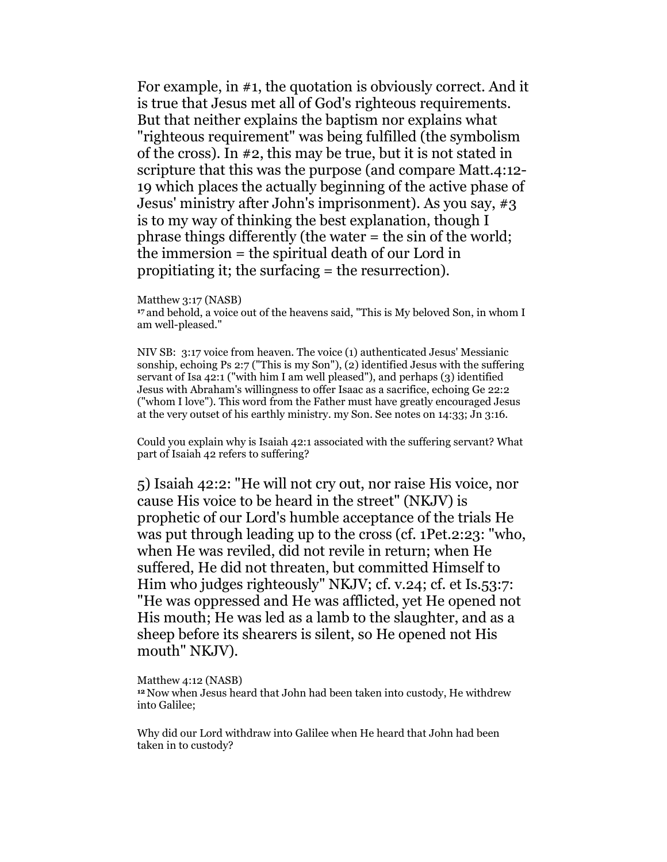For example, in #1, the quotation is obviously correct. And it is true that Jesus met all of God's righteous requirements. But that neither explains the baptism nor explains what "righteous requirement" was being fulfilled (the symbolism of the cross). In #2, this may be true, but it is not stated in scripture that this was the purpose (and compare Matt.4:12- 19 which places the actually beginning of the active phase of Jesus' ministry after John's imprisonment). As you say, #3 is to my way of thinking the best explanation, though I phrase things differently (the water = the sin of the world; the immersion = the spiritual death of our Lord in propitiating it; the surfacing = the resurrection).

Matthew 3:17 (NASB)

<sup>17</sup>and behold, a voice out of the heavens said, "This is My beloved Son, in whom I am well-pleased."

NIV SB: 3:17 voice from heaven. The voice (1) authenticated Jesus' Messianic sonship, echoing Ps 2:7 ("This is my Son"), (2) identified Jesus with the suffering servant of Isa 42:1 ("with him I am well pleased"), and perhaps (3) identified Jesus with Abraham's willingness to offer Isaac as a sacrifice, echoing Ge 22:2 ("whom I love"). This word from the Father must have greatly encouraged Jesus at the very outset of his earthly ministry. my Son. See notes on 14:33; Jn 3:16.

Could you explain why is Isaiah 42:1 associated with the suffering servant? What part of Isaiah 42 refers to suffering?

5) Isaiah 42:2: "He will not cry out, nor raise His voice, nor cause His voice to be heard in the street" (NKJV) is prophetic of our Lord's humble acceptance of the trials He was put through leading up to the cross (cf. 1Pet.2:23: "who, when He was reviled, did not revile in return; when He suffered, He did not threaten, but committed Himself to Him who judges righteously" NKJV; cf. v.24; cf. et Is.53:7: "He was oppressed and He was afflicted, yet He opened not His mouth; He was led as a lamb to the slaughter, and as a sheep before its shearers is silent, so He opened not His mouth" NKJV).

#### Matthew 4:12 (NASB)

<sup>12</sup>Now when Jesus heard that John had been taken into custody, He withdrew into Galilee;

Why did our Lord withdraw into Galilee when He heard that John had been taken in to custody?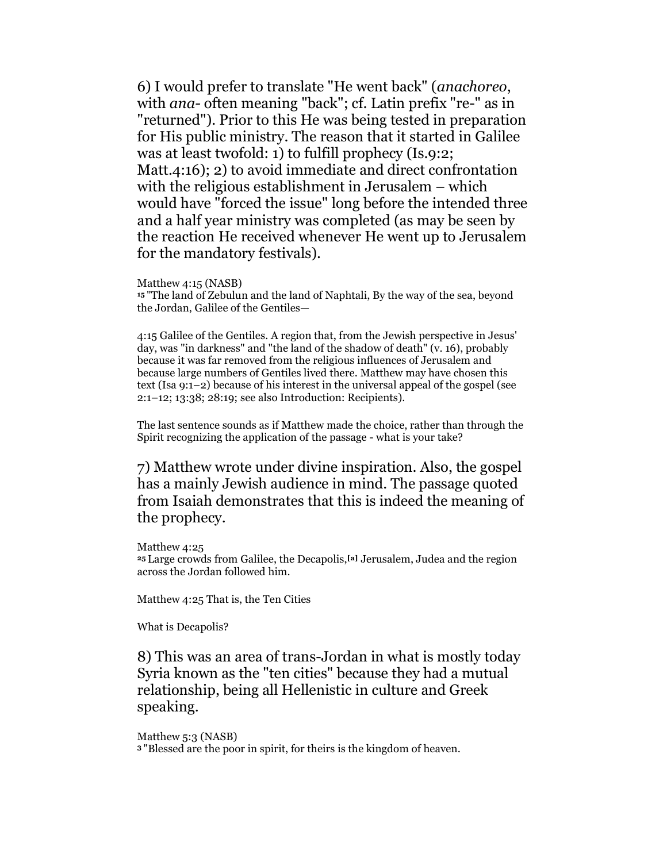6) I would prefer to translate "He went back" (anachoreo, with ana- often meaning "back"; cf. Latin prefix "re-" as in "returned"). Prior to this He was being tested in preparation for His public ministry. The reason that it started in Galilee was at least twofold: 1) to fulfill prophecy (Is.9:2; Matt.4:16); 2) to avoid immediate and direct confrontation with the religious establishment in Jerusalem – which would have "forced the issue" long before the intended three and a half year ministry was completed (as may be seen by the reaction He received whenever He went up to Jerusalem for the mandatory festivals).

#### Matthew 4:15 (NASB)

<sup>15</sup>"The land of Zebulun and the land of Naphtali, By the way of the sea, beyond the Jordan, Galilee of the Gentiles—

4:15 Galilee of the Gentiles. A region that, from the Jewish perspective in Jesus' day, was "in darkness" and "the land of the shadow of death" (v. 16), probably because it was far removed from the religious influences of Jerusalem and because large numbers of Gentiles lived there. Matthew may have chosen this text (Isa 9:1–2) because of his interest in the universal appeal of the gospel (see 2:1–12; 13:38; 28:19; see also Introduction: Recipients).

The last sentence sounds as if Matthew made the choice, rather than through the Spirit recognizing the application of the passage - what is your take?

7) Matthew wrote under divine inspiration. Also, the gospel has a mainly Jewish audience in mind. The passage quoted from Isaiah demonstrates that this is indeed the meaning of the prophecy.

Matthew 4:25

<sup>25</sup>Large crowds from Galilee, the Decapolis,[a] Jerusalem, Judea and the region across the Jordan followed him.

Matthew 4:25 That is, the Ten Cities

What is Decapolis?

8) This was an area of trans-Jordan in what is mostly today Syria known as the "ten cities" because they had a mutual relationship, being all Hellenistic in culture and Greek speaking.

Matthew 5:3 (NASB)

3 "Blessed are the poor in spirit, for theirs is the kingdom of heaven.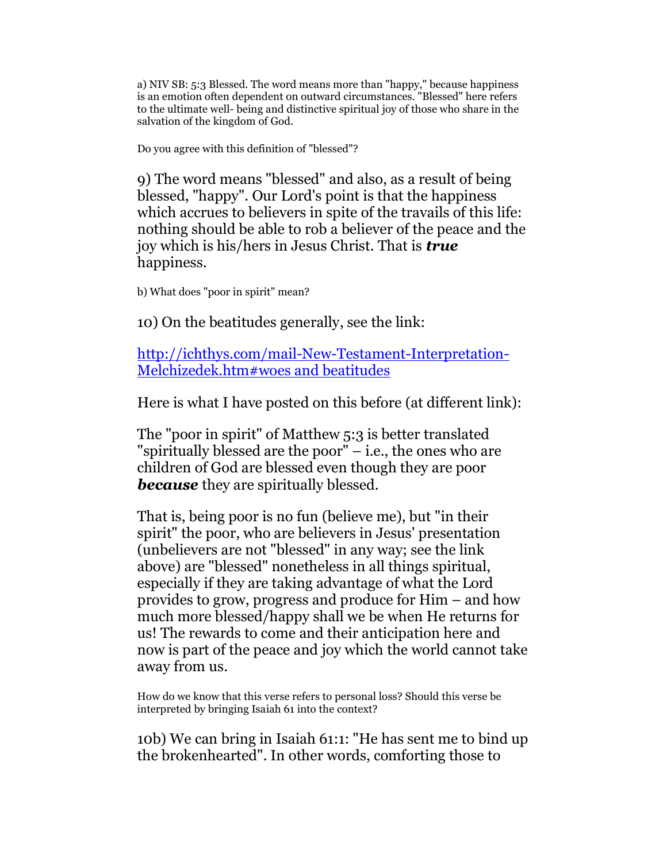a) NIV SB: 5:3 Blessed. The word means more than "happy," because happiness is an emotion often dependent on outward circumstances. "Blessed" here refers to the ultimate well- being and distinctive spiritual joy of those who share in the salvation of the kingdom of God.

Do you agree with this definition of "blessed"?

9) The word means "blessed" and also, as a result of being blessed, "happy". Our Lord's point is that the happiness which accrues to believers in spite of the travails of this life: nothing should be able to rob a believer of the peace and the joy which is his/hers in Jesus Christ. That is **true** happiness.

b) What does "poor in spirit" mean?

10) On the beatitudes generally, see the link:

http://ichthys.com/mail-New-Testament-Interpretation-Melchizedek.htm#woes and beatitudes

Here is what I have posted on this before (at different link):

The "poor in spirit" of Matthew 5:3 is better translated "spiritually blessed are the poor" – i.e., the ones who are children of God are blessed even though they are poor **because** they are spiritually blessed.

That is, being poor is no fun (believe me), but "in their spirit" the poor, who are believers in Jesus' presentation (unbelievers are not "blessed" in any way; see the link above) are "blessed" nonetheless in all things spiritual, especially if they are taking advantage of what the Lord provides to grow, progress and produce for Him – and how much more blessed/happy shall we be when He returns for us! The rewards to come and their anticipation here and now is part of the peace and joy which the world cannot take away from us.

How do we know that this verse refers to personal loss? Should this verse be interpreted by bringing Isaiah 61 into the context?

10b) We can bring in Isaiah 61:1: "He has sent me to bind up the brokenhearted". In other words, comforting those to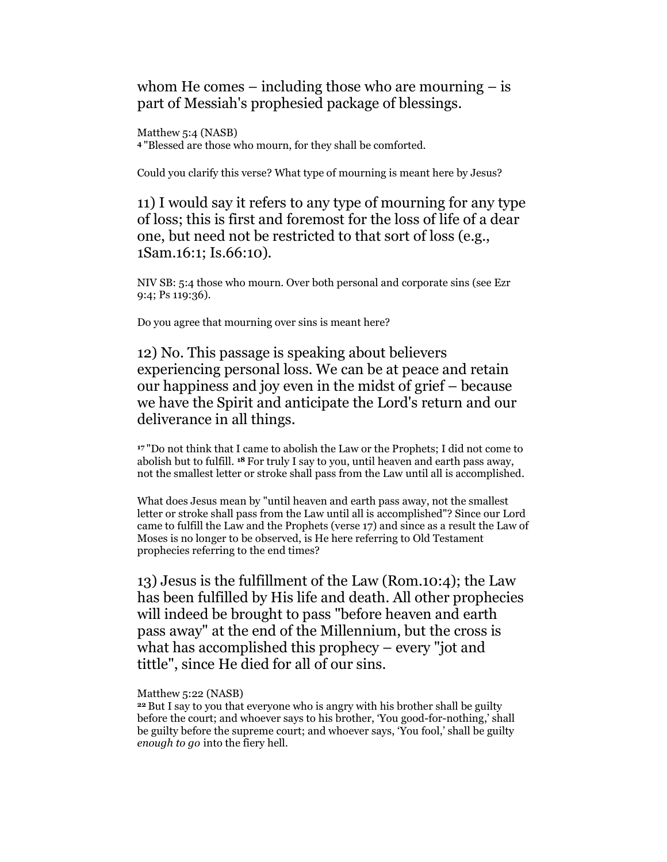whom He comes  $-$  including those who are mourning  $-$  is part of Messiah's prophesied package of blessings.

Matthew 5:4 (NASB) <sup>4</sup>"Blessed are those who mourn, for they shall be comforted.

Could you clarify this verse? What type of mourning is meant here by Jesus?

11) I would say it refers to any type of mourning for any type of loss; this is first and foremost for the loss of life of a dear one, but need not be restricted to that sort of loss (e.g., 1Sam.16:1; Is.66:10).

NIV SB: 5:4 those who mourn. Over both personal and corporate sins (see Ezr 9:4; Ps 119:36).

Do you agree that mourning over sins is meant here?

12) No. This passage is speaking about believers experiencing personal loss. We can be at peace and retain our happiness and joy even in the midst of grief – because we have the Spirit and anticipate the Lord's return and our deliverance in all things.

<sup>17</sup>"Do not think that I came to abolish the Law or the Prophets; I did not come to abolish but to fulfill. 18 For truly I say to you, until heaven and earth pass away, not the smallest letter or stroke shall pass from the Law until all is accomplished.

What does Jesus mean by "until heaven and earth pass away, not the smallest letter or stroke shall pass from the Law until all is accomplished"? Since our Lord came to fulfill the Law and the Prophets (verse 17) and since as a result the Law of Moses is no longer to be observed, is He here referring to Old Testament prophecies referring to the end times?

13) Jesus is the fulfillment of the Law (Rom.10:4); the Law has been fulfilled by His life and death. All other prophecies will indeed be brought to pass "before heaven and earth pass away" at the end of the Millennium, but the cross is what has accomplished this prophecy – every "jot and tittle", since He died for all of our sins.

## Matthew 5:22 (NASB)

<sup>22</sup>But I say to you that everyone who is angry with his brother shall be guilty before the court; and whoever says to his brother, 'You good-for-nothing,' shall be guilty before the supreme court; and whoever says, 'You fool,' shall be guilty enough to go into the fiery hell.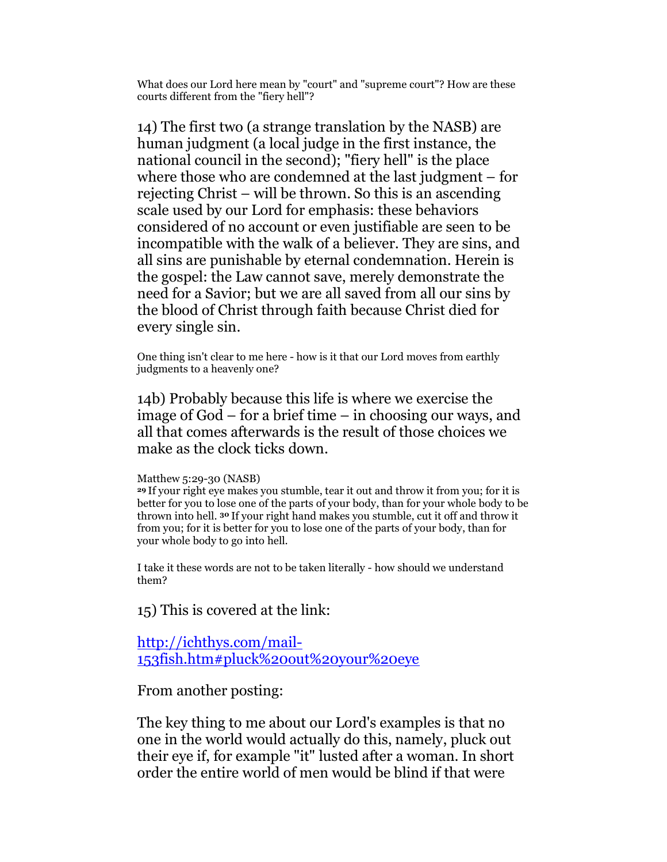What does our Lord here mean by "court" and "supreme court"? How are these courts different from the "fiery hell"?

14) The first two (a strange translation by the NASB) are human judgment (a local judge in the first instance, the national council in the second); "fiery hell" is the place where those who are condemned at the last judgment – for rejecting Christ – will be thrown. So this is an ascending scale used by our Lord for emphasis: these behaviors considered of no account or even justifiable are seen to be incompatible with the walk of a believer. They are sins, and all sins are punishable by eternal condemnation. Herein is the gospel: the Law cannot save, merely demonstrate the need for a Savior; but we are all saved from all our sins by the blood of Christ through faith because Christ died for every single sin.

One thing isn't clear to me here - how is it that our Lord moves from earthly judgments to a heavenly one?

14b) Probably because this life is where we exercise the image of God – for a brief time – in choosing our ways, and all that comes afterwards is the result of those choices we make as the clock ticks down.

## Matthew 5:29-30 (NASB)

<sup>29</sup>If your right eye makes you stumble, tear it out and throw it from you; for it is better for you to lose one of the parts of your body, than for your whole body to be thrown into hell. 30 If your right hand makes you stumble, cut it off and throw it from you; for it is better for you to lose one of the parts of your body, than for your whole body to go into hell.

I take it these words are not to be taken literally - how should we understand them?

15) This is covered at the link:

http://ichthys.com/mail-153fish.htm#pluck%20out%20your%20eye

From another posting:

The key thing to me about our Lord's examples is that no one in the world would actually do this, namely, pluck out their eye if, for example "it" lusted after a woman. In short order the entire world of men would be blind if that were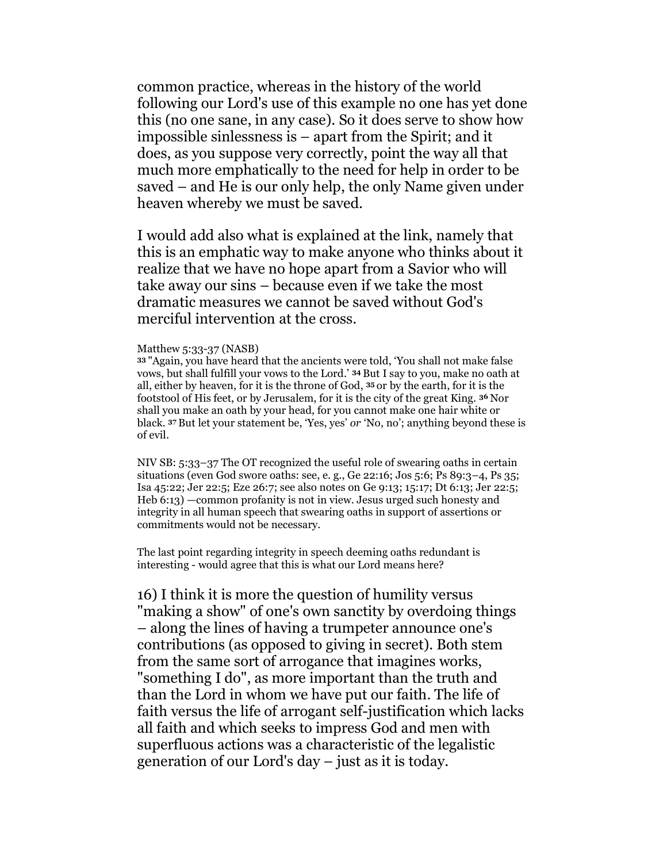common practice, whereas in the history of the world following our Lord's use of this example no one has yet done this (no one sane, in any case). So it does serve to show how impossible sinlessness is – apart from the Spirit; and it does, as you suppose very correctly, point the way all that much more emphatically to the need for help in order to be saved – and He is our only help, the only Name given under heaven whereby we must be saved.

I would add also what is explained at the link, namely that this is an emphatic way to make anyone who thinks about it realize that we have no hope apart from a Savior who will take away our sins – because even if we take the most dramatic measures we cannot be saved without God's merciful intervention at the cross.

#### Matthew 5:33-37 (NASB)

<sup>33</sup>"Again, you have heard that the ancients were told, 'You shall not make false vows, but shall fulfill your vows to the Lord.' 34 But I say to you, make no oath at all, either by heaven, for it is the throne of God, 35 or by the earth, for it is the footstool of His feet, or by Jerusalem, for it is the city of the great King. 36 Nor shall you make an oath by your head, for you cannot make one hair white or black. 37 But let your statement be, 'Yes, yes' or 'No, no'; anything beyond these is of evil.

NIV SB: 5:33–37 The OT recognized the useful role of swearing oaths in certain situations (even God swore oaths: see, e. g., Ge 22:16; Jos 5:6; Ps 89:3–4, Ps 35; Isa 45:22; Jer 22:5; Eze 26:7; see also notes on Ge 9:13; 15:17; Dt 6:13; Jer 22:5; Heb 6:13) —common profanity is not in view. Jesus urged such honesty and integrity in all human speech that swearing oaths in support of assertions or commitments would not be necessary.

The last point regarding integrity in speech deeming oaths redundant is interesting - would agree that this is what our Lord means here?

16) I think it is more the question of humility versus "making a show" of one's own sanctity by overdoing things – along the lines of having a trumpeter announce one's contributions (as opposed to giving in secret). Both stem from the same sort of arrogance that imagines works, "something I do", as more important than the truth and than the Lord in whom we have put our faith. The life of faith versus the life of arrogant self-justification which lacks all faith and which seeks to impress God and men with superfluous actions was a characteristic of the legalistic generation of our Lord's day – just as it is today.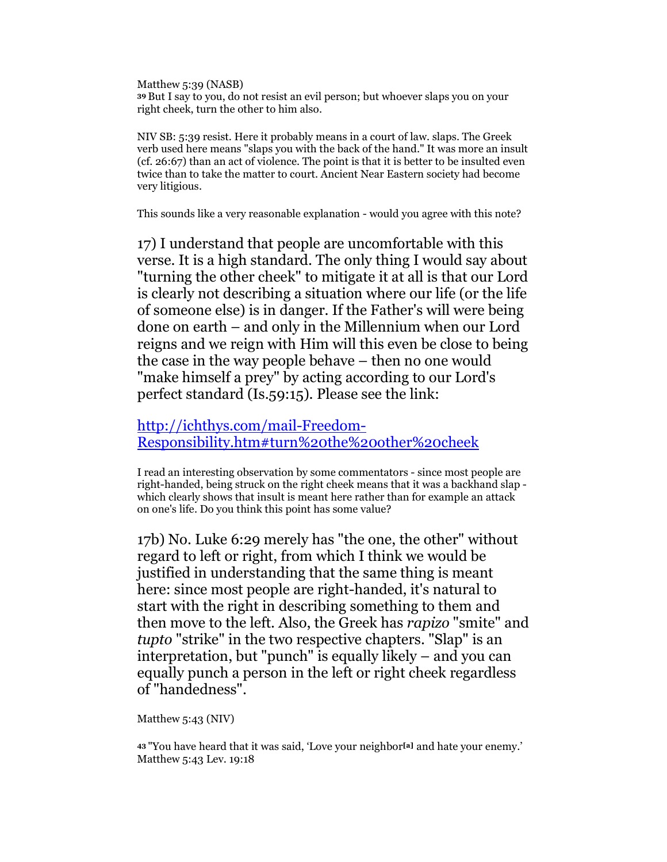Matthew 5:39 (NASB) <sup>39</sup>But I say to you, do not resist an evil person; but whoever slaps you on your right cheek, turn the other to him also.

NIV SB: 5:39 resist. Here it probably means in a court of law. slaps. The Greek verb used here means "slaps you with the back of the hand." It was more an insult (cf. 26:67) than an act of violence. The point is that it is better to be insulted even twice than to take the matter to court. Ancient Near Eastern society had become very litigious.

This sounds like a very reasonable explanation - would you agree with this note?

17) I understand that people are uncomfortable with this verse. It is a high standard. The only thing I would say about "turning the other cheek" to mitigate it at all is that our Lord is clearly not describing a situation where our life (or the life of someone else) is in danger. If the Father's will were being done on earth – and only in the Millennium when our Lord reigns and we reign with Him will this even be close to being the case in the way people behave – then no one would "make himself a prey" by acting according to our Lord's perfect standard (Is.59:15). Please see the link:

http://ichthys.com/mail-Freedom-Responsibility.htm#turn%20the%20other%20cheek

I read an interesting observation by some commentators - since most people are right-handed, being struck on the right cheek means that it was a backhand slap which clearly shows that insult is meant here rather than for example an attack on one's life. Do you think this point has some value?

17b) No. Luke 6:29 merely has "the one, the other" without regard to left or right, from which I think we would be justified in understanding that the same thing is meant here: since most people are right-handed, it's natural to start with the right in describing something to them and then move to the left. Also, the Greek has rapizo "smite" and tupto "strike" in the two respective chapters. "Slap" is an interpretation, but "punch" is equally likely – and you can equally punch a person in the left or right cheek regardless of "handedness".

Matthew 5:43 (NIV)

43 "You have heard that it was said, 'Love your neighbor<sup>[a]</sup> and hate your enemy.' Matthew 5:43 Lev. 19:18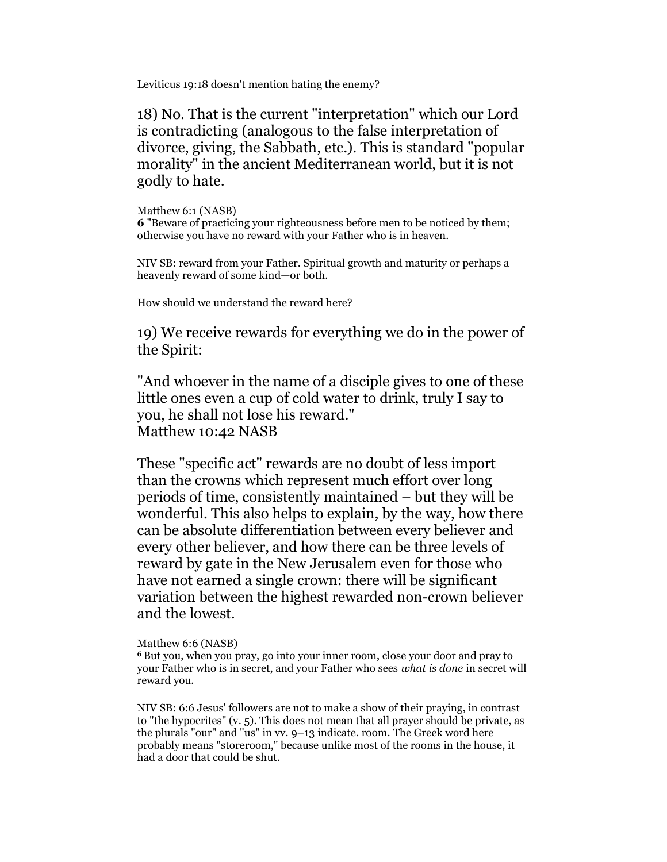Leviticus 19:18 doesn't mention hating the enemy?

18) No. That is the current "interpretation" which our Lord is contradicting (analogous to the false interpretation of divorce, giving, the Sabbath, etc.). This is standard "popular morality" in the ancient Mediterranean world, but it is not godly to hate.

Matthew 6:1 (NASB) 6 "Beware of practicing your righteousness before men to be noticed by them; otherwise you have no reward with your Father who is in heaven.

NIV SB: reward from your Father. Spiritual growth and maturity or perhaps a heavenly reward of some kind—or both.

How should we understand the reward here?

19) We receive rewards for everything we do in the power of the Spirit:

"And whoever in the name of a disciple gives to one of these little ones even a cup of cold water to drink, truly I say to you, he shall not lose his reward." Matthew 10:42 NASB

These "specific act" rewards are no doubt of less import than the crowns which represent much effort over long periods of time, consistently maintained – but they will be wonderful. This also helps to explain, by the way, how there can be absolute differentiation between every believer and every other believer, and how there can be three levels of reward by gate in the New Jerusalem even for those who have not earned a single crown: there will be significant variation between the highest rewarded non-crown believer and the lowest.

## Matthew 6:6 (NASB)

<sup>6</sup>But you, when you pray, go into your inner room, close your door and pray to your Father who is in secret, and your Father who sees what is done in secret will reward you.

NIV SB: 6:6 Jesus' followers are not to make a show of their praying, in contrast to "the hypocrites" (v. 5). This does not mean that all prayer should be private, as the plurals "our" and "us" in vv. 9–13 indicate. room. The Greek word here probably means "storeroom," because unlike most of the rooms in the house, it had a door that could be shut.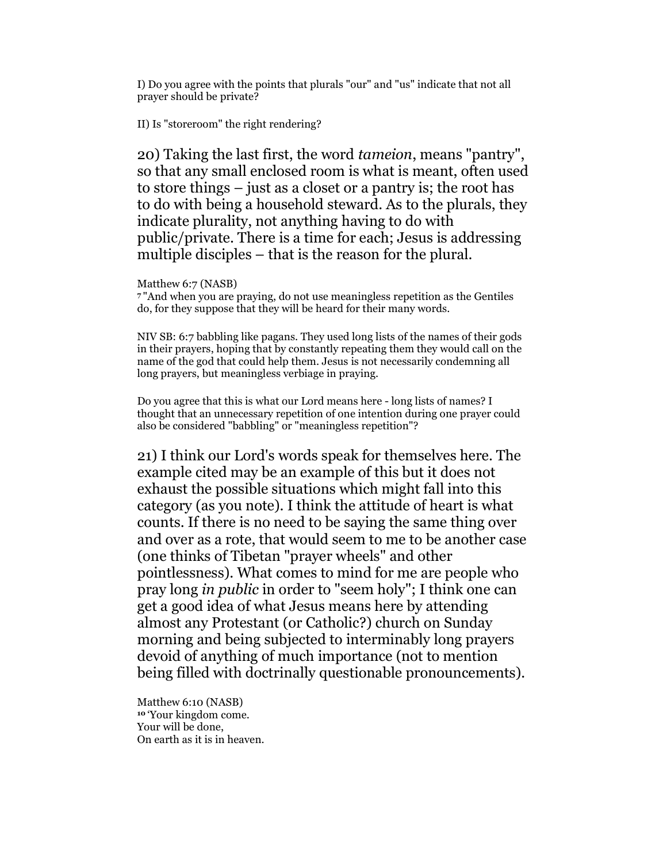I) Do you agree with the points that plurals "our" and "us" indicate that not all prayer should be private?

II) Is "storeroom" the right rendering?

20) Taking the last first, the word tameion, means "pantry", so that any small enclosed room is what is meant, often used to store things – just as a closet or a pantry is; the root has to do with being a household steward. As to the plurals, they indicate plurality, not anything having to do with public/private. There is a time for each; Jesus is addressing multiple disciples – that is the reason for the plural.

Matthew 6:7 (NASB)

<sup>7</sup>"And when you are praying, do not use meaningless repetition as the Gentiles do, for they suppose that they will be heard for their many words.

NIV SB: 6:7 babbling like pagans. They used long lists of the names of their gods in their prayers, hoping that by constantly repeating them they would call on the name of the god that could help them. Jesus is not necessarily condemning all long prayers, but meaningless verbiage in praying.

Do you agree that this is what our Lord means here - long lists of names? I thought that an unnecessary repetition of one intention during one prayer could also be considered "babbling" or "meaningless repetition"?

21) I think our Lord's words speak for themselves here. The example cited may be an example of this but it does not exhaust the possible situations which might fall into this category (as you note). I think the attitude of heart is what counts. If there is no need to be saying the same thing over and over as a rote, that would seem to me to be another case (one thinks of Tibetan "prayer wheels" and other pointlessness). What comes to mind for me are people who pray long in public in order to "seem holy"; I think one can get a good idea of what Jesus means here by attending almost any Protestant (or Catholic?) church on Sunday morning and being subjected to interminably long prayers devoid of anything of much importance (not to mention being filled with doctrinally questionable pronouncements).

Matthew 6:10 (NASB) <sup>10</sup>'Your kingdom come. Your will be done, On earth as it is in heaven.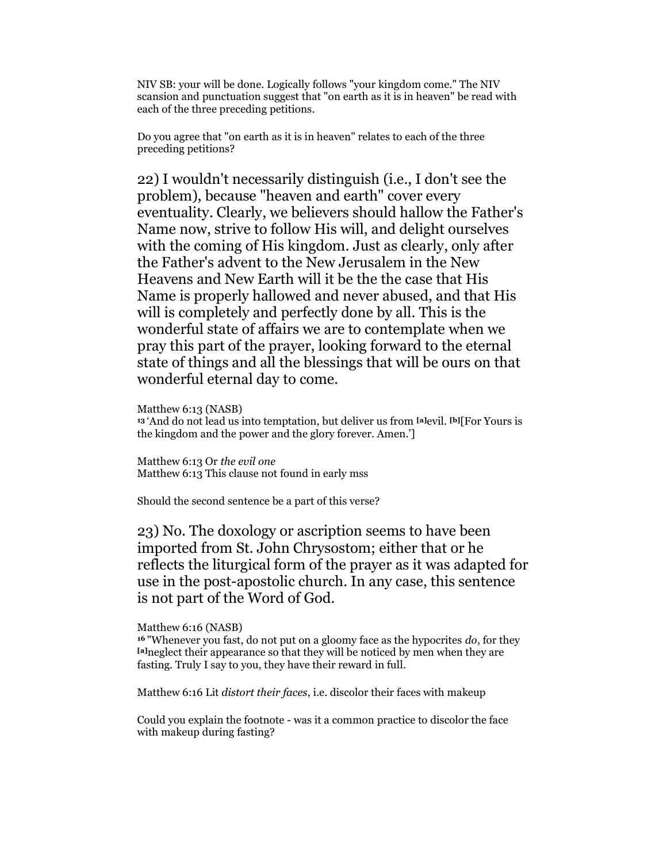NIV SB: your will be done. Logically follows "your kingdom come." The NIV scansion and punctuation suggest that "on earth as it is in heaven" be read with each of the three preceding petitions.

Do you agree that "on earth as it is in heaven" relates to each of the three preceding petitions?

22) I wouldn't necessarily distinguish (i.e., I don't see the problem), because "heaven and earth" cover every eventuality. Clearly, we believers should hallow the Father's Name now, strive to follow His will, and delight ourselves with the coming of His kingdom. Just as clearly, only after the Father's advent to the New Jerusalem in the New Heavens and New Earth will it be the the case that His Name is properly hallowed and never abused, and that His will is completely and perfectly done by all. This is the wonderful state of affairs we are to contemplate when we pray this part of the prayer, looking forward to the eternal state of things and all the blessings that will be ours on that wonderful eternal day to come.

Matthew 6:13 (NASB)

<sup>13</sup> 'And do not lead us into temptation, but deliver us from [a]evil. [b][For Yours is the kingdom and the power and the glory forever. Amen.']

Matthew 6:13 Or the evil one Matthew 6:13 This clause not found in early mss

Should the second sentence be a part of this verse?

23) No. The doxology or ascription seems to have been imported from St. John Chrysostom; either that or he reflects the liturgical form of the prayer as it was adapted for use in the post-apostolic church. In any case, this sentence is not part of the Word of God.

#### Matthew 6:16 (NASB)

 $16$  "Whenever you fast, do not put on a gloomy face as the hypocrites  $do$ , for they [a]neglect their appearance so that they will be noticed by men when they are fasting. Truly I say to you, they have their reward in full.

Matthew 6:16 Lit distort their faces, i.e. discolor their faces with makeup

Could you explain the footnote - was it a common practice to discolor the face with makeup during fasting?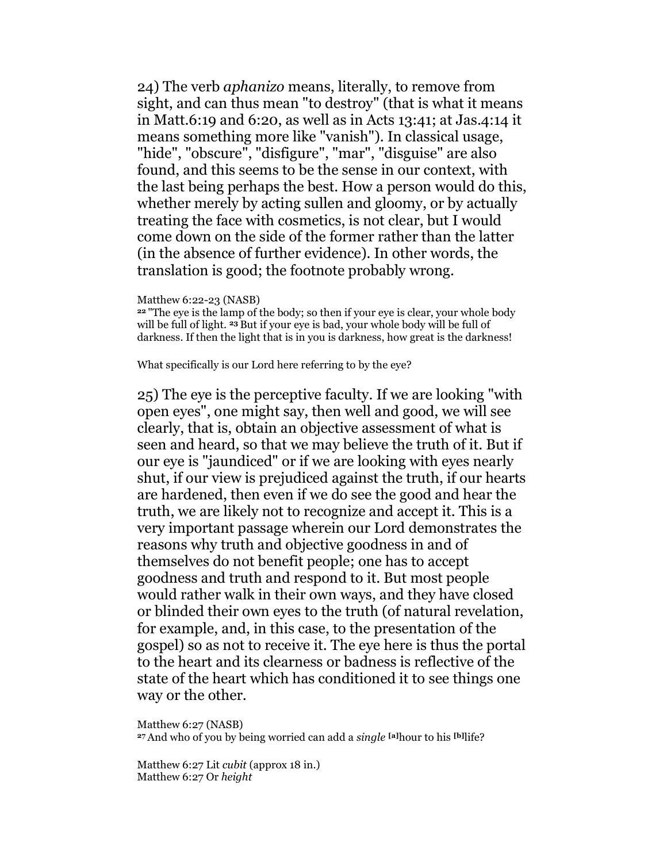24) The verb aphanizo means, literally, to remove from sight, and can thus mean "to destroy" (that is what it means in Matt.6:19 and 6:20, as well as in Acts 13:41; at Jas.4:14 it means something more like "vanish"). In classical usage, "hide", "obscure", "disfigure", "mar", "disguise" are also found, and this seems to be the sense in our context, with the last being perhaps the best. How a person would do this, whether merely by acting sullen and gloomy, or by actually treating the face with cosmetics, is not clear, but I would come down on the side of the former rather than the latter (in the absence of further evidence). In other words, the translation is good; the footnote probably wrong.

### Matthew 6:22-23 (NASB)

<sup>22</sup>"The eye is the lamp of the body; so then if your eye is clear, your whole body will be full of light. 23 But if your eye is bad, your whole body will be full of darkness. If then the light that is in you is darkness, how great is the darkness!

What specifically is our Lord here referring to by the eye?

25) The eye is the perceptive faculty. If we are looking "with open eyes", one might say, then well and good, we will see clearly, that is, obtain an objective assessment of what is seen and heard, so that we may believe the truth of it. But if our eye is "jaundiced" or if we are looking with eyes nearly shut, if our view is prejudiced against the truth, if our hearts are hardened, then even if we do see the good and hear the truth, we are likely not to recognize and accept it. This is a very important passage wherein our Lord demonstrates the reasons why truth and objective goodness in and of themselves do not benefit people; one has to accept goodness and truth and respond to it. But most people would rather walk in their own ways, and they have closed or blinded their own eyes to the truth (of natural revelation, for example, and, in this case, to the presentation of the gospel) so as not to receive it. The eye here is thus the portal to the heart and its clearness or badness is reflective of the state of the heart which has conditioned it to see things one way or the other.

Matthew 6:27 (NASB) 27 And who of you by being worried can add a single [a]hour to his [b]]ife?

Matthew 6:27 Lit cubit (approx 18 in.) Matthew 6:27 Or height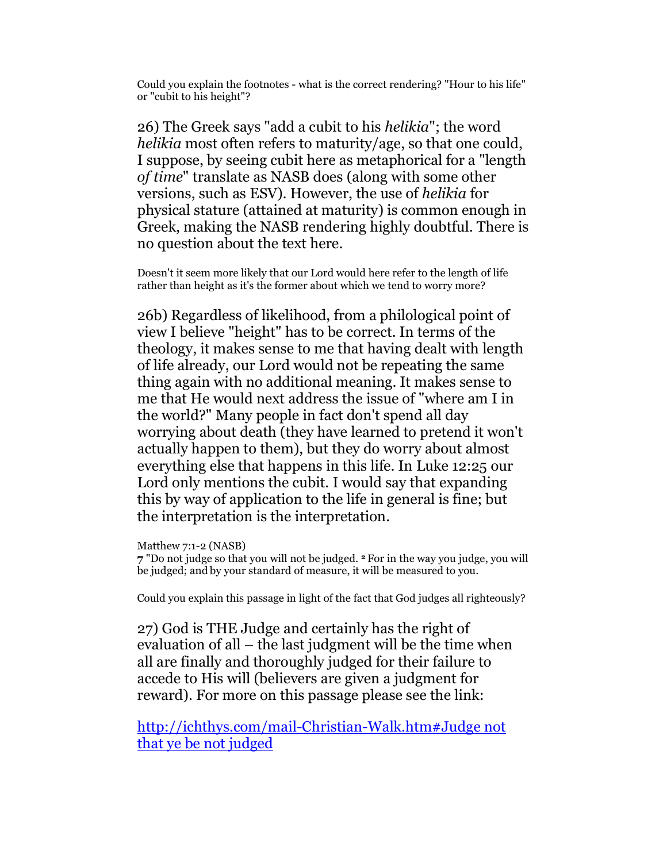Could you explain the footnotes - what is the correct rendering? "Hour to his life" or "cubit to his height"?

26) The Greek says "add a cubit to his helikia"; the word helikia most often refers to maturity/age, so that one could, I suppose, by seeing cubit here as metaphorical for a "length of time" translate as NASB does (along with some other versions, such as ESV). However, the use of helikia for physical stature (attained at maturity) is common enough in Greek, making the NASB rendering highly doubtful. There is no question about the text here.

Doesn't it seem more likely that our Lord would here refer to the length of life rather than height as it's the former about which we tend to worry more?

26b) Regardless of likelihood, from a philological point of view I believe "height" has to be correct. In terms of the theology, it makes sense to me that having dealt with length of life already, our Lord would not be repeating the same thing again with no additional meaning. It makes sense to me that He would next address the issue of "where am I in the world?" Many people in fact don't spend all day worrying about death (they have learned to pretend it won't actually happen to them), but they do worry about almost everything else that happens in this life. In Luke 12:25 our Lord only mentions the cubit. I would say that expanding this by way of application to the life in general is fine; but the interpretation is the interpretation.

Matthew 7:1-2 (NASB)

7 "Do not judge so that you will not be judged. 2 For in the way you judge, you will be judged; and by your standard of measure, it will be measured to you.

Could you explain this passage in light of the fact that God judges all righteously?

27) God is THE Judge and certainly has the right of evaluation of all – the last judgment will be the time when all are finally and thoroughly judged for their failure to accede to His will (believers are given a judgment for reward). For more on this passage please see the link:

http://ichthys.com/mail-Christian-Walk.htm#Judge not that ye be not judged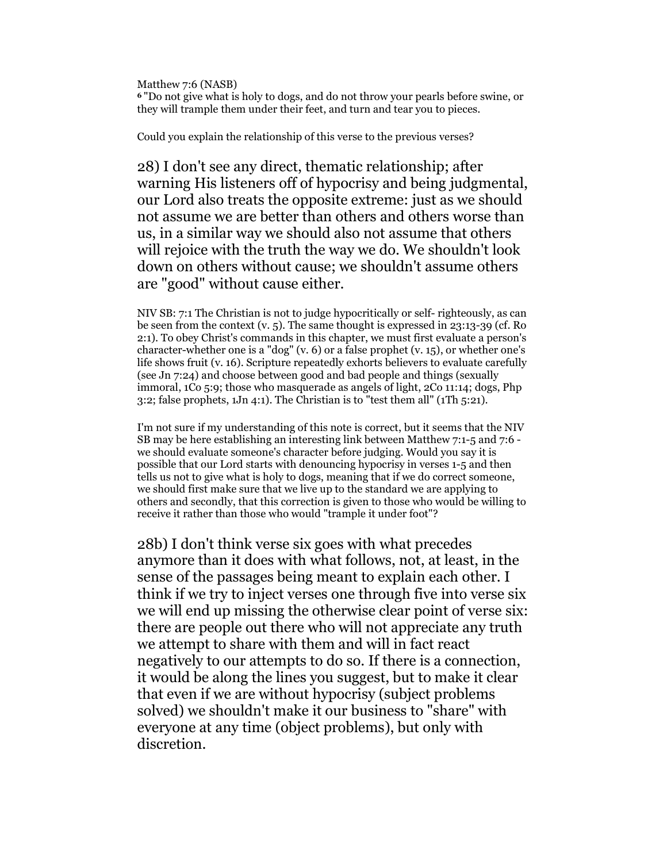Matthew 7:6 (NASB) <sup>6</sup>"Do not give what is holy to dogs, and do not throw your pearls before swine, or they will trample them under their feet, and turn and tear you to pieces.

Could you explain the relationship of this verse to the previous verses?

28) I don't see any direct, thematic relationship; after warning His listeners off of hypocrisy and being judgmental, our Lord also treats the opposite extreme: just as we should not assume we are better than others and others worse than us, in a similar way we should also not assume that others will rejoice with the truth the way we do. We shouldn't look down on others without cause; we shouldn't assume others are "good" without cause either.

NIV SB: 7:1 The Christian is not to judge hypocritically or self- righteously, as can be seen from the context (v. 5). The same thought is expressed in 23:13-39 (cf. Ro 2:1). To obey Christ's commands in this chapter, we must first evaluate a person's character-whether one is a "dog" (v. 6) or a false prophet (v. 15), or whether one's life shows fruit (v. 16). Scripture repeatedly exhorts believers to evaluate carefully (see Jn 7:24) and choose between good and bad people and things (sexually immoral, 1Co 5:9; those who masquerade as angels of light, 2Co 11:14; dogs, Php 3:2; false prophets,  $1Jn$  4:1). The Christian is to "test them all" ( $1Th$  5:21).

I'm not sure if my understanding of this note is correct, but it seems that the NIV SB may be here establishing an interesting link between Matthew 7:1-5 and 7:6 we should evaluate someone's character before judging. Would you say it is possible that our Lord starts with denouncing hypocrisy in verses 1-5 and then tells us not to give what is holy to dogs, meaning that if we do correct someone, we should first make sure that we live up to the standard we are applying to others and secondly, that this correction is given to those who would be willing to receive it rather than those who would "trample it under foot"?

28b) I don't think verse six goes with what precedes anymore than it does with what follows, not, at least, in the sense of the passages being meant to explain each other. I think if we try to inject verses one through five into verse six we will end up missing the otherwise clear point of verse six: there are people out there who will not appreciate any truth we attempt to share with them and will in fact react negatively to our attempts to do so. If there is a connection, it would be along the lines you suggest, but to make it clear that even if we are without hypocrisy (subject problems solved) we shouldn't make it our business to "share" with everyone at any time (object problems), but only with discretion.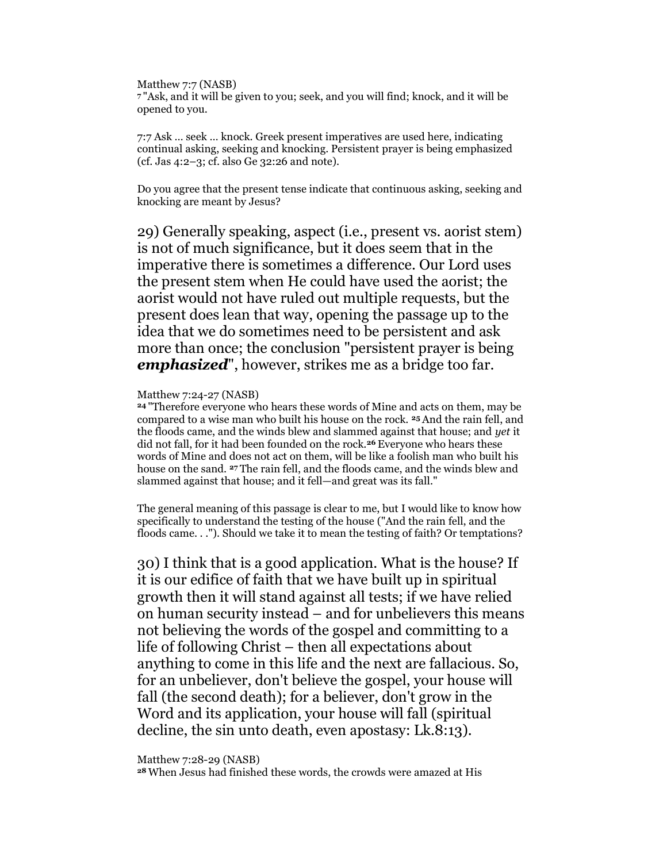Matthew 7:7 (NASB) <sup>7</sup>"Ask, and it will be given to you; seek, and you will find; knock, and it will be opened to you.

7:7 Ask … seek … knock. Greek present imperatives are used here, indicating continual asking, seeking and knocking. Persistent prayer is being emphasized (cf. Jas 4:2–3; cf. also Ge 32:26 and note).

Do you agree that the present tense indicate that continuous asking, seeking and knocking are meant by Jesus?

29) Generally speaking, aspect (i.e., present vs. aorist stem) is not of much significance, but it does seem that in the imperative there is sometimes a difference. Our Lord uses the present stem when He could have used the aorist; the aorist would not have ruled out multiple requests, but the present does lean that way, opening the passage up to the idea that we do sometimes need to be persistent and ask more than once; the conclusion "persistent prayer is being **emphasized**", however, strikes me as a bridge too far.

### Matthew 7:24-27 (NASB)

<sup>24</sup>"Therefore everyone who hears these words of Mine and acts on them, may be compared to a wise man who built his house on the rock. 25 And the rain fell, and the floods came, and the winds blew and slammed against that house; and yet it did not fall, for it had been founded on the rock.<sup>26</sup> Everyone who hears these words of Mine and does not act on them, will be like a foolish man who built his house on the sand. 27 The rain fell, and the floods came, and the winds blew and slammed against that house; and it fell—and great was its fall."

The general meaning of this passage is clear to me, but I would like to know how specifically to understand the testing of the house ("And the rain fell, and the floods came. . ."). Should we take it to mean the testing of faith? Or temptations?

30) I think that is a good application. What is the house? If it is our edifice of faith that we have built up in spiritual growth then it will stand against all tests; if we have relied on human security instead – and for unbelievers this means not believing the words of the gospel and committing to a life of following Christ – then all expectations about anything to come in this life and the next are fallacious. So, for an unbeliever, don't believe the gospel, your house will fall (the second death); for a believer, don't grow in the Word and its application, your house will fall (spiritual decline, the sin unto death, even apostasy: Lk.8:13).

Matthew 7:28-29 (NASB)

28 When Jesus had finished these words, the crowds were amazed at His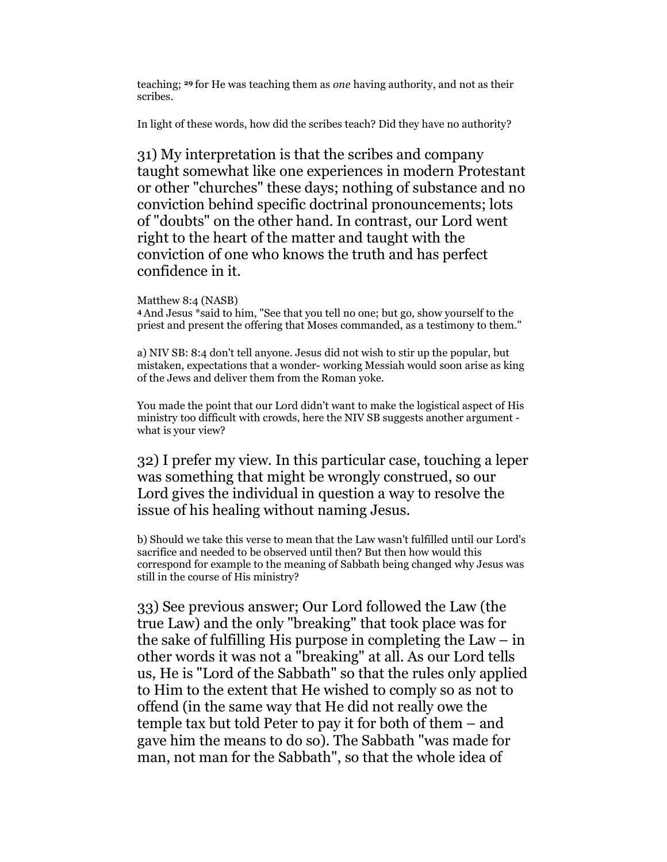teaching; 29 for He was teaching them as one having authority, and not as their scribes.

In light of these words, how did the scribes teach? Did they have no authority?

31) My interpretation is that the scribes and company taught somewhat like one experiences in modern Protestant or other "churches" these days; nothing of substance and no conviction behind specific doctrinal pronouncements; lots of "doubts" on the other hand. In contrast, our Lord went right to the heart of the matter and taught with the conviction of one who knows the truth and has perfect confidence in it.

## Matthew 8:4 (NASB)

<sup>4</sup>And Jesus \*said to him, "See that you tell no one; but go, show yourself to the priest and present the offering that Moses commanded, as a testimony to them."

a) NIV SB: 8:4 don't tell anyone. Jesus did not wish to stir up the popular, but mistaken, expectations that a wonder- working Messiah would soon arise as king of the Jews and deliver them from the Roman yoke.

You made the point that our Lord didn't want to make the logistical aspect of His ministry too difficult with crowds, here the NIV SB suggests another argument what is your view?

32) I prefer my view. In this particular case, touching a leper was something that might be wrongly construed, so our Lord gives the individual in question a way to resolve the issue of his healing without naming Jesus.

b) Should we take this verse to mean that the Law wasn't fulfilled until our Lord's sacrifice and needed to be observed until then? But then how would this correspond for example to the meaning of Sabbath being changed why Jesus was still in the course of His ministry?

33) See previous answer; Our Lord followed the Law (the true Law) and the only "breaking" that took place was for the sake of fulfilling His purpose in completing the  $Law - in$ other words it was not a "breaking" at all. As our Lord tells us, He is "Lord of the Sabbath" so that the rules only applied to Him to the extent that He wished to comply so as not to offend (in the same way that He did not really owe the temple tax but told Peter to pay it for both of them – and gave him the means to do so). The Sabbath "was made for man, not man for the Sabbath", so that the whole idea of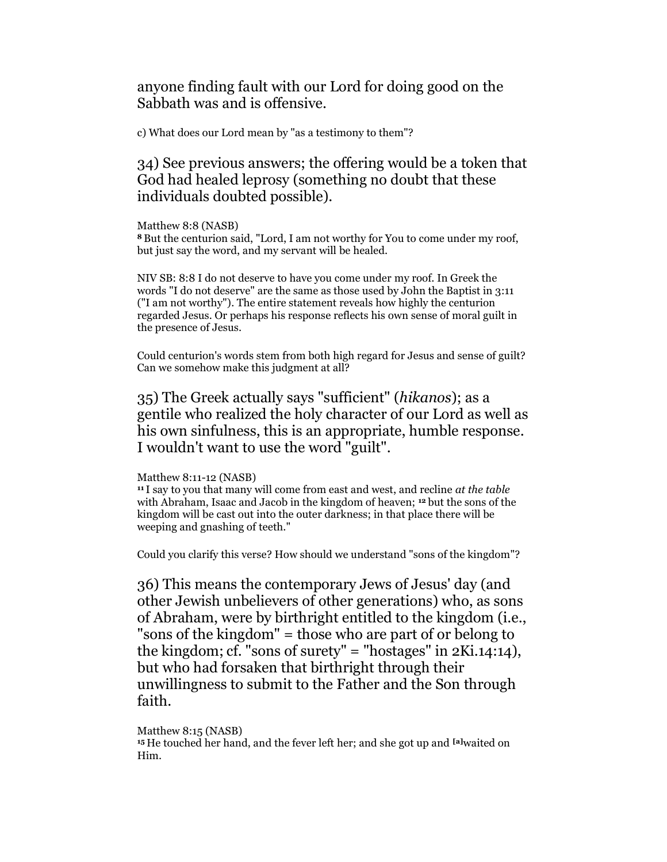anyone finding fault with our Lord for doing good on the Sabbath was and is offensive.

c) What does our Lord mean by "as a testimony to them"?

34) See previous answers; the offering would be a token that God had healed leprosy (something no doubt that these individuals doubted possible).

Matthew 8:8 (NASB)

<sup>8</sup>But the centurion said, "Lord, I am not worthy for You to come under my roof, but just say the word, and my servant will be healed.

NIV SB: 8:8 I do not deserve to have you come under my roof. In Greek the words "I do not deserve" are the same as those used by John the Baptist in 3:11 ("I am not worthy"). The entire statement reveals how highly the centurion regarded Jesus. Or perhaps his response reflects his own sense of moral guilt in the presence of Jesus.

Could centurion's words stem from both high regard for Jesus and sense of guilt? Can we somehow make this judgment at all?

35) The Greek actually says "sufficient" (hikanos); as a gentile who realized the holy character of our Lord as well as his own sinfulness, this is an appropriate, humble response. I wouldn't want to use the word "guilt".

#### Matthew 8:11-12 (NASB)

 $11$  I say to you that many will come from east and west, and recline at the table with Abraham, Isaac and Jacob in the kingdom of heaven; 12 but the sons of the kingdom will be cast out into the outer darkness; in that place there will be weeping and gnashing of teeth."

Could you clarify this verse? How should we understand "sons of the kingdom"?

36) This means the contemporary Jews of Jesus' day (and other Jewish unbelievers of other generations) who, as sons of Abraham, were by birthright entitled to the kingdom (i.e., "sons of the kingdom" = those who are part of or belong to the kingdom; cf. "sons of surety" = "hostages" in 2Ki.14:14), but who had forsaken that birthright through their unwillingness to submit to the Father and the Son through faith.

## Matthew 8:15 (NASB)

<sup>15</sup> He touched her hand, and the fever left her; and she got up and <sup>[a]</sup>waited on Him.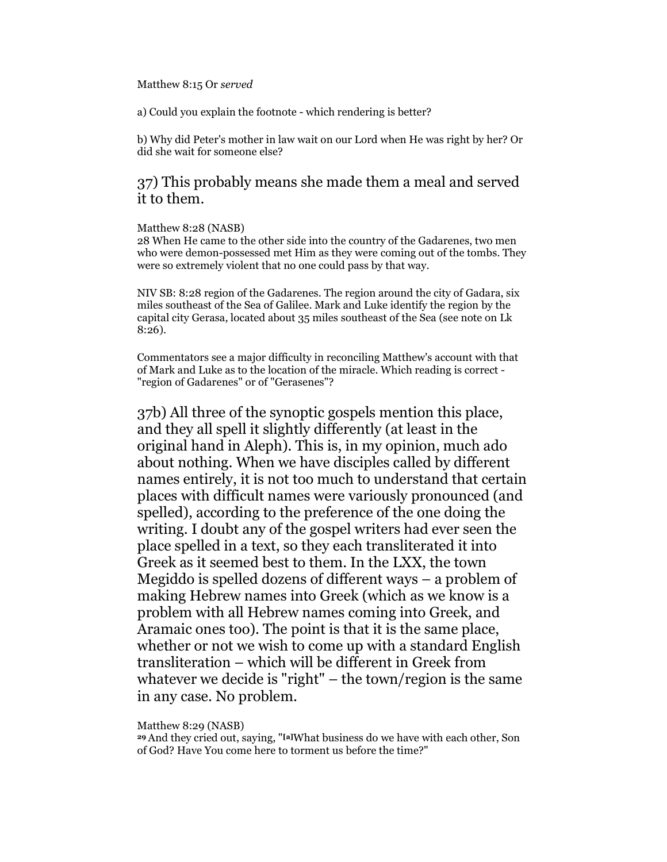### Matthew 8:15 Or served

a) Could you explain the footnote - which rendering is better?

b) Why did Peter's mother in law wait on our Lord when He was right by her? Or did she wait for someone else?

## 37) This probably means she made them a meal and served it to them.

## Matthew 8:28 (NASB)

28 When He came to the other side into the country of the Gadarenes, two men who were demon-possessed met Him as they were coming out of the tombs. They were so extremely violent that no one could pass by that way.

NIV SB: 8:28 region of the Gadarenes. The region around the city of Gadara, six miles southeast of the Sea of Galilee. Mark and Luke identify the region by the capital city Gerasa, located about 35 miles southeast of the Sea (see note on Lk 8:26).

Commentators see a major difficulty in reconciling Matthew's account with that of Mark and Luke as to the location of the miracle. Which reading is correct - "region of Gadarenes" or of "Gerasenes"?

37b) All three of the synoptic gospels mention this place, and they all spell it slightly differently (at least in the original hand in Aleph). This is, in my opinion, much ado about nothing. When we have disciples called by different names entirely, it is not too much to understand that certain places with difficult names were variously pronounced (and spelled), according to the preference of the one doing the writing. I doubt any of the gospel writers had ever seen the place spelled in a text, so they each transliterated it into Greek as it seemed best to them. In the LXX, the town Megiddo is spelled dozens of different ways – a problem of making Hebrew names into Greek (which as we know is a problem with all Hebrew names coming into Greek, and Aramaic ones too). The point is that it is the same place, whether or not we wish to come up with a standard English transliteration – which will be different in Greek from whatever we decide is "right" – the town/region is the same in any case. No problem.

Matthew 8:29 (NASB)

<sup>29</sup>And they cried out, saying, "[a]What business do we have with each other, Son of God? Have You come here to torment us before the time?"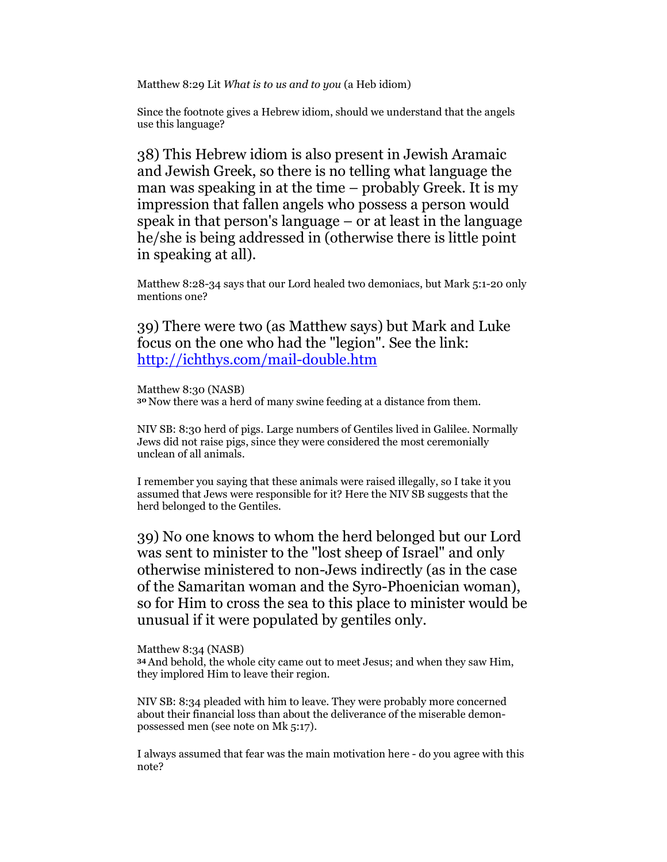Matthew 8:29 Lit What is to us and to you (a Heb idiom)

Since the footnote gives a Hebrew idiom, should we understand that the angels use this language?

38) This Hebrew idiom is also present in Jewish Aramaic and Jewish Greek, so there is no telling what language the man was speaking in at the time – probably Greek. It is my impression that fallen angels who possess a person would speak in that person's language – or at least in the language he/she is being addressed in (otherwise there is little point in speaking at all).

Matthew 8:28-34 says that our Lord healed two demoniacs, but Mark 5:1-20 only mentions one?

39) There were two (as Matthew says) but Mark and Luke focus on the one who had the "legion". See the link: http://ichthys.com/mail-double.htm

Matthew 8:30 (NASB) <sup>30</sup>Now there was a herd of many swine feeding at a distance from them.

NIV SB: 8:30 herd of pigs. Large numbers of Gentiles lived in Galilee. Normally Jews did not raise pigs, since they were considered the most ceremonially unclean of all animals.

I remember you saying that these animals were raised illegally, so I take it you assumed that Jews were responsible for it? Here the NIV SB suggests that the herd belonged to the Gentiles.

39) No one knows to whom the herd belonged but our Lord was sent to minister to the "lost sheep of Israel" and only otherwise ministered to non-Jews indirectly (as in the case of the Samaritan woman and the Syro-Phoenician woman), so for Him to cross the sea to this place to minister would be unusual if it were populated by gentiles only.

Matthew 8:34 (NASB) <sup>34</sup>And behold, the whole city came out to meet Jesus; and when they saw Him, they implored Him to leave their region.

NIV SB: 8:34 pleaded with him to leave. They were probably more concerned about their financial loss than about the deliverance of the miserable demonpossessed men (see note on Mk 5:17).

I always assumed that fear was the main motivation here - do you agree with this note?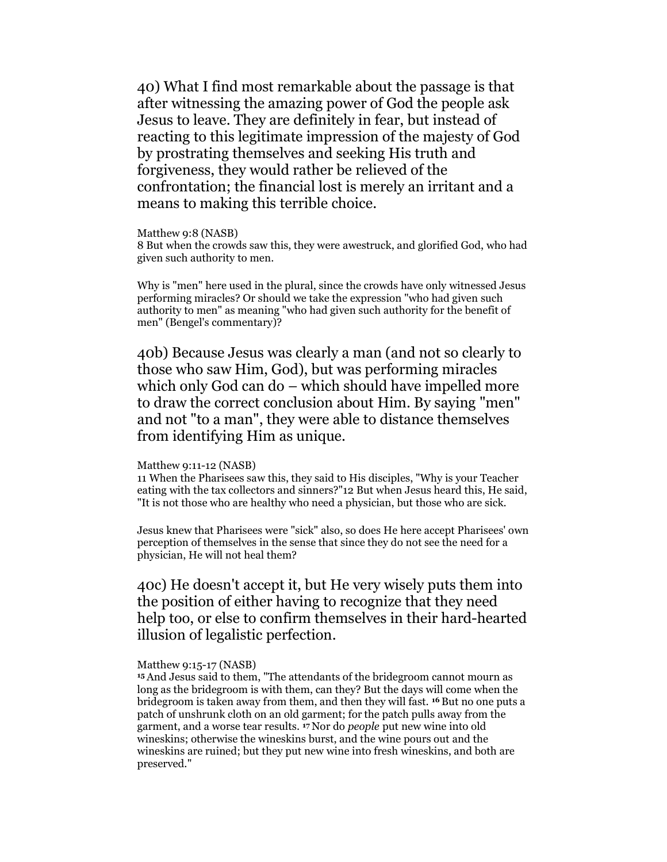40) What I find most remarkable about the passage is that after witnessing the amazing power of God the people ask Jesus to leave. They are definitely in fear, but instead of reacting to this legitimate impression of the majesty of God by prostrating themselves and seeking His truth and forgiveness, they would rather be relieved of the confrontation; the financial lost is merely an irritant and a means to making this terrible choice.

#### Matthew 9:8 (NASB)

8 But when the crowds saw this, they were awestruck, and glorified God, who had given such authority to men.

Why is "men" here used in the plural, since the crowds have only witnessed Jesus performing miracles? Or should we take the expression "who had given such authority to men" as meaning "who had given such authority for the benefit of men" (Bengel's commentary)?

40b) Because Jesus was clearly a man (and not so clearly to those who saw Him, God), but was performing miracles which only God can do – which should have impelled more to draw the correct conclusion about Him. By saying "men" and not "to a man", they were able to distance themselves from identifying Him as unique.

#### Matthew 9:11-12 (NASB)

11 When the Pharisees saw this, they said to His disciples, "Why is your Teacher eating with the tax collectors and sinners?"12 But when Jesus heard this, He said, "It is not those who are healthy who need a physician, but those who are sick.

Jesus knew that Pharisees were "sick" also, so does He here accept Pharisees' own perception of themselves in the sense that since they do not see the need for a physician, He will not heal them?

## 40c) He doesn't accept it, but He very wisely puts them into the position of either having to recognize that they need help too, or else to confirm themselves in their hard-hearted illusion of legalistic perfection.

### Matthew 9:15-17 (NASB)

<sup>15</sup>And Jesus said to them, "The attendants of the bridegroom cannot mourn as long as the bridegroom is with them, can they? But the days will come when the bridegroom is taken away from them, and then they will fast. 16 But no one puts a patch of unshrunk cloth on an old garment; for the patch pulls away from the garment, and a worse tear results. 17 Nor do people put new wine into old wineskins; otherwise the wineskins burst, and the wine pours out and the wineskins are ruined; but they put new wine into fresh wineskins, and both are preserved."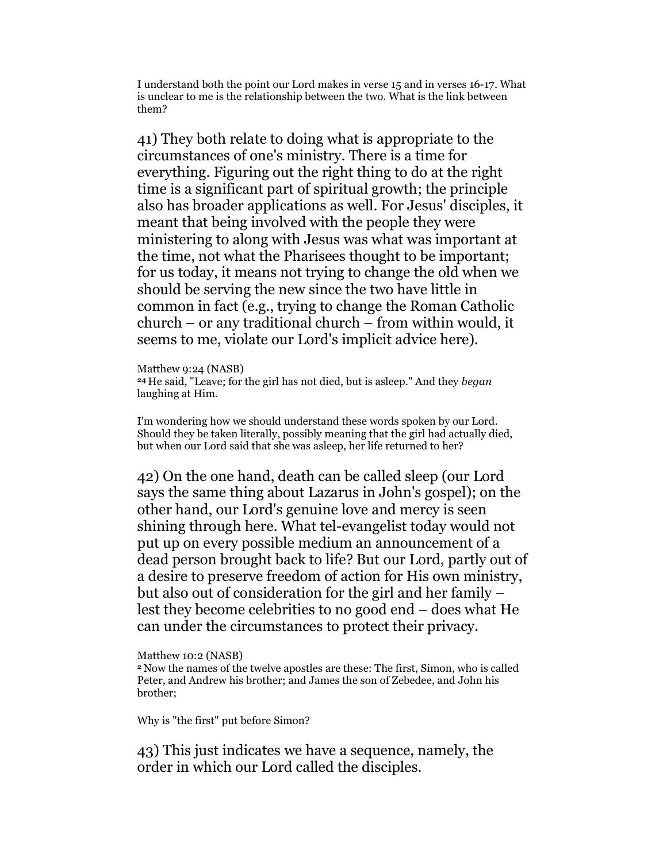I understand both the point our Lord makes in verse 15 and in verses 16-17. What is unclear to me is the relationship between the two. What is the link between them?

41) They both relate to doing what is appropriate to the circumstances of one's ministry. There is a time for everything. Figuring out the right thing to do at the right time is a significant part of spiritual growth; the principle also has broader applications as well. For Jesus' disciples, it meant that being involved with the people they were ministering to along with Jesus was what was important at the time, not what the Pharisees thought to be important; for us today, it means not trying to change the old when we should be serving the new since the two have little in common in fact (e.g., trying to change the Roman Catholic church – or any traditional church – from within would, it seems to me, violate our Lord's implicit advice here).

Matthew 9:24 (NASB) <sup>24</sup>He said, "Leave; for the girl has not died, but is asleep." And they began laughing at Him.

I'm wondering how we should understand these words spoken by our Lord. Should they be taken literally, possibly meaning that the girl had actually died, but when our Lord said that she was asleep, her life returned to her?

42) On the one hand, death can be called sleep (our Lord says the same thing about Lazarus in John's gospel); on the other hand, our Lord's genuine love and mercy is seen shining through here. What tel-evangelist today would not put up on every possible medium an announcement of a dead person brought back to life? But our Lord, partly out of a desire to preserve freedom of action for His own ministry, but also out of consideration for the girl and her family – lest they become celebrities to no good end – does what He can under the circumstances to protect their privacy.

Matthew 10:2 (NASB)

<sup>2</sup>Now the names of the twelve apostles are these: The first, Simon, who is called Peter, and Andrew his brother; and James the son of Zebedee, and John his brother;

Why is "the first" put before Simon?

43) This just indicates we have a sequence, namely, the order in which our Lord called the disciples.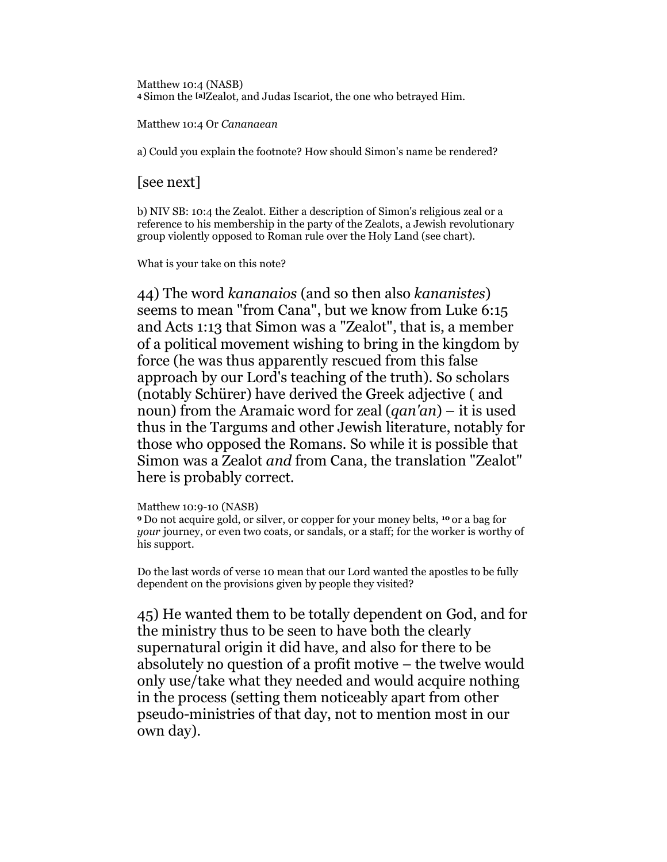Matthew 10:4 (NASB) <sup>4</sup>Simon the [a]Zealot, and Judas Iscariot, the one who betrayed Him.

Matthew 10:4 Or Cananaean

a) Could you explain the footnote? How should Simon's name be rendered?

[see next]

b) NIV SB: 10:4 the Zealot. Either a description of Simon's religious zeal or a reference to his membership in the party of the Zealots, a Jewish revolutionary group violently opposed to Roman rule over the Holy Land (see chart).

What is your take on this note?

44) The word kananaios (and so then also kananistes) seems to mean "from Cana", but we know from Luke 6:15 and Acts 1:13 that Simon was a "Zealot", that is, a member of a political movement wishing to bring in the kingdom by force (he was thus apparently rescued from this false approach by our Lord's teaching of the truth). So scholars (notably Schürer) have derived the Greek adjective ( and noun) from the Aramaic word for zeal  $(qan'an)$  – it is used thus in the Targums and other Jewish literature, notably for those who opposed the Romans. So while it is possible that Simon was a Zealot and from Cana, the translation "Zealot" here is probably correct.

Matthew 10:9-10 (NASB)

<sup>9</sup>Do not acquire gold, or silver, or copper for your money belts, 10 or a bag for your journey, or even two coats, or sandals, or a staff; for the worker is worthy of his support.

Do the last words of verse 10 mean that our Lord wanted the apostles to be fully dependent on the provisions given by people they visited?

45) He wanted them to be totally dependent on God, and for the ministry thus to be seen to have both the clearly supernatural origin it did have, and also for there to be absolutely no question of a profit motive – the twelve would only use/take what they needed and would acquire nothing in the process (setting them noticeably apart from other pseudo-ministries of that day, not to mention most in our own day).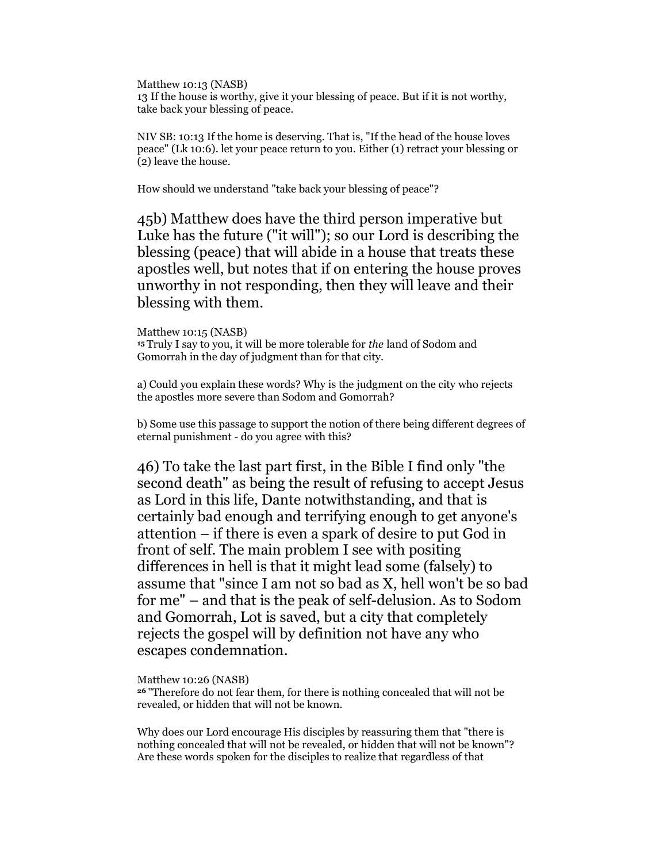Matthew 10:13 (NASB) 13 If the house is worthy, give it your blessing of peace. But if it is not worthy, take back your blessing of peace.

NIV SB: 10:13 If the home is deserving. That is, "If the head of the house loves peace" (Lk 10:6). let your peace return to you. Either (1) retract your blessing or (2) leave the house.

How should we understand "take back your blessing of peace"?

45b) Matthew does have the third person imperative but Luke has the future ("it will"); so our Lord is describing the blessing (peace) that will abide in a house that treats these apostles well, but notes that if on entering the house proves unworthy in not responding, then they will leave and their blessing with them.

Matthew 10:15 (NASB) <sup>15</sup> Truly I say to you, it will be more tolerable for the land of Sodom and Gomorrah in the day of judgment than for that city.

a) Could you explain these words? Why is the judgment on the city who rejects the apostles more severe than Sodom and Gomorrah?

b) Some use this passage to support the notion of there being different degrees of eternal punishment - do you agree with this?

46) To take the last part first, in the Bible I find only "the second death" as being the result of refusing to accept Jesus as Lord in this life, Dante notwithstanding, and that is certainly bad enough and terrifying enough to get anyone's attention – if there is even a spark of desire to put God in front of self. The main problem I see with positing differences in hell is that it might lead some (falsely) to assume that "since I am not so bad as X, hell won't be so bad for me" – and that is the peak of self-delusion. As to Sodom and Gomorrah, Lot is saved, but a city that completely rejects the gospel will by definition not have any who escapes condemnation.

Matthew 10:26 (NASB)

<sup>26</sup>"Therefore do not fear them, for there is nothing concealed that will not be revealed, or hidden that will not be known.

Why does our Lord encourage His disciples by reassuring them that "there is nothing concealed that will not be revealed, or hidden that will not be known"? Are these words spoken for the disciples to realize that regardless of that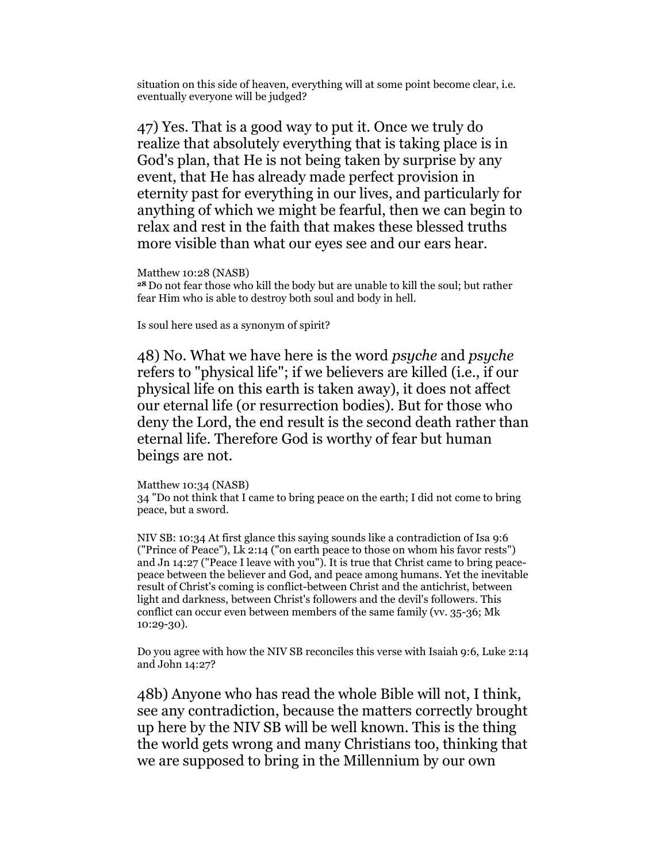situation on this side of heaven, everything will at some point become clear, i.e. eventually everyone will be judged?

47) Yes. That is a good way to put it. Once we truly do realize that absolutely everything that is taking place is in God's plan, that He is not being taken by surprise by any event, that He has already made perfect provision in eternity past for everything in our lives, and particularly for anything of which we might be fearful, then we can begin to relax and rest in the faith that makes these blessed truths more visible than what our eyes see and our ears hear.

Matthew 10:28 (NASB)

<sup>28</sup>Do not fear those who kill the body but are unable to kill the soul; but rather fear Him who is able to destroy both soul and body in hell.

Is soul here used as a synonym of spirit?

48) No. What we have here is the word psyche and psyche refers to "physical life"; if we believers are killed (i.e., if our physical life on this earth is taken away), it does not affect our eternal life (or resurrection bodies). But for those who deny the Lord, the end result is the second death rather than eternal life. Therefore God is worthy of fear but human beings are not.

#### Matthew 10:34 (NASB)

34 "Do not think that I came to bring peace on the earth; I did not come to bring peace, but a sword.

NIV SB: 10:34 At first glance this saying sounds like a contradiction of Isa 9:6 ("Prince of Peace"), Lk 2:14 ("on earth peace to those on whom his favor rests") and Jn 14:27 ("Peace I leave with you"). It is true that Christ came to bring peacepeace between the believer and God, and peace among humans. Yet the inevitable result of Christ's coming is conflict-between Christ and the antichrist, between light and darkness, between Christ's followers and the devil's followers. This conflict can occur even between members of the same family (vv. 35-36; Mk 10:29-30).

Do you agree with how the NIV SB reconciles this verse with Isaiah 9:6, Luke 2:14 and John 14:27?

48b) Anyone who has read the whole Bible will not, I think, see any contradiction, because the matters correctly brought up here by the NIV SB will be well known. This is the thing the world gets wrong and many Christians too, thinking that we are supposed to bring in the Millennium by our own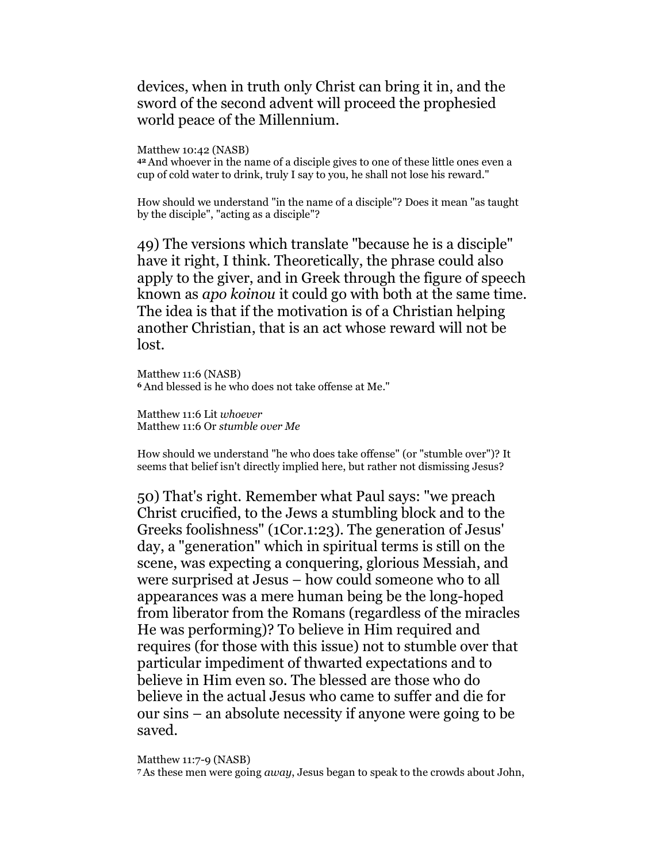devices, when in truth only Christ can bring it in, and the sword of the second advent will proceed the prophesied world peace of the Millennium.

Matthew 10:42 (NASB)

<sup>42</sup>And whoever in the name of a disciple gives to one of these little ones even a cup of cold water to drink, truly I say to you, he shall not lose his reward."

How should we understand "in the name of a disciple"? Does it mean "as taught by the disciple", "acting as a disciple"?

49) The versions which translate "because he is a disciple" have it right, I think. Theoretically, the phrase could also apply to the giver, and in Greek through the figure of speech known as apo koinou it could go with both at the same time. The idea is that if the motivation is of a Christian helping another Christian, that is an act whose reward will not be lost.

Matthew 11:6 (NASB) <sup>6</sup>And blessed is he who does not take offense at Me."

Matthew 11:6 Lit whoever Matthew 11:6 Or stumble over Me

How should we understand "he who does take offense" (or "stumble over")? It seems that belief isn't directly implied here, but rather not dismissing Jesus?

50) That's right. Remember what Paul says: "we preach Christ crucified, to the Jews a stumbling block and to the Greeks foolishness" (1Cor.1:23). The generation of Jesus' day, a "generation" which in spiritual terms is still on the scene, was expecting a conquering, glorious Messiah, and were surprised at Jesus – how could someone who to all appearances was a mere human being be the long-hoped from liberator from the Romans (regardless of the miracles He was performing)? To believe in Him required and requires (for those with this issue) not to stumble over that particular impediment of thwarted expectations and to believe in Him even so. The blessed are those who do believe in the actual Jesus who came to suffer and die for our sins – an absolute necessity if anyone were going to be saved.

Matthew 11:7-9 (NASB)

7 As these men were going away, Jesus began to speak to the crowds about John,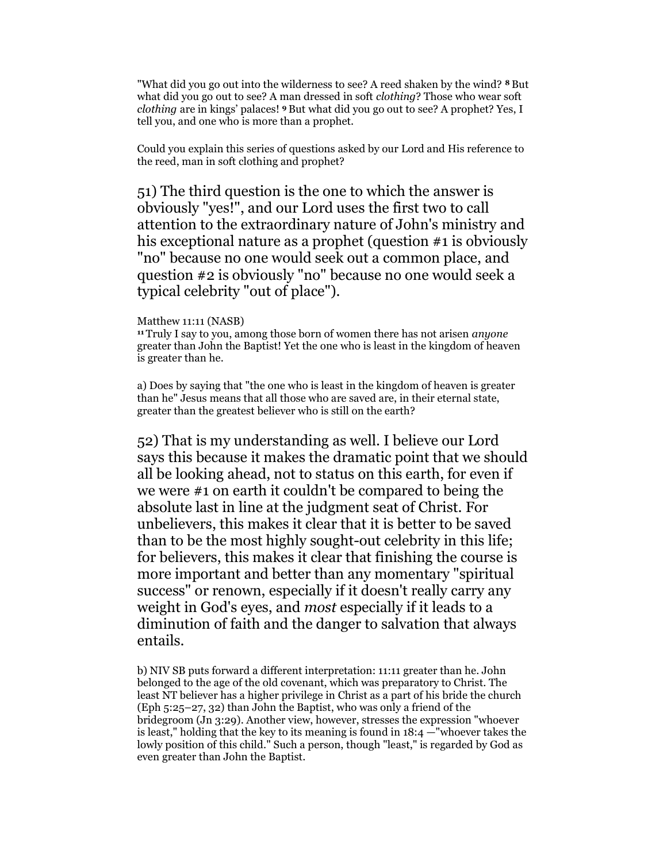"What did you go out into the wilderness to see? A reed shaken by the wind? <sup>8</sup> But what did you go out to see? A man dressed in soft *clothing*? Those who wear soft clothing are in kings' palaces! 9 But what did you go out to see? A prophet? Yes, I tell you, and one who is more than a prophet.

Could you explain this series of questions asked by our Lord and His reference to the reed, man in soft clothing and prophet?

51) The third question is the one to which the answer is obviously "yes!", and our Lord uses the first two to call attention to the extraordinary nature of John's ministry and his exceptional nature as a prophet (question #1 is obviously "no" because no one would seek out a common place, and question #2 is obviously "no" because no one would seek a typical celebrity "out of place").

#### Matthew 11:11 (NASB)

<sup>11</sup>Truly I say to you, among those born of women there has not arisen *anyone* greater than John the Baptist! Yet the one who is least in the kingdom of heaven is greater than he.

a) Does by saying that "the one who is least in the kingdom of heaven is greater than he" Jesus means that all those who are saved are, in their eternal state, greater than the greatest believer who is still on the earth?

52) That is my understanding as well. I believe our Lord says this because it makes the dramatic point that we should all be looking ahead, not to status on this earth, for even if we were #1 on earth it couldn't be compared to being the absolute last in line at the judgment seat of Christ. For unbelievers, this makes it clear that it is better to be saved than to be the most highly sought-out celebrity in this life; for believers, this makes it clear that finishing the course is more important and better than any momentary "spiritual success" or renown, especially if it doesn't really carry any weight in God's eyes, and most especially if it leads to a diminution of faith and the danger to salvation that always entails.

b) NIV SB puts forward a different interpretation: 11:11 greater than he. John belonged to the age of the old covenant, which was preparatory to Christ. The least NT believer has a higher privilege in Christ as a part of his bride the church (Eph 5:25–27, 32) than John the Baptist, who was only a friend of the bridegroom (Jn 3:29). Another view, however, stresses the expression "whoever is least," holding that the key to its meaning is found in  $18:4$  —"whoever takes the lowly position of this child." Such a person, though "least," is regarded by God as even greater than John the Baptist.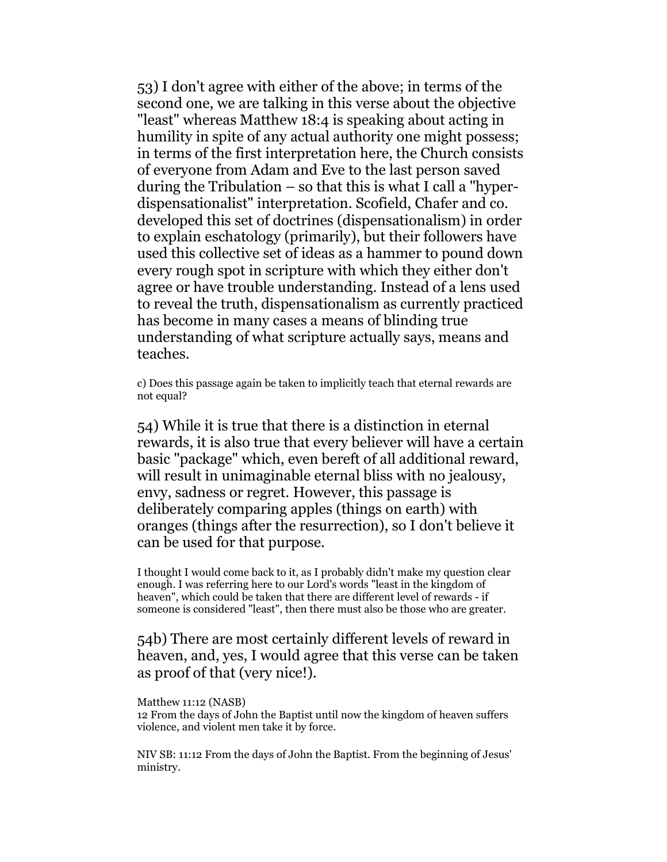53) I don't agree with either of the above; in terms of the second one, we are talking in this verse about the objective "least" whereas Matthew 18:4 is speaking about acting in humility in spite of any actual authority one might possess; in terms of the first interpretation here, the Church consists of everyone from Adam and Eve to the last person saved during the Tribulation – so that this is what I call a "hyperdispensationalist" interpretation. Scofield, Chafer and co. developed this set of doctrines (dispensationalism) in order to explain eschatology (primarily), but their followers have used this collective set of ideas as a hammer to pound down every rough spot in scripture with which they either don't agree or have trouble understanding. Instead of a lens used to reveal the truth, dispensationalism as currently practiced has become in many cases a means of blinding true understanding of what scripture actually says, means and teaches.

c) Does this passage again be taken to implicitly teach that eternal rewards are not equal?

54) While it is true that there is a distinction in eternal rewards, it is also true that every believer will have a certain basic "package" which, even bereft of all additional reward, will result in unimaginable eternal bliss with no jealousy, envy, sadness or regret. However, this passage is deliberately comparing apples (things on earth) with oranges (things after the resurrection), so I don't believe it can be used for that purpose.

I thought I would come back to it, as I probably didn't make my question clear enough. I was referring here to our Lord's words "least in the kingdom of heaven", which could be taken that there are different level of rewards - if someone is considered "least", then there must also be those who are greater.

## 54b) There are most certainly different levels of reward in heaven, and, yes, I would agree that this verse can be taken as proof of that (very nice!).

#### Matthew 11:12 (NASB)

12 From the days of John the Baptist until now the kingdom of heaven suffers violence, and violent men take it by force.

NIV SB: 11:12 From the days of John the Baptist. From the beginning of Jesus' ministry.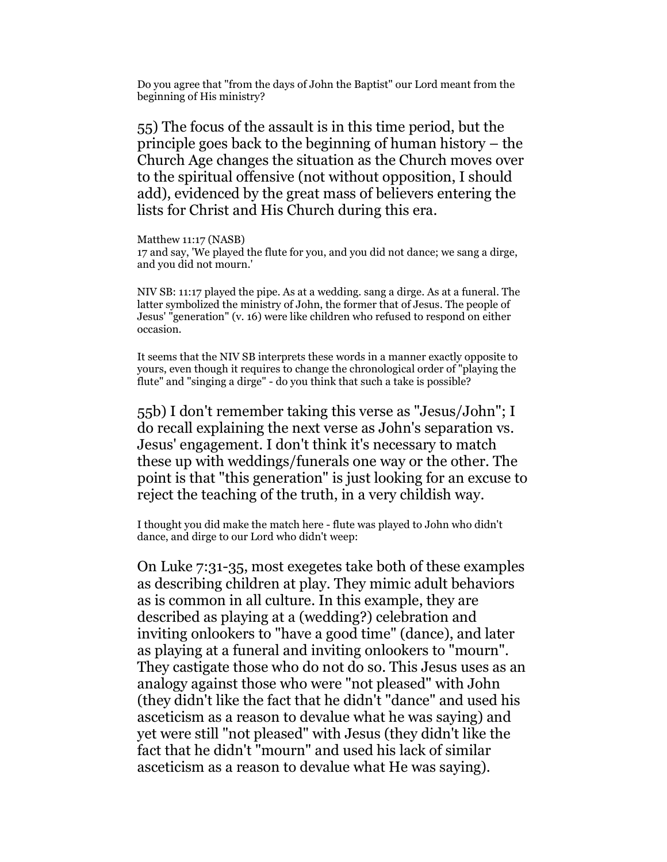Do you agree that "from the days of John the Baptist" our Lord meant from the beginning of His ministry?

55) The focus of the assault is in this time period, but the principle goes back to the beginning of human history – the Church Age changes the situation as the Church moves over to the spiritual offensive (not without opposition, I should add), evidenced by the great mass of believers entering the lists for Christ and His Church during this era.

Matthew 11:17 (NASB) 17 and say, 'We played the flute for you, and you did not dance; we sang a dirge, and you did not mourn.'

NIV SB: 11:17 played the pipe. As at a wedding. sang a dirge. As at a funeral. The latter symbolized the ministry of John, the former that of Jesus. The people of Jesus' "generation" (v. 16) were like children who refused to respond on either occasion.

It seems that the NIV SB interprets these words in a manner exactly opposite to yours, even though it requires to change the chronological order of "playing the flute" and "singing a dirge" - do you think that such a take is possible?

55b) I don't remember taking this verse as "Jesus/John"; I do recall explaining the next verse as John's separation vs. Jesus' engagement. I don't think it's necessary to match these up with weddings/funerals one way or the other. The point is that "this generation" is just looking for an excuse to reject the teaching of the truth, in a very childish way.

I thought you did make the match here - flute was played to John who didn't dance, and dirge to our Lord who didn't weep:

On Luke 7:31-35, most exegetes take both of these examples as describing children at play. They mimic adult behaviors as is common in all culture. In this example, they are described as playing at a (wedding?) celebration and inviting onlookers to "have a good time" (dance), and later as playing at a funeral and inviting onlookers to "mourn". They castigate those who do not do so. This Jesus uses as an analogy against those who were "not pleased" with John (they didn't like the fact that he didn't "dance" and used his asceticism as a reason to devalue what he was saying) and yet were still "not pleased" with Jesus (they didn't like the fact that he didn't "mourn" and used his lack of similar asceticism as a reason to devalue what He was saying).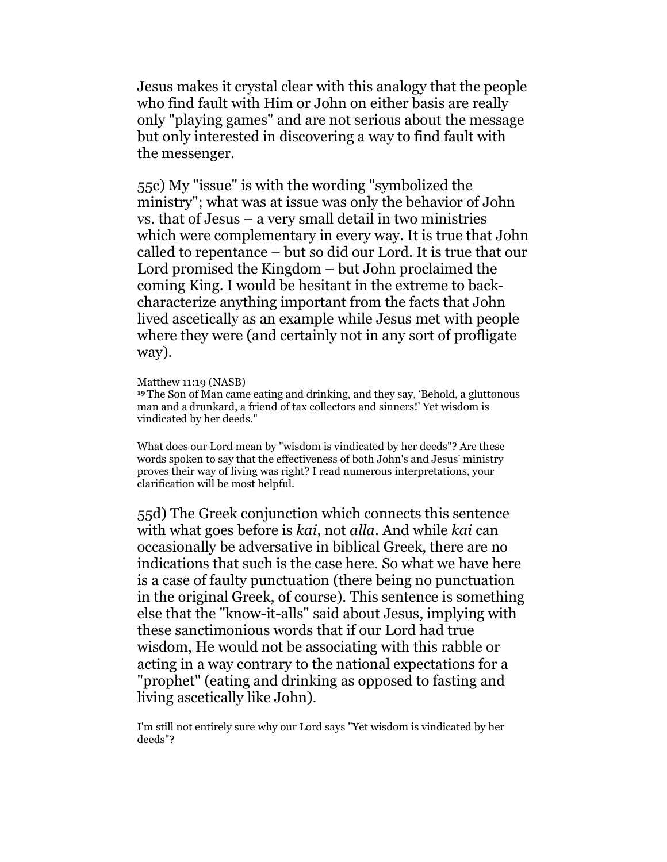Jesus makes it crystal clear with this analogy that the people who find fault with Him or John on either basis are really only "playing games" and are not serious about the message but only interested in discovering a way to find fault with the messenger.

55c) My "issue" is with the wording "symbolized the ministry"; what was at issue was only the behavior of John vs. that of Jesus – a very small detail in two ministries which were complementary in every way. It is true that John called to repentance – but so did our Lord. It is true that our Lord promised the Kingdom – but John proclaimed the coming King. I would be hesitant in the extreme to backcharacterize anything important from the facts that John lived ascetically as an example while Jesus met with people where they were (and certainly not in any sort of profligate way).

### Matthew 11:19 (NASB)

<sup>19</sup>The Son of Man came eating and drinking, and they say, 'Behold, a gluttonous man and a drunkard, a friend of tax collectors and sinners!' Yet wisdom is vindicated by her deeds."

What does our Lord mean by "wisdom is vindicated by her deeds"? Are these words spoken to say that the effectiveness of both John's and Jesus' ministry proves their way of living was right? I read numerous interpretations, your clarification will be most helpful.

55d) The Greek conjunction which connects this sentence with what goes before is kai, not alla. And while kai can occasionally be adversative in biblical Greek, there are no indications that such is the case here. So what we have here is a case of faulty punctuation (there being no punctuation in the original Greek, of course). This sentence is something else that the "know-it-alls" said about Jesus, implying with these sanctimonious words that if our Lord had true wisdom, He would not be associating with this rabble or acting in a way contrary to the national expectations for a "prophet" (eating and drinking as opposed to fasting and living ascetically like John).

I'm still not entirely sure why our Lord says "Yet wisdom is vindicated by her deeds"?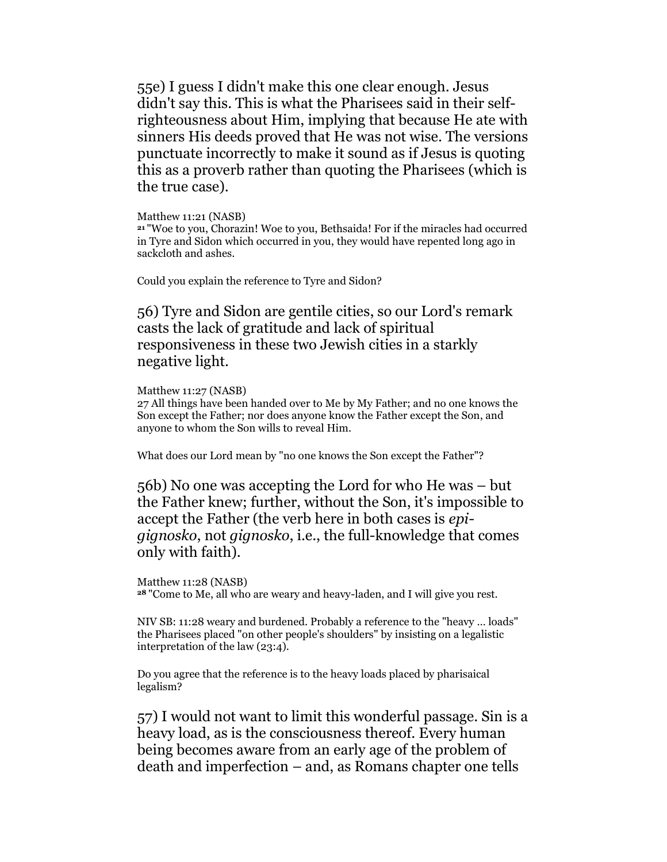55e) I guess I didn't make this one clear enough. Jesus didn't say this. This is what the Pharisees said in their selfrighteousness about Him, implying that because He ate with sinners His deeds proved that He was not wise. The versions punctuate incorrectly to make it sound as if Jesus is quoting this as a proverb rather than quoting the Pharisees (which is the true case).

Matthew 11:21 (NASB)

<sup>21</sup>"Woe to you, Chorazin! Woe to you, Bethsaida! For if the miracles had occurred in Tyre and Sidon which occurred in you, they would have repented long ago in sackcloth and ashes.

Could you explain the reference to Tyre and Sidon?

56) Tyre and Sidon are gentile cities, so our Lord's remark casts the lack of gratitude and lack of spiritual responsiveness in these two Jewish cities in a starkly negative light.

Matthew 11:27 (NASB)

27 All things have been handed over to Me by My Father; and no one knows the Son except the Father; nor does anyone know the Father except the Son, and anyone to whom the Son wills to reveal Him.

What does our Lord mean by "no one knows the Son except the Father"?

56b) No one was accepting the Lord for who He was – but the Father knew; further, without the Son, it's impossible to accept the Father (the verb here in both cases is epigignosko, not gignosko, i.e., the full-knowledge that comes only with faith).

Matthew 11:28 (NASB) <sup>28</sup>"Come to Me, all who are weary and heavy-laden, and I will give you rest.

NIV SB: 11:28 weary and burdened. Probably a reference to the "heavy … loads" the Pharisees placed "on other people's shoulders" by insisting on a legalistic interpretation of the law (23:4).

Do you agree that the reference is to the heavy loads placed by pharisaical legalism?

57) I would not want to limit this wonderful passage. Sin is a heavy load, as is the consciousness thereof. Every human being becomes aware from an early age of the problem of death and imperfection – and, as Romans chapter one tells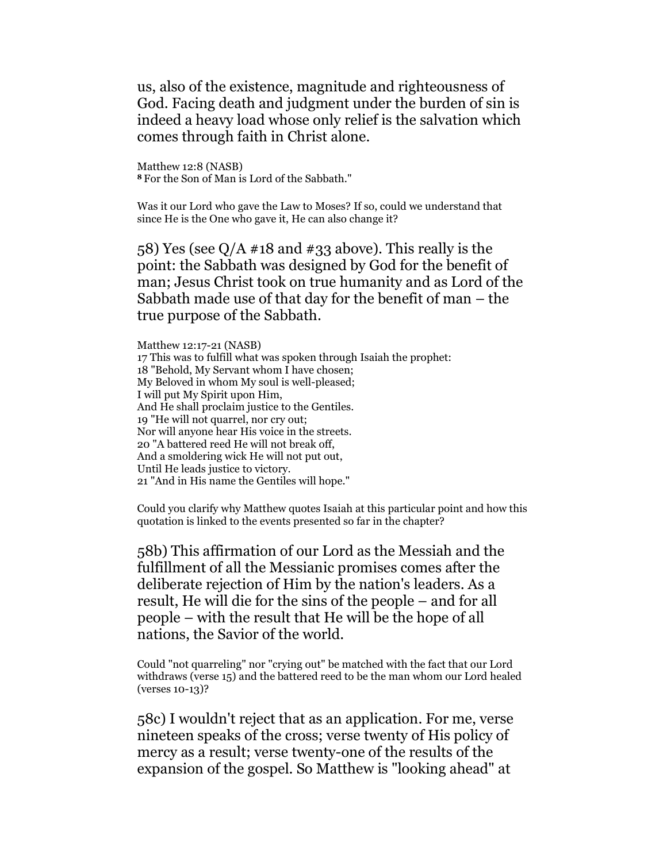us, also of the existence, magnitude and righteousness of God. Facing death and judgment under the burden of sin is indeed a heavy load whose only relief is the salvation which comes through faith in Christ alone.

Matthew 12:8 (NASB) <sup>8</sup>For the Son of Man is Lord of the Sabbath."

Was it our Lord who gave the Law to Moses? If so, could we understand that since He is the One who gave it, He can also change it?

58) Yes (see  $Q/A$  #18 and #33 above). This really is the point: the Sabbath was designed by God for the benefit of man; Jesus Christ took on true humanity and as Lord of the Sabbath made use of that day for the benefit of man – the true purpose of the Sabbath.

Matthew 12:17-21 (NASB) 17 This was to fulfill what was spoken through Isaiah the prophet: 18 "Behold, My Servant whom I have chosen; My Beloved in whom My soul is well-pleased; I will put My Spirit upon Him, And He shall proclaim justice to the Gentiles. 19 "He will not quarrel, nor cry out; Nor will anyone hear His voice in the streets. 20 "A battered reed He will not break off, And a smoldering wick He will not put out, Until He leads justice to victory. 21 "And in His name the Gentiles will hope."

Could you clarify why Matthew quotes Isaiah at this particular point and how this quotation is linked to the events presented so far in the chapter?

58b) This affirmation of our Lord as the Messiah and the fulfillment of all the Messianic promises comes after the deliberate rejection of Him by the nation's leaders. As a result, He will die for the sins of the people – and for all people – with the result that He will be the hope of all nations, the Savior of the world.

Could "not quarreling" nor "crying out" be matched with the fact that our Lord withdraws (verse 15) and the battered reed to be the man whom our Lord healed (verses 10-13)?

58c) I wouldn't reject that as an application. For me, verse nineteen speaks of the cross; verse twenty of His policy of mercy as a result; verse twenty-one of the results of the expansion of the gospel. So Matthew is "looking ahead" at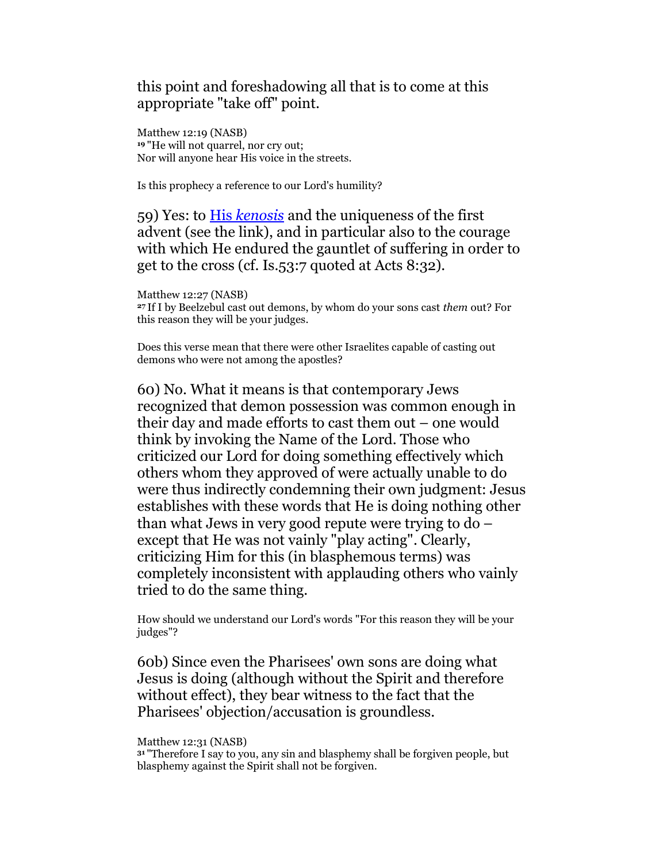this point and foreshadowing all that is to come at this appropriate "take off" point.

Matthew 12:19 (NASB) <sup>19</sup>"He will not quarrel, nor cry out; Nor will anyone hear His voice in the streets.

Is this prophecy a reference to our Lord's humility?

59) Yes: to His kenosis and the uniqueness of the first advent (see the link), and in particular also to the courage with which He endured the gauntlet of suffering in order to get to the cross (cf. Is.53:7 quoted at Acts 8:32).

Matthew 12:27 (NASB) <sup>27</sup>If I by Beelzebul cast out demons, by whom do your sons cast them out? For this reason they will be your judges.

Does this verse mean that there were other Israelites capable of casting out demons who were not among the apostles?

60) No. What it means is that contemporary Jews recognized that demon possession was common enough in their day and made efforts to cast them out – one would think by invoking the Name of the Lord. Those who criticized our Lord for doing something effectively which others whom they approved of were actually unable to do were thus indirectly condemning their own judgment: Jesus establishes with these words that He is doing nothing other than what Jews in very good repute were trying to do – except that He was not vainly "play acting". Clearly, criticizing Him for this (in blasphemous terms) was completely inconsistent with applauding others who vainly tried to do the same thing.

How should we understand our Lord's words "For this reason they will be your judges"?

60b) Since even the Pharisees' own sons are doing what Jesus is doing (although without the Spirit and therefore without effect), they bear witness to the fact that the Pharisees' objection/accusation is groundless.

Matthew 12:31 (NASB)

<sup>31</sup>"Therefore I say to you, any sin and blasphemy shall be forgiven people, but blasphemy against the Spirit shall not be forgiven.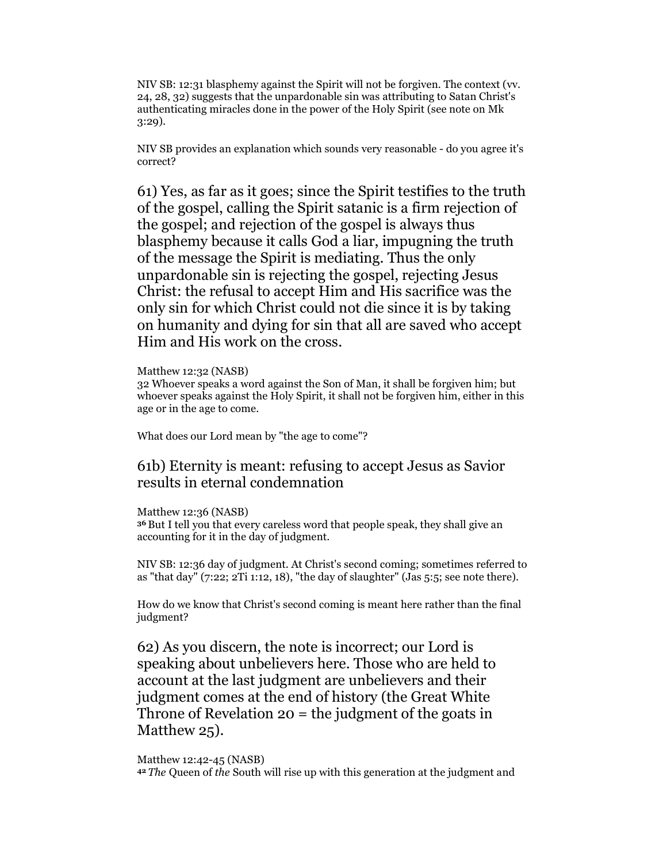NIV SB: 12:31 blasphemy against the Spirit will not be forgiven. The context (vv. 24, 28, 32) suggests that the unpardonable sin was attributing to Satan Christ's authenticating miracles done in the power of the Holy Spirit (see note on Mk 3:29).

NIV SB provides an explanation which sounds very reasonable - do you agree it's correct?

61) Yes, as far as it goes; since the Spirit testifies to the truth of the gospel, calling the Spirit satanic is a firm rejection of the gospel; and rejection of the gospel is always thus blasphemy because it calls God a liar, impugning the truth of the message the Spirit is mediating. Thus the only unpardonable sin is rejecting the gospel, rejecting Jesus Christ: the refusal to accept Him and His sacrifice was the only sin for which Christ could not die since it is by taking on humanity and dying for sin that all are saved who accept Him and His work on the cross.

Matthew 12:32 (NASB)

32 Whoever speaks a word against the Son of Man, it shall be forgiven him; but whoever speaks against the Holy Spirit, it shall not be forgiven him, either in this age or in the age to come.

What does our Lord mean by "the age to come"?

## 61b) Eternity is meant: refusing to accept Jesus as Savior results in eternal condemnation

Matthew 12:36 (NASB) <sup>36</sup>But I tell you that every careless word that people speak, they shall give an accounting for it in the day of judgment.

NIV SB: 12:36 day of judgment. At Christ's second coming; sometimes referred to as "that day"  $(7:22; 2Ti 1:12, 18)$ , "the day of slaughter" (Jas 5:5; see note there).

How do we know that Christ's second coming is meant here rather than the final judgment?

62) As you discern, the note is incorrect; our Lord is speaking about unbelievers here. Those who are held to account at the last judgment are unbelievers and their judgment comes at the end of history (the Great White Throne of Revelation  $20 =$  the judgment of the goats in Matthew 25).

Matthew 12:42-45 (NASB)

42 The Queen of the South will rise up with this generation at the judgment and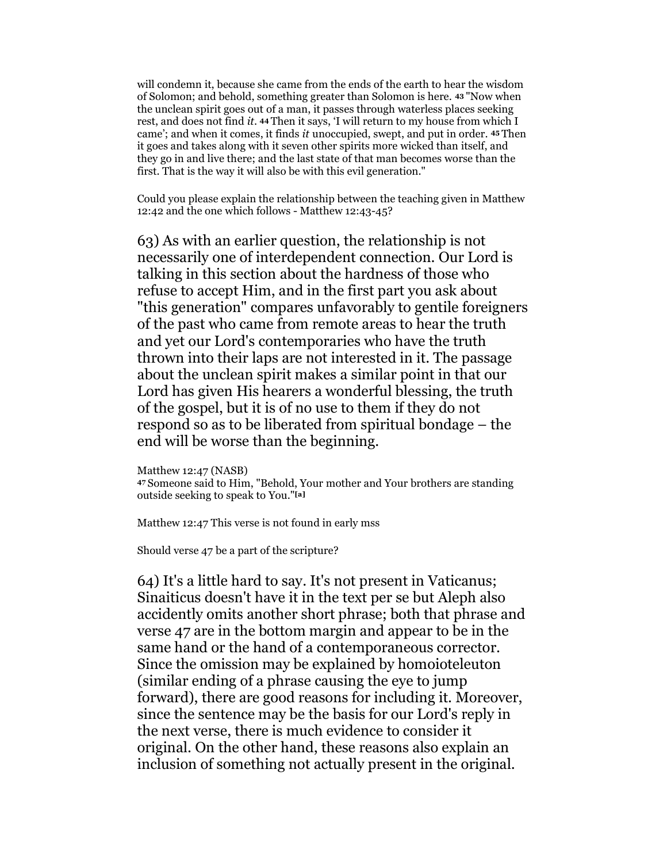will condemn it, because she came from the ends of the earth to hear the wisdom of Solomon; and behold, something greater than Solomon is here. 43 "Now when the unclean spirit goes out of a man, it passes through waterless places seeking rest, and does not find it. 44 Then it says, 'I will return to my house from which I came'; and when it comes, it finds it unoccupied, swept, and put in order. 45 Then it goes and takes along with it seven other spirits more wicked than itself, and they go in and live there; and the last state of that man becomes worse than the first. That is the way it will also be with this evil generation."

Could you please explain the relationship between the teaching given in Matthew 12:42 and the one which follows - Matthew 12:43-45?

63) As with an earlier question, the relationship is not necessarily one of interdependent connection. Our Lord is talking in this section about the hardness of those who refuse to accept Him, and in the first part you ask about "this generation" compares unfavorably to gentile foreigners of the past who came from remote areas to hear the truth and yet our Lord's contemporaries who have the truth thrown into their laps are not interested in it. The passage about the unclean spirit makes a similar point in that our Lord has given His hearers a wonderful blessing, the truth of the gospel, but it is of no use to them if they do not respond so as to be liberated from spiritual bondage – the end will be worse than the beginning.

Matthew 12:47 (NASB) <sup>47</sup>Someone said to Him, "Behold, Your mother and Your brothers are standing outside seeking to speak to You."[a]

Matthew 12:47 This verse is not found in early mss

Should verse 47 be a part of the scripture?

64) It's a little hard to say. It's not present in Vaticanus; Sinaiticus doesn't have it in the text per se but Aleph also accidently omits another short phrase; both that phrase and verse 47 are in the bottom margin and appear to be in the same hand or the hand of a contemporaneous corrector. Since the omission may be explained by homoioteleuton (similar ending of a phrase causing the eye to jump forward), there are good reasons for including it. Moreover, since the sentence may be the basis for our Lord's reply in the next verse, there is much evidence to consider it original. On the other hand, these reasons also explain an inclusion of something not actually present in the original.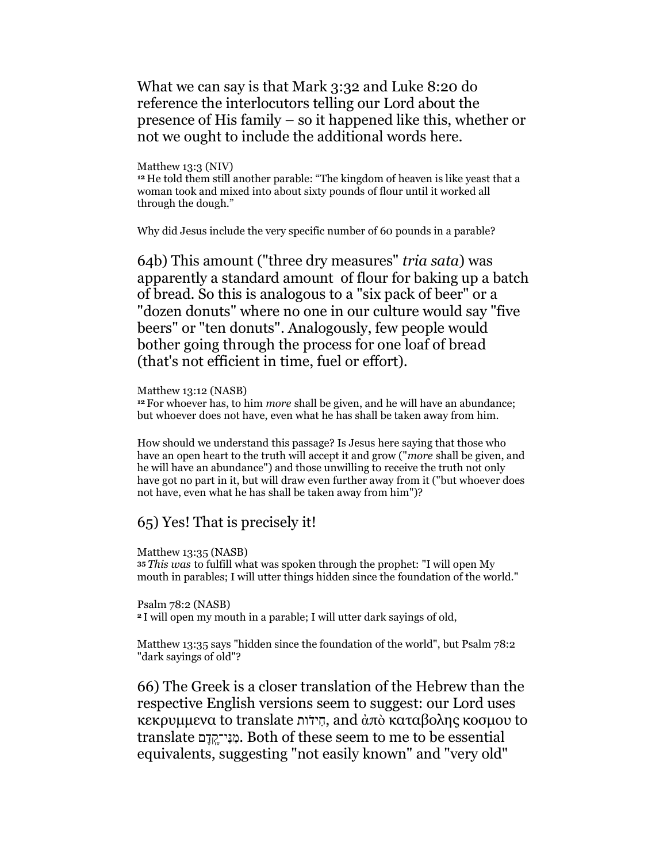What we can say is that Mark 3:32 and Luke 8:20 do reference the interlocutors telling our Lord about the presence of His family – so it happened like this, whether or not we ought to include the additional words here.

### Matthew 13:3 (NIV)

<sup>12</sup> He told them still another parable: "The kingdom of heaven is like yeast that a woman took and mixed into about sixty pounds of flour until it worked all through the dough."

Why did Jesus include the very specific number of 60 pounds in a parable?

64b) This amount ("three dry measures" tria sata) was apparently a standard amount of flour for baking up a batch of bread. So this is analogous to a "six pack of beer" or a "dozen donuts" where no one in our culture would say "five beers" or "ten donuts". Analogously, few people would bother going through the process for one loaf of bread (that's not efficient in time, fuel or effort).

#### Matthew 13:12 (NASB)

<sup>12</sup> For whoever has, to him *more* shall be given, and he will have an abundance; but whoever does not have, even what he has shall be taken away from him.

How should we understand this passage? Is Jesus here saying that those who have an open heart to the truth will accept it and grow ("more shall be given, and he will have an abundance") and those unwilling to receive the truth not only have got no part in it, but will draw even further away from it ("but whoever does not have, even what he has shall be taken away from him")?

### 65) Yes! That is precisely it!

Matthew 13:35 (NASB)

<sup>35</sup>This was to fulfill what was spoken through the prophet: "I will open My mouth in parables; I will utter things hidden since the foundation of the world."

#### Psalm 78:2 (NASB)

<sup>2</sup>I will open my mouth in a parable; I will utter dark sayings of old,

Matthew 13:35 says "hidden since the foundation of the world", but Psalm 78:2 "dark sayings of old"?

66) The Greek is a closer translation of the Hebrew than the respective English versions seem to suggest: our Lord uses κεκρυμμενα to translate דותֹ חיִ , and ἀπὸ καταβολης κοσμου to translate דםֶקֶֽנּי־ִמִ . Both of these seem to me to be essential equivalents, suggesting "not easily known" and "very old"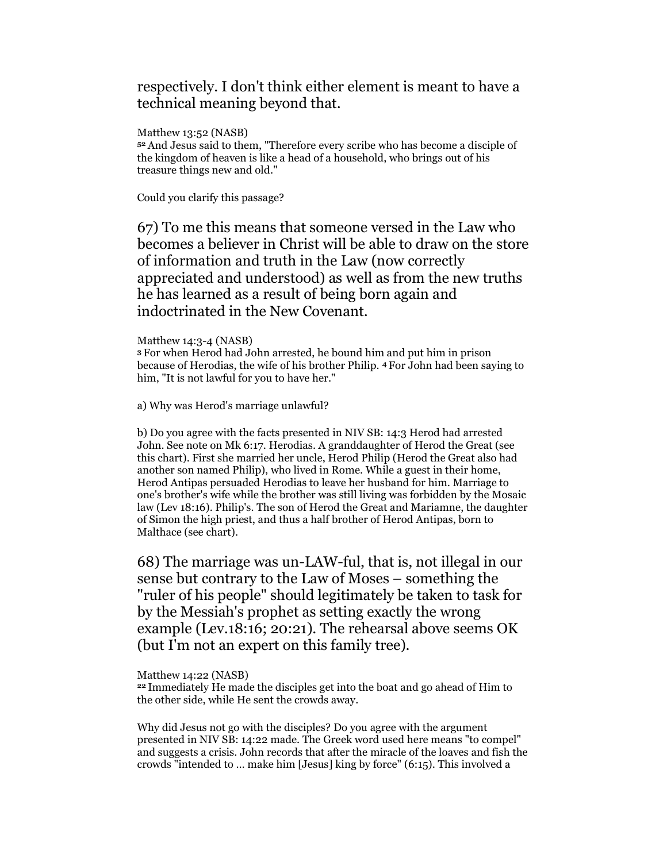## respectively. I don't think either element is meant to have a technical meaning beyond that.

Matthew 13:52 (NASB) <sup>52</sup>And Jesus said to them, "Therefore every scribe who has become a disciple of the kingdom of heaven is like a head of a household, who brings out of his treasure things new and old."

Could you clarify this passage?

67) To me this means that someone versed in the Law who becomes a believer in Christ will be able to draw on the store of information and truth in the Law (now correctly appreciated and understood) as well as from the new truths he has learned as a result of being born again and indoctrinated in the New Covenant.

### Matthew 14:3-4 (NASB)

<sup>3</sup>For when Herod had John arrested, he bound him and put him in prison because of Herodias, the wife of his brother Philip. 4 For John had been saying to him, "It is not lawful for you to have her."

a) Why was Herod's marriage unlawful?

b) Do you agree with the facts presented in NIV SB: 14:3 Herod had arrested John. See note on Mk 6:17. Herodias. A granddaughter of Herod the Great (see this chart). First she married her uncle, Herod Philip (Herod the Great also had another son named Philip), who lived in Rome. While a guest in their home, Herod Antipas persuaded Herodias to leave her husband for him. Marriage to one's brother's wife while the brother was still living was forbidden by the Mosaic law (Lev 18:16). Philip's. The son of Herod the Great and Mariamne, the daughter of Simon the high priest, and thus a half brother of Herod Antipas, born to Malthace (see chart).

68) The marriage was un-LAW-ful, that is, not illegal in our sense but contrary to the Law of Moses – something the "ruler of his people" should legitimately be taken to task for by the Messiah's prophet as setting exactly the wrong example (Lev.18:16; 20:21). The rehearsal above seems OK (but I'm not an expert on this family tree).

Matthew 14:22 (NASB)

<sup>22</sup>Immediately He made the disciples get into the boat and go ahead of Him to the other side, while He sent the crowds away.

Why did Jesus not go with the disciples? Do you agree with the argument presented in NIV SB: 14:22 made. The Greek word used here means "to compel" and suggests a crisis. John records that after the miracle of the loaves and fish the crowds "intended to … make him [Jesus] king by force" (6:15). This involved a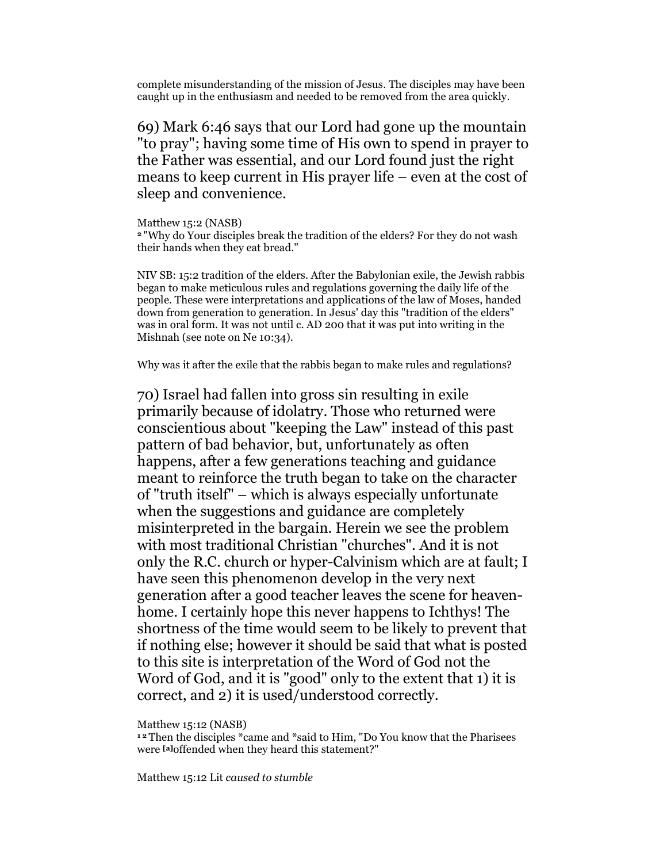complete misunderstanding of the mission of Jesus. The disciples may have been caught up in the enthusiasm and needed to be removed from the area quickly.

69) Mark 6:46 says that our Lord had gone up the mountain "to pray"; having some time of His own to spend in prayer to the Father was essential, and our Lord found just the right means to keep current in His prayer life – even at the cost of sleep and convenience.

Matthew 15:2 (NASB)

<sup>2</sup>"Why do Your disciples break the tradition of the elders? For they do not wash their hands when they eat bread."

NIV SB: 15:2 tradition of the elders. After the Babylonian exile, the Jewish rabbis began to make meticulous rules and regulations governing the daily life of the people. These were interpretations and applications of the law of Moses, handed down from generation to generation. In Jesus' day this "tradition of the elders" was in oral form. It was not until c. AD 200 that it was put into writing in the Mishnah (see note on Ne 10:34).

Why was it after the exile that the rabbis began to make rules and regulations?

70) Israel had fallen into gross sin resulting in exile primarily because of idolatry. Those who returned were conscientious about "keeping the Law" instead of this past pattern of bad behavior, but, unfortunately as often happens, after a few generations teaching and guidance meant to reinforce the truth began to take on the character of "truth itself" – which is always especially unfortunate when the suggestions and guidance are completely misinterpreted in the bargain. Herein we see the problem with most traditional Christian "churches". And it is not only the R.C. church or hyper-Calvinism which are at fault; I have seen this phenomenon develop in the very next generation after a good teacher leaves the scene for heavenhome. I certainly hope this never happens to Ichthys! The shortness of the time would seem to be likely to prevent that if nothing else; however it should be said that what is posted to this site is interpretation of the Word of God not the Word of God, and it is "good" only to the extent that 1) it is correct, and 2) it is used/understood correctly.

Matthew 15:12 (NASB)

<sup>12</sup> Then the disciples \*came and \*said to Him, "Do You know that the Pharisees were [a]offended when they heard this statement?"

Matthew 15:12 Lit caused to stumble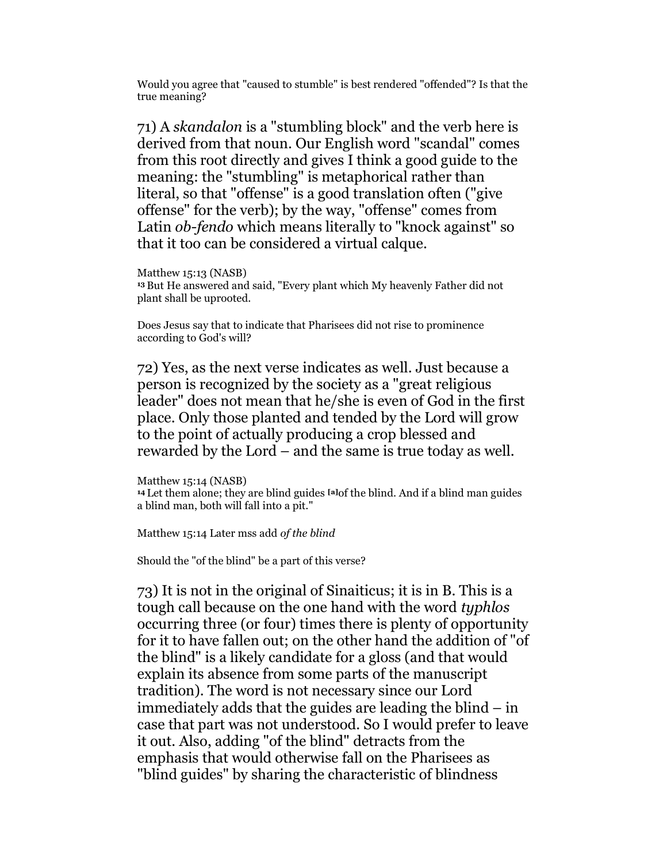Would you agree that "caused to stumble" is best rendered "offended"? Is that the true meaning?

71) A skandalon is a "stumbling block" and the verb here is derived from that noun. Our English word "scandal" comes from this root directly and gives I think a good guide to the meaning: the "stumbling" is metaphorical rather than literal, so that "offense" is a good translation often ("give offense" for the verb); by the way, "offense" comes from Latin ob-fendo which means literally to "knock against" so that it too can be considered a virtual calque.

Matthew 15:13 (NASB) <sup>13</sup>But He answered and said, "Every plant which My heavenly Father did not plant shall be uprooted.

Does Jesus say that to indicate that Pharisees did not rise to prominence according to God's will?

72) Yes, as the next verse indicates as well. Just because a person is recognized by the society as a "great religious leader" does not mean that he/she is even of God in the first place. Only those planted and tended by the Lord will grow to the point of actually producing a crop blessed and rewarded by the Lord – and the same is true today as well.

Matthew 15:14 (NASB) <sup>14</sup> Let them alone; they are blind guides <sup>[a]</sup>of the blind. And if a blind man guides a blind man, both will fall into a pit."

Matthew 15:14 Later mss add of the blind

Should the "of the blind" be a part of this verse?

73) It is not in the original of Sinaiticus; it is in B. This is a tough call because on the one hand with the word typhlos occurring three (or four) times there is plenty of opportunity for it to have fallen out; on the other hand the addition of "of the blind" is a likely candidate for a gloss (and that would explain its absence from some parts of the manuscript tradition). The word is not necessary since our Lord immediately adds that the guides are leading the blind – in case that part was not understood. So I would prefer to leave it out. Also, adding "of the blind" detracts from the emphasis that would otherwise fall on the Pharisees as "blind guides" by sharing the characteristic of blindness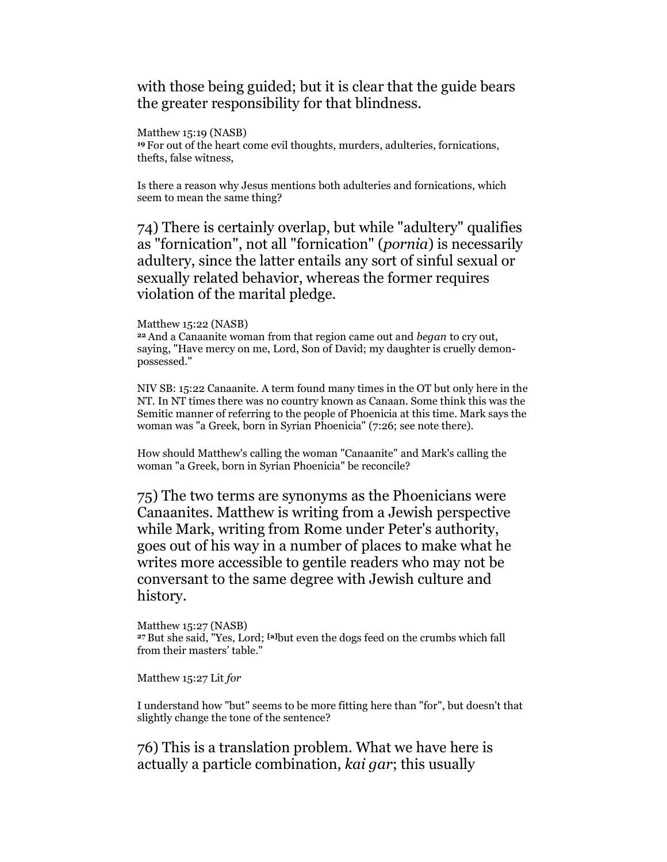with those being guided; but it is clear that the guide bears the greater responsibility for that blindness.

Matthew 15:19 (NASB)

<sup>19</sup>For out of the heart come evil thoughts, murders, adulteries, fornications, thefts, false witness,

Is there a reason why Jesus mentions both adulteries and fornications, which seem to mean the same thing?

74) There is certainly overlap, but while "adultery" qualifies as "fornication", not all "fornication" (pornia) is necessarily adultery, since the latter entails any sort of sinful sexual or sexually related behavior, whereas the former requires violation of the marital pledge.

### Matthew 15:22 (NASB)

<sup>22</sup> And a Canaanite woman from that region came out and *began* to cry out, saying, "Have mercy on me, Lord, Son of David; my daughter is cruelly demonpossessed."

NIV SB: 15:22 Canaanite. A term found many times in the OT but only here in the NT. In NT times there was no country known as Canaan. Some think this was the Semitic manner of referring to the people of Phoenicia at this time. Mark says the woman was "a Greek, born in Syrian Phoenicia" (7:26; see note there).

How should Matthew's calling the woman "Canaanite" and Mark's calling the woman "a Greek, born in Syrian Phoenicia" be reconcile?

75) The two terms are synonyms as the Phoenicians were Canaanites. Matthew is writing from a Jewish perspective while Mark, writing from Rome under Peter's authority, goes out of his way in a number of places to make what he writes more accessible to gentile readers who may not be conversant to the same degree with Jewish culture and history.

Matthew 15:27 (NASB) <sup>27</sup>But she said, "Yes, Lord; [a]but even the dogs feed on the crumbs which fall from their masters' table."

Matthew 15:27 Lit for

I understand how "but" seems to be more fitting here than "for", but doesn't that slightly change the tone of the sentence?

76) This is a translation problem. What we have here is actually a particle combination, kai gar; this usually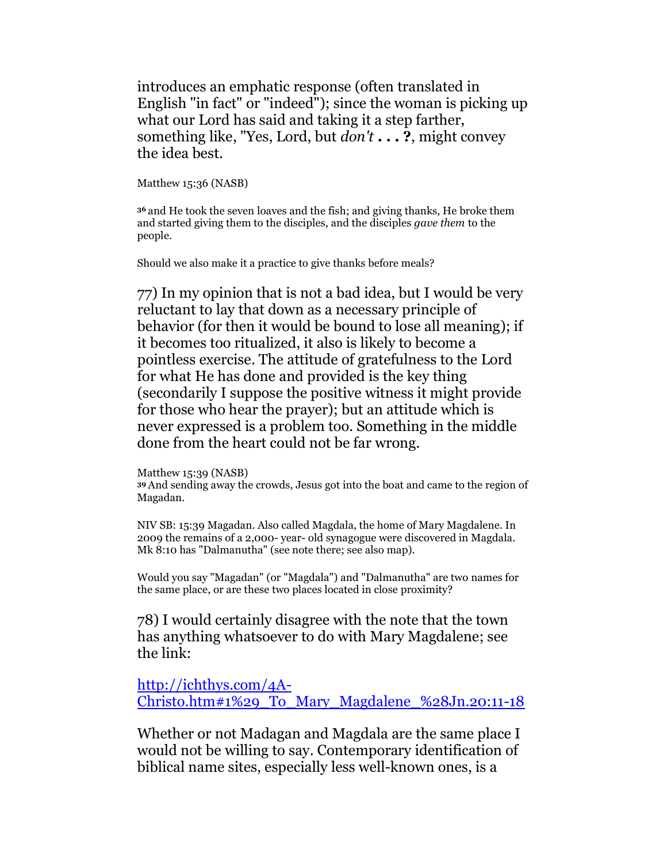introduces an emphatic response (often translated in English "in fact" or "indeed"); since the woman is picking up what our Lord has said and taking it a step farther, something like, "Yes, Lord, but *don't* . . . ?, might convey the idea best.

Matthew 15:36 (NASB)

<sup>36</sup>and He took the seven loaves and the fish; and giving thanks, He broke them and started giving them to the disciples, and the disciples gave them to the people.

Should we also make it a practice to give thanks before meals?

77) In my opinion that is not a bad idea, but I would be very reluctant to lay that down as a necessary principle of behavior (for then it would be bound to lose all meaning); if it becomes too ritualized, it also is likely to become a pointless exercise. The attitude of gratefulness to the Lord for what He has done and provided is the key thing (secondarily I suppose the positive witness it might provide for those who hear the prayer); but an attitude which is never expressed is a problem too. Something in the middle done from the heart could not be far wrong.

Matthew 15:39 (NASB) <sup>39</sup>And sending away the crowds, Jesus got into the boat and came to the region of Magadan.

NIV SB: 15:39 Magadan. Also called Magdala, the home of Mary Magdalene. In 2009 the remains of a 2,000- year- old synagogue were discovered in Magdala. Mk 8:10 has "Dalmanutha" (see note there; see also map).

Would you say "Magadan" (or "Magdala") and "Dalmanutha" are two names for the same place, or are these two places located in close proximity?

78) I would certainly disagree with the note that the town has anything whatsoever to do with Mary Magdalene; see the link:

http://ichthys.com/4A-Christo.htm#1%29\_To\_Mary\_Magdalene\_%28Jn.20:11-18

Whether or not Madagan and Magdala are the same place I would not be willing to say. Contemporary identification of biblical name sites, especially less well-known ones, is a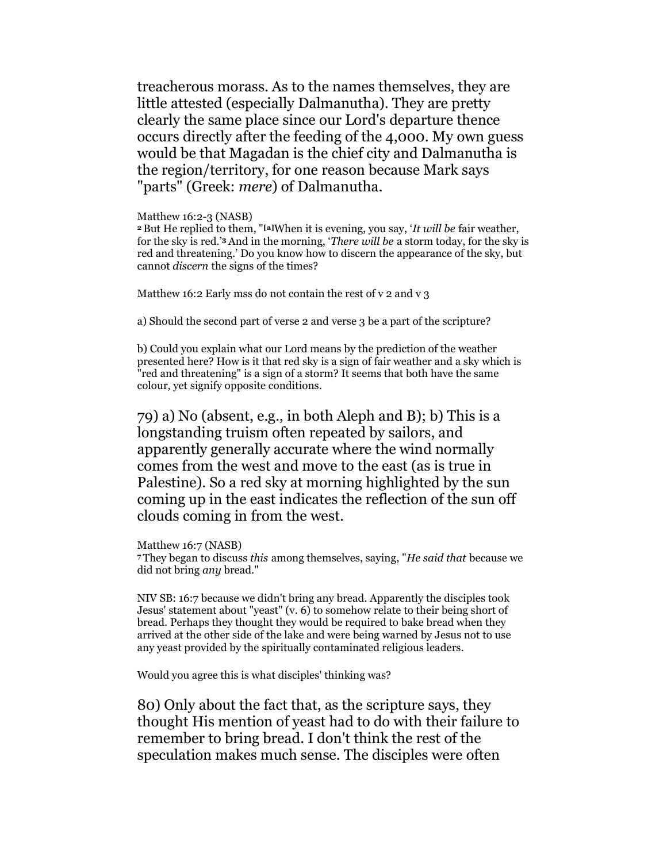treacherous morass. As to the names themselves, they are little attested (especially Dalmanutha). They are pretty clearly the same place since our Lord's departure thence occurs directly after the feeding of the 4,000. My own guess would be that Magadan is the chief city and Dalmanutha is the region/territory, for one reason because Mark says "parts" (Greek: mere) of Dalmanutha.

### Matthew 16:2-3 (NASB)

<sup>2</sup> But He replied to them, "<sup>[a]</sup>When it is evening, you say, '*It will be fair weather*, for the sky is red.'3 And in the morning, 'There will be a storm today, for the sky is red and threatening.' Do you know how to discern the appearance of the sky, but cannot discern the signs of the times?

Matthew 16:2 Early mss do not contain the rest of  $v_2$  and  $v_3$ 

a) Should the second part of verse 2 and verse 3 be a part of the scripture?

b) Could you explain what our Lord means by the prediction of the weather presented here? How is it that red sky is a sign of fair weather and a sky which is "red and threatening" is a sign of a storm? It seems that both have the same colour, yet signify opposite conditions.

79) a) No (absent, e.g., in both Aleph and B); b) This is a longstanding truism often repeated by sailors, and apparently generally accurate where the wind normally comes from the west and move to the east (as is true in Palestine). So a red sky at morning highlighted by the sun coming up in the east indicates the reflection of the sun off clouds coming in from the west.

Matthew 16:7 (NASB) <sup>7</sup>They began to discuss this among themselves, saying, "He said that because we did not bring any bread."

NIV SB: 16:7 because we didn't bring any bread. Apparently the disciples took Jesus' statement about "yeast" (v. 6) to somehow relate to their being short of bread. Perhaps they thought they would be required to bake bread when they arrived at the other side of the lake and were being warned by Jesus not to use any yeast provided by the spiritually contaminated religious leaders.

Would you agree this is what disciples' thinking was?

80) Only about the fact that, as the scripture says, they thought His mention of yeast had to do with their failure to remember to bring bread. I don't think the rest of the speculation makes much sense. The disciples were often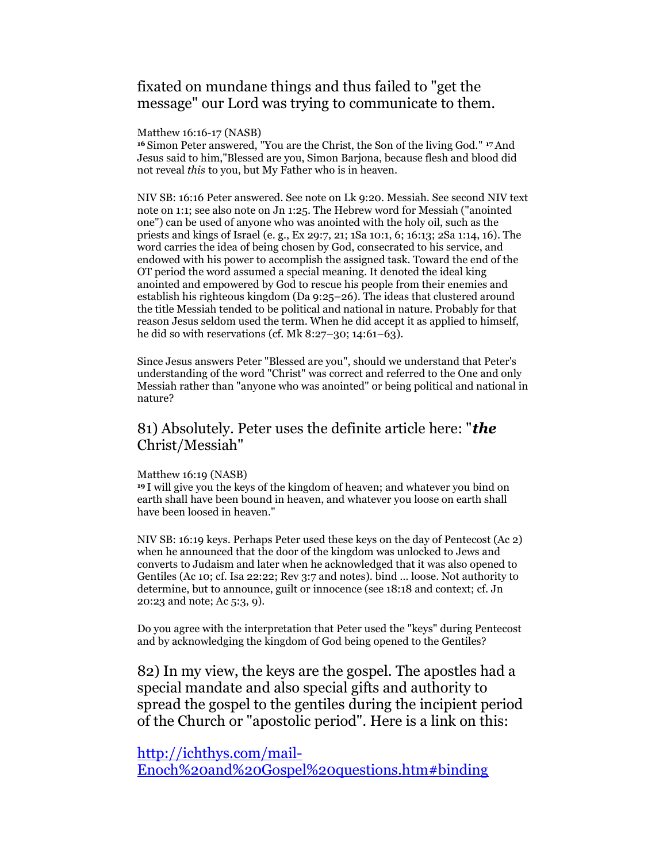# fixated on mundane things and thus failed to "get the message" our Lord was trying to communicate to them.

Matthew 16:16-17 (NASB)

<sup>16</sup>Simon Peter answered, "You are the Christ, the Son of the living God." 17 And Jesus said to him,"Blessed are you, Simon Barjona, because flesh and blood did not reveal this to you, but My Father who is in heaven.

NIV SB: 16:16 Peter answered. See note on Lk 9:20. Messiah. See second NIV text note on 1:1; see also note on Jn 1:25. The Hebrew word for Messiah ("anointed one") can be used of anyone who was anointed with the holy oil, such as the priests and kings of Israel (e. g., Ex 29:7, 21; 1Sa 10:1, 6; 16:13; 2Sa 1:14, 16). The word carries the idea of being chosen by God, consecrated to his service, and endowed with his power to accomplish the assigned task. Toward the end of the OT period the word assumed a special meaning. It denoted the ideal king anointed and empowered by God to rescue his people from their enemies and establish his righteous kingdom (Da 9:25–26). The ideas that clustered around the title Messiah tended to be political and national in nature. Probably for that reason Jesus seldom used the term. When he did accept it as applied to himself, he did so with reservations (cf. Mk 8:27–30; 14:61–63).

Since Jesus answers Peter "Blessed are you", should we understand that Peter's understanding of the word "Christ" was correct and referred to the One and only Messiah rather than "anyone who was anointed" or being political and national in nature?

## 81) Absolutely. Peter uses the definite article here: "**the** Christ/Messiah"

#### Matthew 16:19 (NASB)

<sup>19</sup>I will give you the keys of the kingdom of heaven; and whatever you bind on earth shall have been bound in heaven, and whatever you loose on earth shall have been loosed in heaven."

NIV SB: 16:19 keys. Perhaps Peter used these keys on the day of Pentecost (Ac 2) when he announced that the door of the kingdom was unlocked to Jews and converts to Judaism and later when he acknowledged that it was also opened to Gentiles (Ac 10; cf. Isa 22:22; Rev 3:7 and notes). bind … loose. Not authority to determine, but to announce, guilt or innocence (see 18:18 and context; cf. Jn 20:23 and note; Ac 5:3, 9).

Do you agree with the interpretation that Peter used the "keys" during Pentecost and by acknowledging the kingdom of God being opened to the Gentiles?

82) In my view, the keys are the gospel. The apostles had a special mandate and also special gifts and authority to spread the gospel to the gentiles during the incipient period of the Church or "apostolic period". Here is a link on this:

## http://ichthys.com/mail-

Enoch%20and%20Gospel%20questions.htm#binding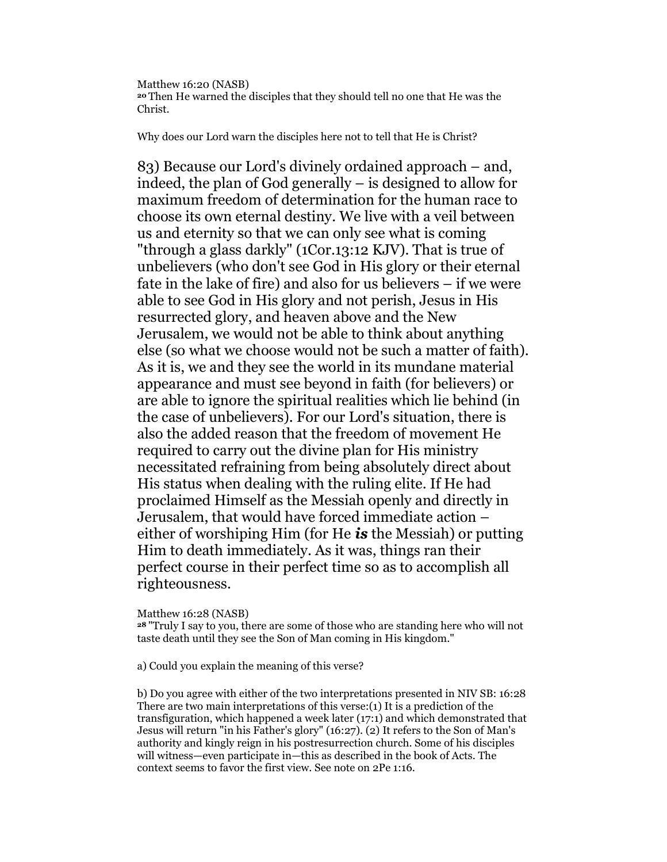Matthew 16:20 (NASB) <sup>20</sup>Then He warned the disciples that they should tell no one that He was the Christ.

Why does our Lord warn the disciples here not to tell that He is Christ?

83) Because our Lord's divinely ordained approach – and, indeed, the plan of God generally – is designed to allow for maximum freedom of determination for the human race to choose its own eternal destiny. We live with a veil between us and eternity so that we can only see what is coming "through a glass darkly" (1Cor.13:12 KJV). That is true of unbelievers (who don't see God in His glory or their eternal fate in the lake of fire) and also for us believers – if we were able to see God in His glory and not perish, Jesus in His resurrected glory, and heaven above and the New Jerusalem, we would not be able to think about anything else (so what we choose would not be such a matter of faith). As it is, we and they see the world in its mundane material appearance and must see beyond in faith (for believers) or are able to ignore the spiritual realities which lie behind (in the case of unbelievers). For our Lord's situation, there is also the added reason that the freedom of movement He required to carry out the divine plan for His ministry necessitated refraining from being absolutely direct about His status when dealing with the ruling elite. If He had proclaimed Himself as the Messiah openly and directly in Jerusalem, that would have forced immediate action – either of worshiping Him (for He  $i\mathbf{s}$  the Messiah) or putting Him to death immediately. As it was, things ran their perfect course in their perfect time so as to accomplish all righteousness.

Matthew 16:28 (NASB)

<sup>28</sup>"Truly I say to you, there are some of those who are standing here who will not taste death until they see the Son of Man coming in His kingdom."

a) Could you explain the meaning of this verse?

b) Do you agree with either of the two interpretations presented in NIV SB: 16:28 There are two main interpretations of this verse:(1) It is a prediction of the transfiguration, which happened a week later (17:1) and which demonstrated that Jesus will return "in his Father's glory" (16:27). (2) It refers to the Son of Man's authority and kingly reign in his postresurrection church. Some of his disciples will witness—even participate in—this as described in the book of Acts. The context seems to favor the first view. See note on 2Pe 1:16.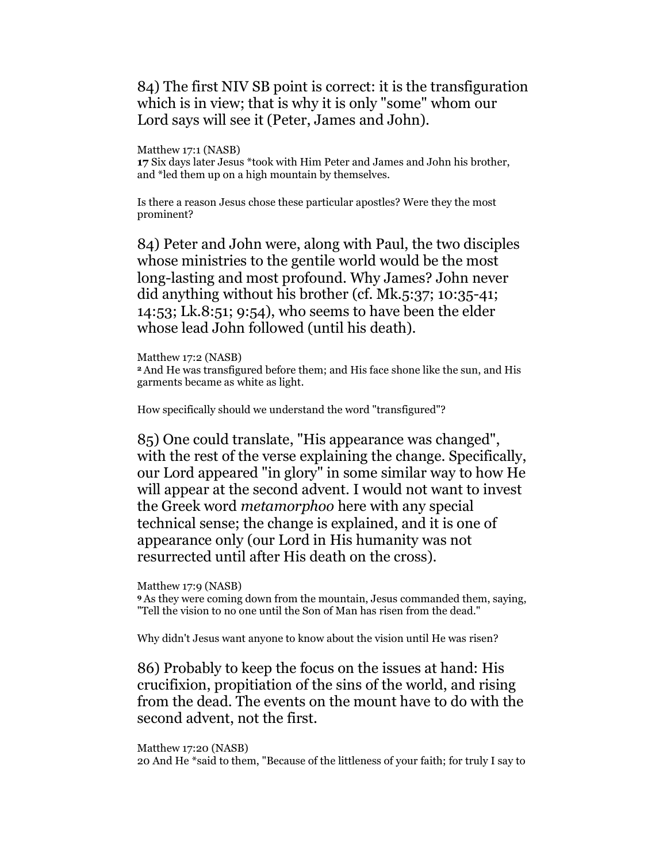# 84) The first NIV SB point is correct: it is the transfiguration which is in view; that is why it is only "some" whom our Lord says will see it (Peter, James and John).

Matthew 17:1 (NASB)

17 Six days later Jesus \*took with Him Peter and James and John his brother, and \*led them up on a high mountain by themselves.

Is there a reason Jesus chose these particular apostles? Were they the most prominent?

84) Peter and John were, along with Paul, the two disciples whose ministries to the gentile world would be the most long-lasting and most profound. Why James? John never did anything without his brother (cf. Mk.5:37; 10:35-41; 14:53; Lk.8:51; 9:54), who seems to have been the elder whose lead John followed (until his death).

Matthew 17:2 (NASB) <sup>2</sup>And He was transfigured before them; and His face shone like the sun, and His garments became as white as light.

How specifically should we understand the word "transfigured"?

85) One could translate, "His appearance was changed", with the rest of the verse explaining the change. Specifically, our Lord appeared "in glory" in some similar way to how He will appear at the second advent. I would not want to invest the Greek word metamorphoo here with any special technical sense; the change is explained, and it is one of appearance only (our Lord in His humanity was not resurrected until after His death on the cross).

Matthew 17:9 (NASB)

<sup>9</sup>As they were coming down from the mountain, Jesus commanded them, saying, "Tell the vision to no one until the Son of Man has risen from the dead."

Why didn't Jesus want anyone to know about the vision until He was risen?

86) Probably to keep the focus on the issues at hand: His crucifixion, propitiation of the sins of the world, and rising from the dead. The events on the mount have to do with the second advent, not the first.

Matthew 17:20 (NASB) 20 And He \*said to them, "Because of the littleness of your faith; for truly I say to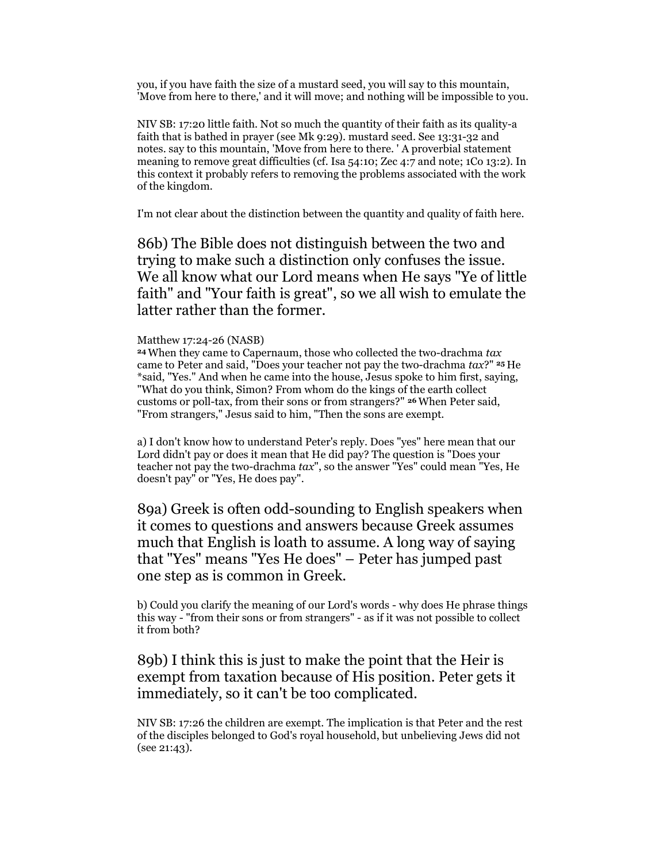you, if you have faith the size of a mustard seed, you will say to this mountain, 'Move from here to there,' and it will move; and nothing will be impossible to you.

NIV SB: 17:20 little faith. Not so much the quantity of their faith as its quality-a faith that is bathed in prayer (see Mk 9:29). mustard seed. See 13:31-32 and notes. say to this mountain, 'Move from here to there. ' A proverbial statement meaning to remove great difficulties (cf. Isa 54:10; Zec 4:7 and note; 1Co 13:2). In this context it probably refers to removing the problems associated with the work of the kingdom.

I'm not clear about the distinction between the quantity and quality of faith here.

86b) The Bible does not distinguish between the two and trying to make such a distinction only confuses the issue. We all know what our Lord means when He says "Ye of little faith" and "Your faith is great", so we all wish to emulate the latter rather than the former.

### Matthew 17:24-26 (NASB)

<sup>24</sup>When they came to Capernaum, those who collected the two-drachma tax came to Peter and said, "Does your teacher not pay the two-drachma  $tax?"$  25 He \*said, "Yes." And when he came into the house, Jesus spoke to him first, saying, "What do you think, Simon? From whom do the kings of the earth collect customs or poll-tax, from their sons or from strangers?" 26 When Peter said, "From strangers," Jesus said to him, "Then the sons are exempt.

a) I don't know how to understand Peter's reply. Does "yes" here mean that our Lord didn't pay or does it mean that He did pay? The question is "Does your teacher not pay the two-drachma  $tax$ ", so the answer "Yes" could mean "Yes, He doesn't pay" or "Yes, He does pay".

89a) Greek is often odd-sounding to English speakers when it comes to questions and answers because Greek assumes much that English is loath to assume. A long way of saying that "Yes" means "Yes He does" – Peter has jumped past one step as is common in Greek.

b) Could you clarify the meaning of our Lord's words - why does He phrase things this way - "from their sons or from strangers" - as if it was not possible to collect it from both?

# 89b) I think this is just to make the point that the Heir is exempt from taxation because of His position. Peter gets it immediately, so it can't be too complicated.

NIV SB: 17:26 the children are exempt. The implication is that Peter and the rest of the disciples belonged to God's royal household, but unbelieving Jews did not (see 21:43).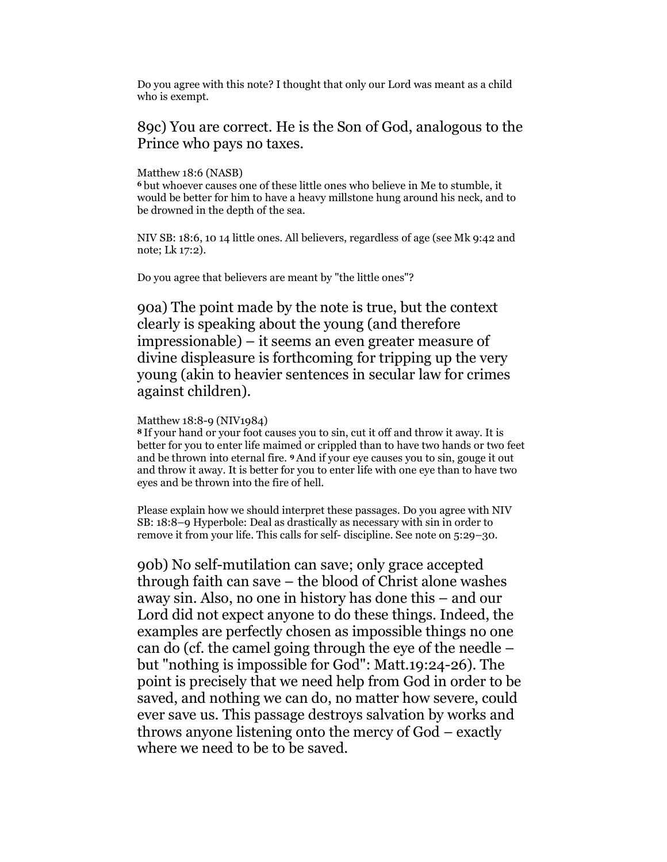Do you agree with this note? I thought that only our Lord was meant as a child who is exempt.

## 89c) You are correct. He is the Son of God, analogous to the Prince who pays no taxes.

### Matthew 18:6 (NASB)

<sup>6</sup>but whoever causes one of these little ones who believe in Me to stumble, it would be better for him to have a heavy millstone hung around his neck, and to be drowned in the depth of the sea.

NIV SB: 18:6, 10 14 little ones. All believers, regardless of age (see Mk 9:42 and note; Lk 17:2).

Do you agree that believers are meant by "the little ones"?

90a) The point made by the note is true, but the context clearly is speaking about the young (and therefore impressionable) – it seems an even greater measure of divine displeasure is forthcoming for tripping up the very young (akin to heavier sentences in secular law for crimes against children).

### Matthew 18:8-9 (NIV1984)

<sup>8</sup>If your hand or your foot causes you to sin, cut it off and throw it away. It is better for you to enter life maimed or crippled than to have two hands or two feet and be thrown into eternal fire. 9 And if your eye causes you to sin, gouge it out and throw it away. It is better for you to enter life with one eye than to have two eyes and be thrown into the fire of hell.

Please explain how we should interpret these passages. Do you agree with NIV SB: 18:8–9 Hyperbole: Deal as drastically as necessary with sin in order to remove it from your life. This calls for self- discipline. See note on 5:29–30.

90b) No self-mutilation can save; only grace accepted through faith can save – the blood of Christ alone washes away sin. Also, no one in history has done this – and our Lord did not expect anyone to do these things. Indeed, the examples are perfectly chosen as impossible things no one can do (cf. the camel going through the eye of the needle – but "nothing is impossible for God": Matt.19:24-26). The point is precisely that we need help from God in order to be saved, and nothing we can do, no matter how severe, could ever save us. This passage destroys salvation by works and throws anyone listening onto the mercy of God – exactly where we need to be to be saved.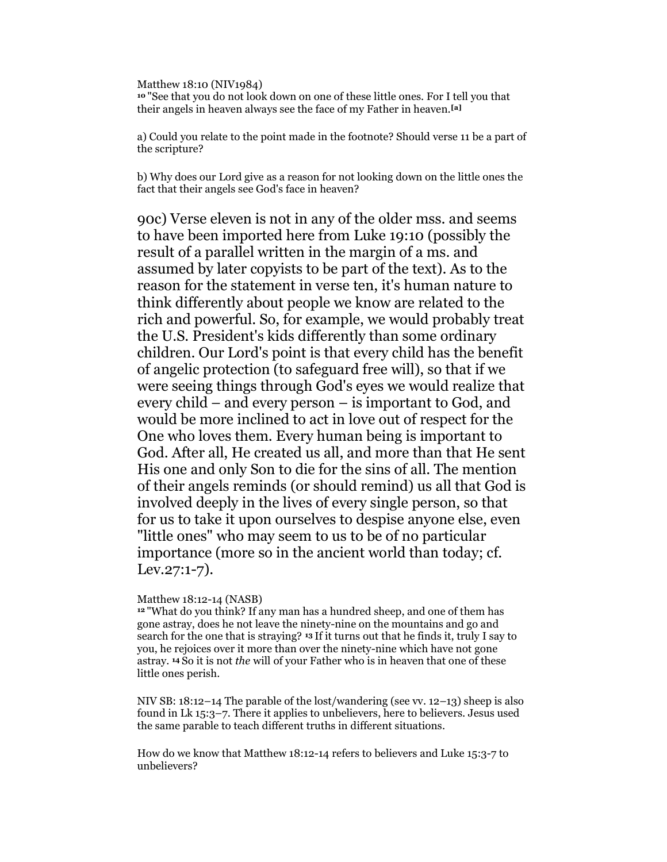Matthew 18:10 (NIV1984) <sup>10</sup>"See that you do not look down on one of these little ones. For I tell you that their angels in heaven always see the face of my Father in heaven.[a]

a) Could you relate to the point made in the footnote? Should verse 11 be a part of the scripture?

b) Why does our Lord give as a reason for not looking down on the little ones the fact that their angels see God's face in heaven?

90c) Verse eleven is not in any of the older mss. and seems to have been imported here from Luke 19:10 (possibly the result of a parallel written in the margin of a ms. and assumed by later copyists to be part of the text). As to the reason for the statement in verse ten, it's human nature to think differently about people we know are related to the rich and powerful. So, for example, we would probably treat the U.S. President's kids differently than some ordinary children. Our Lord's point is that every child has the benefit of angelic protection (to safeguard free will), so that if we were seeing things through God's eyes we would realize that every child – and every person – is important to God, and would be more inclined to act in love out of respect for the One who loves them. Every human being is important to God. After all, He created us all, and more than that He sent His one and only Son to die for the sins of all. The mention of their angels reminds (or should remind) us all that God is involved deeply in the lives of every single person, so that for us to take it upon ourselves to despise anyone else, even "little ones" who may seem to us to be of no particular importance (more so in the ancient world than today; cf. Lev.27:1-7).

### Matthew 18:12-14 (NASB)

<sup>12</sup>"What do you think? If any man has a hundred sheep, and one of them has gone astray, does he not leave the ninety-nine on the mountains and go and search for the one that is straying? 13 If it turns out that he finds it, truly I say to you, he rejoices over it more than over the ninety-nine which have not gone astray. 14 So it is not the will of your Father who is in heaven that one of these little ones perish.

NIV SB: 18:12–14 The parable of the lost/wandering (see vv. 12–13) sheep is also found in Lk 15:3–7. There it applies to unbelievers, here to believers. Jesus used the same parable to teach different truths in different situations.

How do we know that Matthew 18:12-14 refers to believers and Luke 15:3-7 to unbelievers?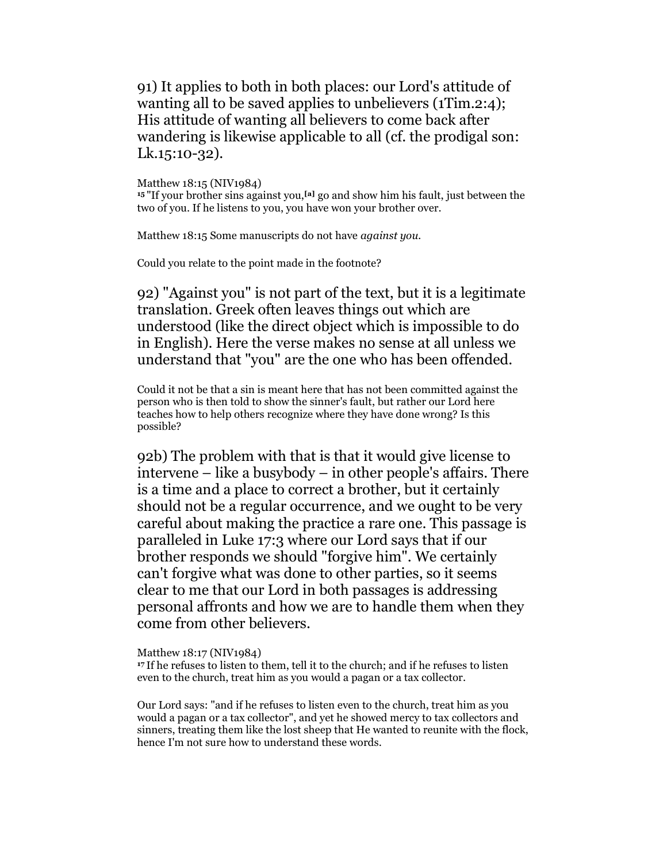91) It applies to both in both places: our Lord's attitude of wanting all to be saved applies to unbelievers (1Tim.2:4); His attitude of wanting all believers to come back after wandering is likewise applicable to all (cf. the prodigal son: Lk.15:10-32).

Matthew 18:15 (NIV1984)

 $15$  "If your brother sins against you,<sup>[a]</sup> go and show him his fault, just between the two of you. If he listens to you, you have won your brother over.

Matthew 18:15 Some manuscripts do not have *against you*.

Could you relate to the point made in the footnote?

92) "Against you" is not part of the text, but it is a legitimate translation. Greek often leaves things out which are understood (like the direct object which is impossible to do in English). Here the verse makes no sense at all unless we understand that "you" are the one who has been offended.

Could it not be that a sin is meant here that has not been committed against the person who is then told to show the sinner's fault, but rather our Lord here teaches how to help others recognize where they have done wrong? Is this possible?

92b) The problem with that is that it would give license to intervene – like a busybody – in other people's affairs. There is a time and a place to correct a brother, but it certainly should not be a regular occurrence, and we ought to be very careful about making the practice a rare one. This passage is paralleled in Luke 17:3 where our Lord says that if our brother responds we should "forgive him". We certainly can't forgive what was done to other parties, so it seems clear to me that our Lord in both passages is addressing personal affronts and how we are to handle them when they come from other believers.

Matthew 18:17 (NIV1984)

<sup>17</sup>If he refuses to listen to them, tell it to the church; and if he refuses to listen even to the church, treat him as you would a pagan or a tax collector.

Our Lord says: "and if he refuses to listen even to the church, treat him as you would a pagan or a tax collector", and yet he showed mercy to tax collectors and sinners, treating them like the lost sheep that He wanted to reunite with the flock, hence I'm not sure how to understand these words.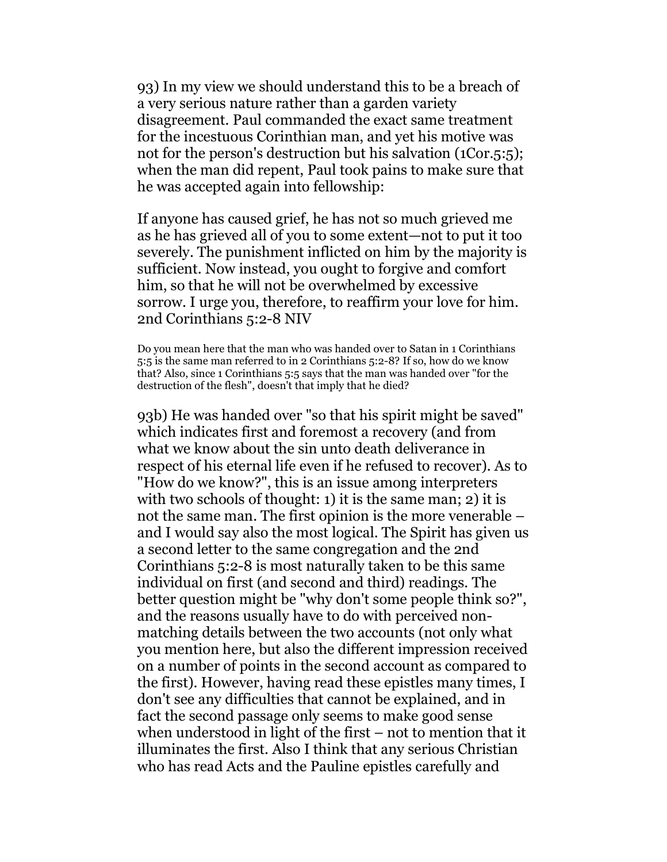93) In my view we should understand this to be a breach of a very serious nature rather than a garden variety disagreement. Paul commanded the exact same treatment for the incestuous Corinthian man, and yet his motive was not for the person's destruction but his salvation (1Cor.5:5); when the man did repent, Paul took pains to make sure that he was accepted again into fellowship:

If anyone has caused grief, he has not so much grieved me as he has grieved all of you to some extent—not to put it too severely. The punishment inflicted on him by the majority is sufficient. Now instead, you ought to forgive and comfort him, so that he will not be overwhelmed by excessive sorrow. I urge you, therefore, to reaffirm your love for him. 2nd Corinthians 5:2-8 NIV

Do you mean here that the man who was handed over to Satan in 1 Corinthians 5:5 is the same man referred to in 2 Corinthians 5:2-8? If so, how do we know that? Also, since 1 Corinthians 5:5 says that the man was handed over "for the destruction of the flesh", doesn't that imply that he died?

93b) He was handed over "so that his spirit might be saved" which indicates first and foremost a recovery (and from what we know about the sin unto death deliverance in respect of his eternal life even if he refused to recover). As to "How do we know?", this is an issue among interpreters with two schools of thought: 1) it is the same man; 2) it is not the same man. The first opinion is the more venerable – and I would say also the most logical. The Spirit has given us a second letter to the same congregation and the 2nd Corinthians 5:2-8 is most naturally taken to be this same individual on first (and second and third) readings. The better question might be "why don't some people think so?", and the reasons usually have to do with perceived nonmatching details between the two accounts (not only what you mention here, but also the different impression received on a number of points in the second account as compared to the first). However, having read these epistles many times, I don't see any difficulties that cannot be explained, and in fact the second passage only seems to make good sense when understood in light of the first – not to mention that it illuminates the first. Also I think that any serious Christian who has read Acts and the Pauline epistles carefully and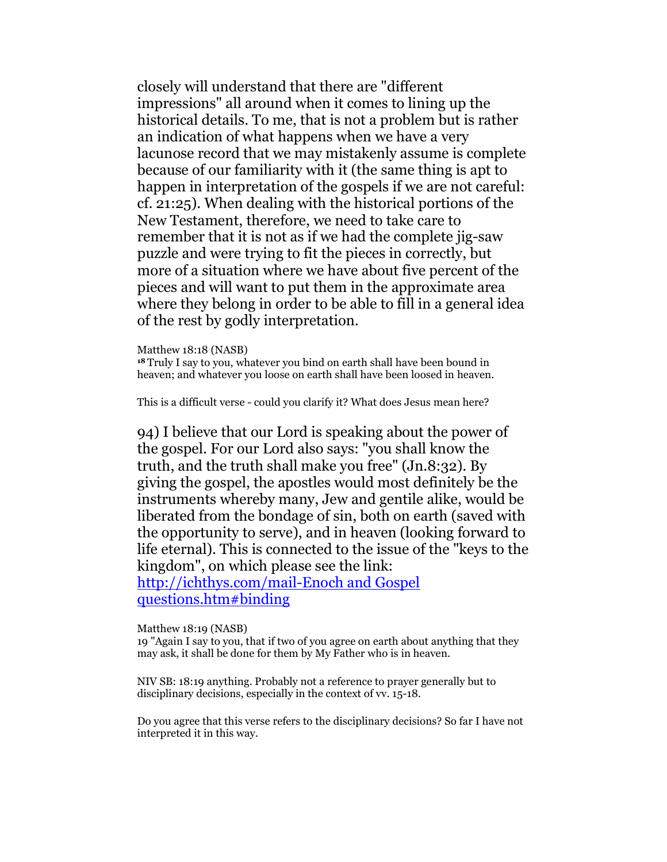closely will understand that there are "different impressions" all around when it comes to lining up the historical details. To me, that is not a problem but is rather an indication of what happens when we have a very lacunose record that we may mistakenly assume is complete because of our familiarity with it (the same thing is apt to happen in interpretation of the gospels if we are not careful: cf. 21:25). When dealing with the historical portions of the New Testament, therefore, we need to take care to remember that it is not as if we had the complete jig-saw puzzle and were trying to fit the pieces in correctly, but more of a situation where we have about five percent of the pieces and will want to put them in the approximate area where they belong in order to be able to fill in a general idea of the rest by godly interpretation.

#### Matthew 18:18 (NASB)

<sup>18</sup>Truly I say to you, whatever you bind on earth shall have been bound in heaven; and whatever you loose on earth shall have been loosed in heaven.

This is a difficult verse - could you clarify it? What does Jesus mean here?

94) I believe that our Lord is speaking about the power of the gospel. For our Lord also says: "you shall know the truth, and the truth shall make you free" (Jn.8:32). By giving the gospel, the apostles would most definitely be the instruments whereby many, Jew and gentile alike, would be liberated from the bondage of sin, both on earth (saved with the opportunity to serve), and in heaven (looking forward to life eternal). This is connected to the issue of the "keys to the kingdom", on which please see the link: http://ichthys.com/mail-Enoch and Gospel questions.htm#binding

Matthew 18:19 (NASB)

19 "Again I say to you, that if two of you agree on earth about anything that they may ask, it shall be done for them by My Father who is in heaven.

NIV SB: 18:19 anything. Probably not a reference to prayer generally but to disciplinary decisions, especially in the context of vv. 15-18.

Do you agree that this verse refers to the disciplinary decisions? So far I have not interpreted it in this way.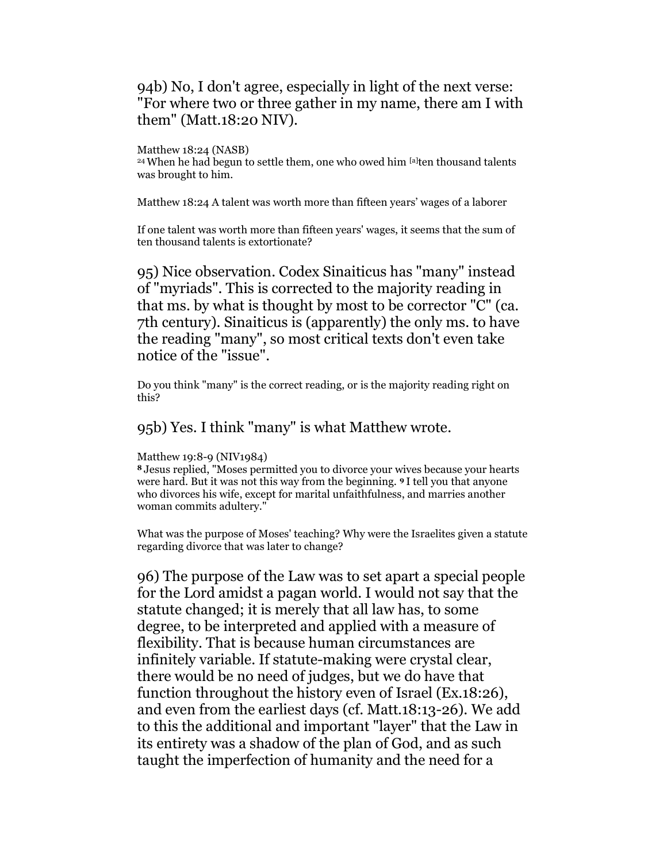# 94b) No, I don't agree, especially in light of the next verse: "For where two or three gather in my name, there am I with them" (Matt.18:20 NIV).

### Matthew 18:24 (NASB)

<sup>24</sup>When he had begun to settle them, one who owed him [a]ten thousand talents was brought to him.

Matthew 18:24 A talent was worth more than fifteen years' wages of a laborer

If one talent was worth more than fifteen years' wages, it seems that the sum of ten thousand talents is extortionate?

95) Nice observation. Codex Sinaiticus has "many" instead of "myriads". This is corrected to the majority reading in that ms. by what is thought by most to be corrector "C" (ca. 7th century). Sinaiticus is (apparently) the only ms. to have the reading "many", so most critical texts don't even take notice of the "issue".

Do you think "many" is the correct reading, or is the majority reading right on this?

## 95b) Yes. I think "many" is what Matthew wrote.

#### Matthew 19:8-9 (NIV1984)

<sup>8</sup>Jesus replied, "Moses permitted you to divorce your wives because your hearts were hard. But it was not this way from the beginning. 9 I tell you that anyone who divorces his wife, except for marital unfaithfulness, and marries another woman commits adultery."

What was the purpose of Moses' teaching? Why were the Israelites given a statute regarding divorce that was later to change?

96) The purpose of the Law was to set apart a special people for the Lord amidst a pagan world. I would not say that the statute changed; it is merely that all law has, to some degree, to be interpreted and applied with a measure of flexibility. That is because human circumstances are infinitely variable. If statute-making were crystal clear, there would be no need of judges, but we do have that function throughout the history even of Israel (Ex.18:26), and even from the earliest days (cf. Matt.18:13-26). We add to this the additional and important "layer" that the Law in its entirety was a shadow of the plan of God, and as such taught the imperfection of humanity and the need for a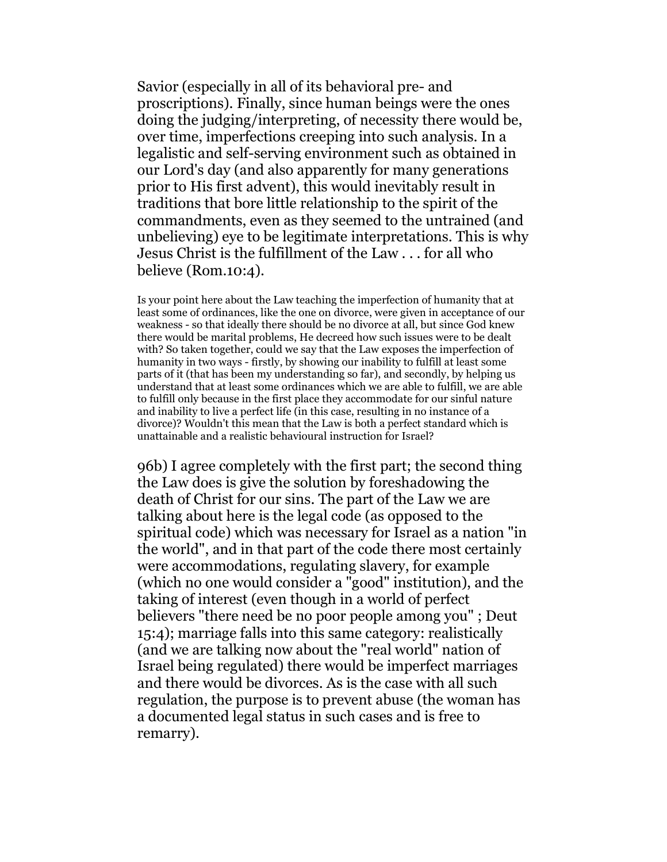Savior (especially in all of its behavioral pre- and proscriptions). Finally, since human beings were the ones doing the judging/interpreting, of necessity there would be, over time, imperfections creeping into such analysis. In a legalistic and self-serving environment such as obtained in our Lord's day (and also apparently for many generations prior to His first advent), this would inevitably result in traditions that bore little relationship to the spirit of the commandments, even as they seemed to the untrained (and unbelieving) eye to be legitimate interpretations. This is why Jesus Christ is the fulfillment of the Law . . . for all who believe (Rom.10:4).

Is your point here about the Law teaching the imperfection of humanity that at least some of ordinances, like the one on divorce, were given in acceptance of our weakness - so that ideally there should be no divorce at all, but since God knew there would be marital problems, He decreed how such issues were to be dealt with? So taken together, could we say that the Law exposes the imperfection of humanity in two ways - firstly, by showing our inability to fulfill at least some parts of it (that has been my understanding so far), and secondly, by helping us understand that at least some ordinances which we are able to fulfill, we are able to fulfill only because in the first place they accommodate for our sinful nature and inability to live a perfect life (in this case, resulting in no instance of a divorce)? Wouldn't this mean that the Law is both a perfect standard which is unattainable and a realistic behavioural instruction for Israel?

96b) I agree completely with the first part; the second thing the Law does is give the solution by foreshadowing the death of Christ for our sins. The part of the Law we are talking about here is the legal code (as opposed to the spiritual code) which was necessary for Israel as a nation "in the world", and in that part of the code there most certainly were accommodations, regulating slavery, for example (which no one would consider a "good" institution), and the taking of interest (even though in a world of perfect believers "there need be no poor people among you" ; Deut 15:4); marriage falls into this same category: realistically (and we are talking now about the "real world" nation of Israel being regulated) there would be imperfect marriages and there would be divorces. As is the case with all such regulation, the purpose is to prevent abuse (the woman has a documented legal status in such cases and is free to remarry).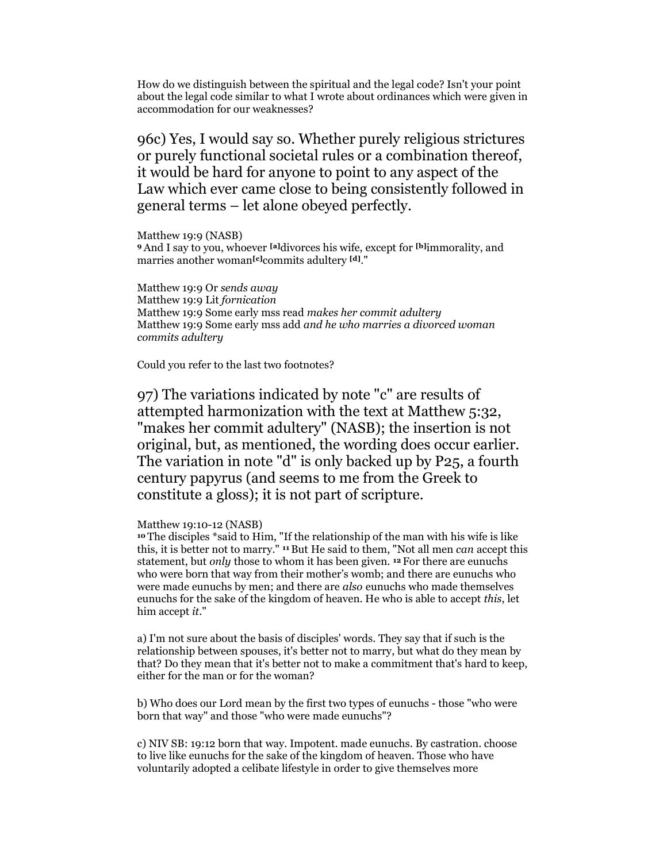How do we distinguish between the spiritual and the legal code? Isn't your point about the legal code similar to what I wrote about ordinances which were given in accommodation for our weaknesses?

96c) Yes, I would say so. Whether purely religious strictures or purely functional societal rules or a combination thereof, it would be hard for anyone to point to any aspect of the Law which ever came close to being consistently followed in general terms – let alone obeyed perfectly.

Matthew 19:9 (NASB) <sup>9</sup>And I say to you, whoever [a]divorces his wife, except for [b]immorality, and marries another woman<sup>[c]</sup>commits adultery <sup>[d]</sup>."

Matthew 19:9 Or sends away Matthew 19:9 Lit fornication Matthew 19:9 Some early mss read makes her commit adultery Matthew 19:9 Some early mss add and he who marries a divorced woman commits adultery

Could you refer to the last two footnotes?

97) The variations indicated by note "c" are results of attempted harmonization with the text at Matthew 5:32, "makes her commit adultery" (NASB); the insertion is not original, but, as mentioned, the wording does occur earlier. The variation in note "d" is only backed up by P25, a fourth century papyrus (and seems to me from the Greek to constitute a gloss); it is not part of scripture.

#### Matthew 19:10-12 (NASB)

<sup>10</sup>The disciples \*said to Him, "If the relationship of the man with his wife is like this, it is better not to marry." 11 But He said to them, "Not all men can accept this statement, but *only* those to whom it has been given. <sup>12</sup> For there are eunuchs who were born that way from their mother's womb; and there are eunuchs who were made eunuchs by men; and there are *also* eunuchs who made themselves eunuchs for the sake of the kingdom of heaven. He who is able to accept this, let him accept it."

a) I'm not sure about the basis of disciples' words. They say that if such is the relationship between spouses, it's better not to marry, but what do they mean by that? Do they mean that it's better not to make a commitment that's hard to keep, either for the man or for the woman?

b) Who does our Lord mean by the first two types of eunuchs - those "who were born that way" and those "who were made eunuchs"?

c) NIV SB: 19:12 born that way. Impotent. made eunuchs. By castration. choose to live like eunuchs for the sake of the kingdom of heaven. Those who have voluntarily adopted a celibate lifestyle in order to give themselves more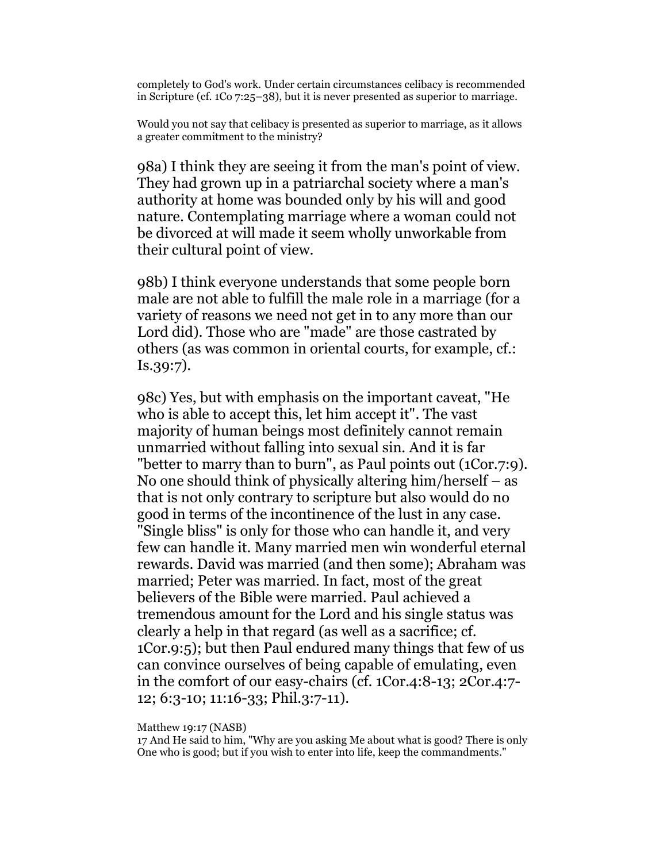completely to God's work. Under certain circumstances celibacy is recommended in Scripture (cf. 1Co 7:25–38), but it is never presented as superior to marriage.

Would you not say that celibacy is presented as superior to marriage, as it allows a greater commitment to the ministry?

98a) I think they are seeing it from the man's point of view. They had grown up in a patriarchal society where a man's authority at home was bounded only by his will and good nature. Contemplating marriage where a woman could not be divorced at will made it seem wholly unworkable from their cultural point of view.

98b) I think everyone understands that some people born male are not able to fulfill the male role in a marriage (for a variety of reasons we need not get in to any more than our Lord did). Those who are "made" are those castrated by others (as was common in oriental courts, for example, cf.: Is.39:7).

98c) Yes, but with emphasis on the important caveat, "He who is able to accept this, let him accept it". The vast majority of human beings most definitely cannot remain unmarried without falling into sexual sin. And it is far "better to marry than to burn", as Paul points out (1Cor.7:9). No one should think of physically altering him/herself – as that is not only contrary to scripture but also would do no good in terms of the incontinence of the lust in any case. "Single bliss" is only for those who can handle it, and very few can handle it. Many married men win wonderful eternal rewards. David was married (and then some); Abraham was married; Peter was married. In fact, most of the great believers of the Bible were married. Paul achieved a tremendous amount for the Lord and his single status was clearly a help in that regard (as well as a sacrifice; cf. 1Cor.9:5); but then Paul endured many things that few of us can convince ourselves of being capable of emulating, even in the comfort of our easy-chairs (cf. 1Cor.4:8-13; 2Cor.4:7- 12; 6:3-10; 11:16-33; Phil.3:7-11).

Matthew 19:17 (NASB)

17 And He said to him, "Why are you asking Me about what is good? There is only One who is good; but if you wish to enter into life, keep the commandments."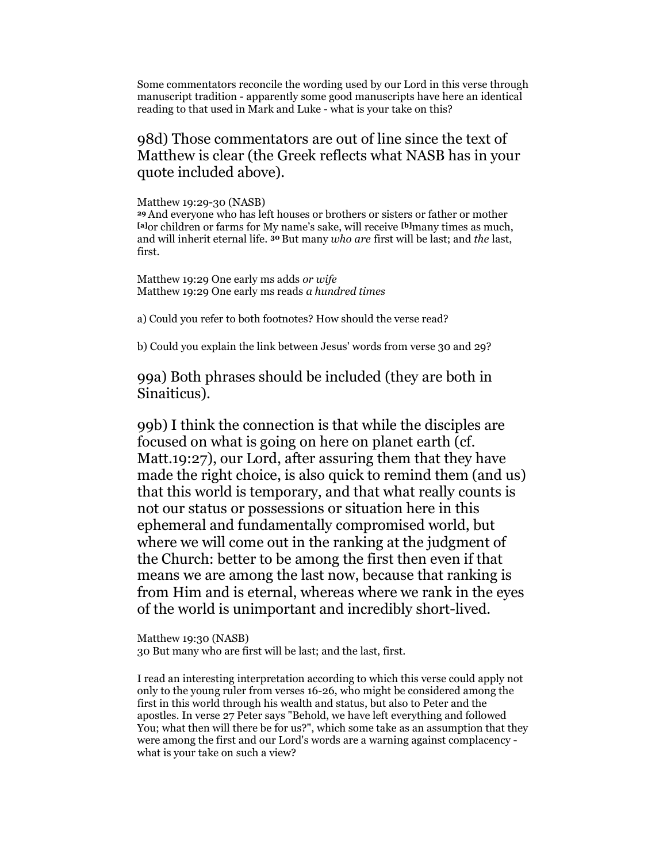Some commentators reconcile the wording used by our Lord in this verse through manuscript tradition - apparently some good manuscripts have here an identical reading to that used in Mark and Luke - what is your take on this?

# 98d) Those commentators are out of line since the text of Matthew is clear (the Greek reflects what NASB has in your quote included above).

#### Matthew 19:29-30 (NASB)

<sup>29</sup>And everyone who has left houses or brothers or sisters or father or mother [a]or children or farms for My name's sake, will receive [b]many times as much, and will inherit eternal life. <sup>30</sup> But many who are first will be last; and the last, first.

Matthew 19:29 One early ms adds or wife Matthew 19:29 One early ms reads a hundred times

a) Could you refer to both footnotes? How should the verse read?

b) Could you explain the link between Jesus' words from verse 30 and 29?

99a) Both phrases should be included (they are both in Sinaiticus).

99b) I think the connection is that while the disciples are focused on what is going on here on planet earth (cf. Matt.19:27), our Lord, after assuring them that they have made the right choice, is also quick to remind them (and us) that this world is temporary, and that what really counts is not our status or possessions or situation here in this ephemeral and fundamentally compromised world, but where we will come out in the ranking at the judgment of the Church: better to be among the first then even if that means we are among the last now, because that ranking is from Him and is eternal, whereas where we rank in the eyes of the world is unimportant and incredibly short-lived.

Matthew 19:30 (NASB) 30 But many who are first will be last; and the last, first.

I read an interesting interpretation according to which this verse could apply not only to the young ruler from verses 16-26, who might be considered among the first in this world through his wealth and status, but also to Peter and the apostles. In verse 27 Peter says "Behold, we have left everything and followed You; what then will there be for us?", which some take as an assumption that they were among the first and our Lord's words are a warning against complacency what is your take on such a view?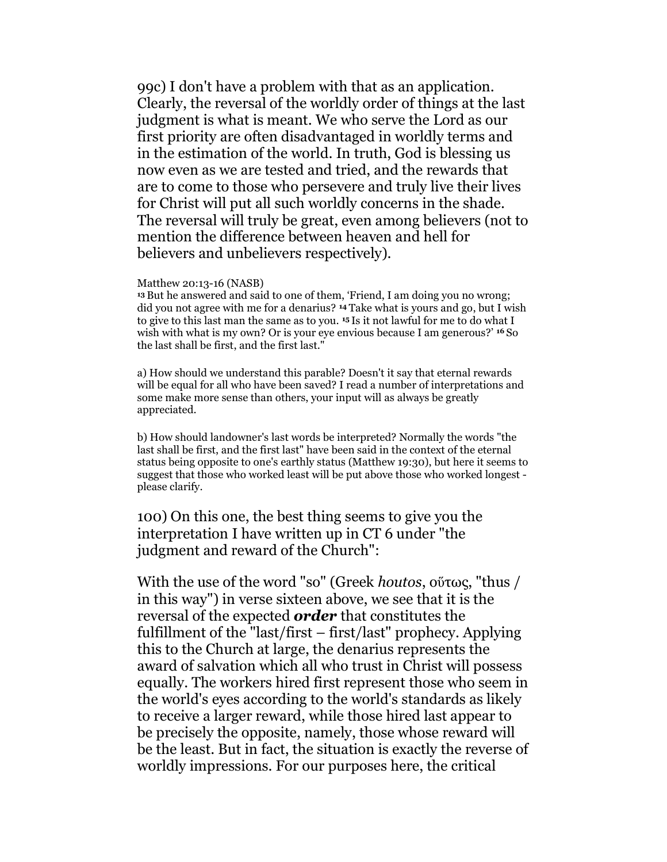99c) I don't have a problem with that as an application. Clearly, the reversal of the worldly order of things at the last judgment is what is meant. We who serve the Lord as our first priority are often disadvantaged in worldly terms and in the estimation of the world. In truth, God is blessing us now even as we are tested and tried, and the rewards that are to come to those who persevere and truly live their lives for Christ will put all such worldly concerns in the shade. The reversal will truly be great, even among believers (not to mention the difference between heaven and hell for believers and unbelievers respectively).

#### Matthew 20:13-16 (NASB)

<sup>13</sup>But he answered and said to one of them, 'Friend, I am doing you no wrong; did you not agree with me for a denarius? 14 Take what is yours and go, but I wish to give to this last man the same as to you. 15 Is it not lawful for me to do what I wish with what is my own? Or is your eye envious because I am generous?' <sup>16</sup> So the last shall be first, and the first last."

a) How should we understand this parable? Doesn't it say that eternal rewards will be equal for all who have been saved? I read a number of interpretations and some make more sense than others, your input will as always be greatly appreciated.

b) How should landowner's last words be interpreted? Normally the words "the last shall be first, and the first last" have been said in the context of the eternal status being opposite to one's earthly status (Matthew 19:30), but here it seems to suggest that those who worked least will be put above those who worked longest please clarify.

100) On this one, the best thing seems to give you the interpretation I have written up in CT 6 under "the judgment and reward of the Church":

With the use of the word "so" (Greek houtos, οὕτως, "thus / in this way") in verse sixteen above, we see that it is the reversal of the expected **order** that constitutes the fulfillment of the "last/first – first/last" prophecy. Applying this to the Church at large, the denarius represents the award of salvation which all who trust in Christ will possess equally. The workers hired first represent those who seem in the world's eyes according to the world's standards as likely to receive a larger reward, while those hired last appear to be precisely the opposite, namely, those whose reward will be the least. But in fact, the situation is exactly the reverse of worldly impressions. For our purposes here, the critical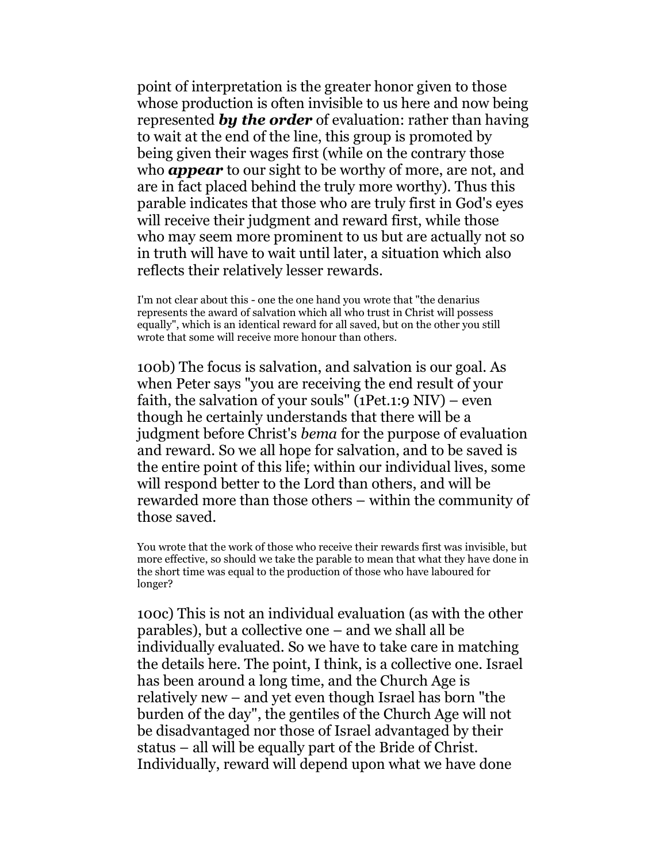point of interpretation is the greater honor given to those whose production is often invisible to us here and now being represented **by the order** of evaluation: rather than having to wait at the end of the line, this group is promoted by being given their wages first (while on the contrary those who **appear** to our sight to be worthy of more, are not, and are in fact placed behind the truly more worthy). Thus this parable indicates that those who are truly first in God's eyes will receive their judgment and reward first, while those who may seem more prominent to us but are actually not so in truth will have to wait until later, a situation which also reflects their relatively lesser rewards.

I'm not clear about this - one the one hand you wrote that "the denarius represents the award of salvation which all who trust in Christ will possess equally", which is an identical reward for all saved, but on the other you still wrote that some will receive more honour than others.

100b) The focus is salvation, and salvation is our goal. As when Peter says "you are receiving the end result of your faith, the salvation of your souls" (1Pet.1:9  $NIV$ ) – even though he certainly understands that there will be a judgment before Christ's bema for the purpose of evaluation and reward. So we all hope for salvation, and to be saved is the entire point of this life; within our individual lives, some will respond better to the Lord than others, and will be rewarded more than those others – within the community of those saved.

You wrote that the work of those who receive their rewards first was invisible, but more effective, so should we take the parable to mean that what they have done in the short time was equal to the production of those who have laboured for longer?

100c) This is not an individual evaluation (as with the other parables), but a collective one – and we shall all be individually evaluated. So we have to take care in matching the details here. The point, I think, is a collective one. Israel has been around a long time, and the Church Age is relatively new – and yet even though Israel has born "the burden of the day", the gentiles of the Church Age will not be disadvantaged nor those of Israel advantaged by their status – all will be equally part of the Bride of Christ. Individually, reward will depend upon what we have done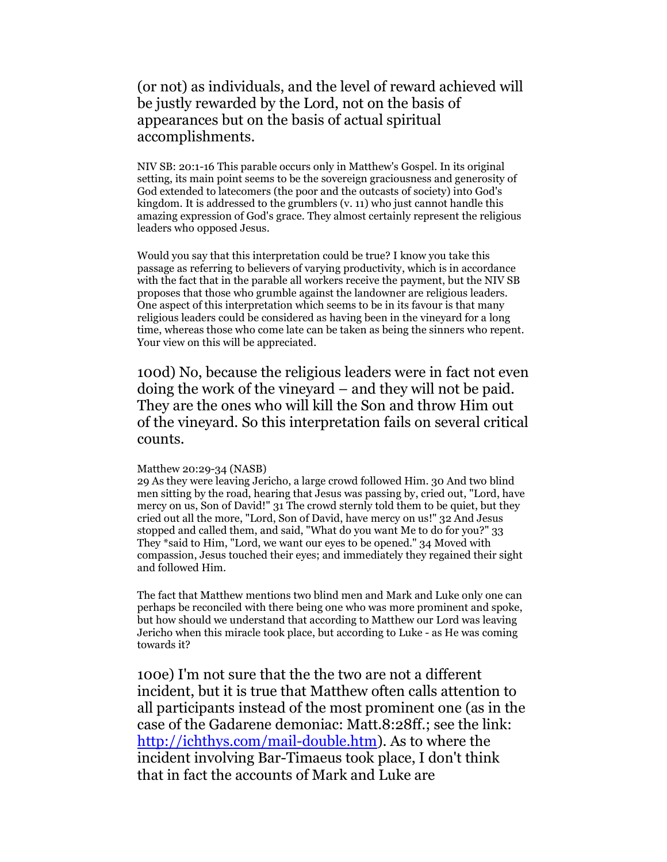(or not) as individuals, and the level of reward achieved will be justly rewarded by the Lord, not on the basis of appearances but on the basis of actual spiritual accomplishments.

NIV SB: 20:1-16 This parable occurs only in Matthew's Gospel. In its original setting, its main point seems to be the sovereign graciousness and generosity of God extended to latecomers (the poor and the outcasts of society) into God's kingdom. It is addressed to the grumblers (v. 11) who just cannot handle this amazing expression of God's grace. They almost certainly represent the religious leaders who opposed Jesus.

Would you say that this interpretation could be true? I know you take this passage as referring to believers of varying productivity, which is in accordance with the fact that in the parable all workers receive the payment, but the NIV SB proposes that those who grumble against the landowner are religious leaders. One aspect of this interpretation which seems to be in its favour is that many religious leaders could be considered as having been in the vineyard for a long time, whereas those who come late can be taken as being the sinners who repent. Your view on this will be appreciated.

100d) No, because the religious leaders were in fact not even doing the work of the vineyard – and they will not be paid. They are the ones who will kill the Son and throw Him out of the vineyard. So this interpretation fails on several critical counts.

### Matthew 20:29-34 (NASB)

29 As they were leaving Jericho, a large crowd followed Him. 30 And two blind men sitting by the road, hearing that Jesus was passing by, cried out, "Lord, have mercy on us, Son of David!" 31 The crowd sternly told them to be quiet, but they cried out all the more, "Lord, Son of David, have mercy on us!" 32 And Jesus stopped and called them, and said, "What do you want Me to do for you?" 33 They \*said to Him, "Lord, we want our eyes to be opened." 34 Moved with compassion, Jesus touched their eyes; and immediately they regained their sight and followed Him.

The fact that Matthew mentions two blind men and Mark and Luke only one can perhaps be reconciled with there being one who was more prominent and spoke, but how should we understand that according to Matthew our Lord was leaving Jericho when this miracle took place, but according to Luke - as He was coming towards it?

100e) I'm not sure that the the two are not a different incident, but it is true that Matthew often calls attention to all participants instead of the most prominent one (as in the case of the Gadarene demoniac: Matt.8:28ff.; see the link: http://ichthys.com/mail-double.htm). As to where the incident involving Bar-Timaeus took place, I don't think that in fact the accounts of Mark and Luke are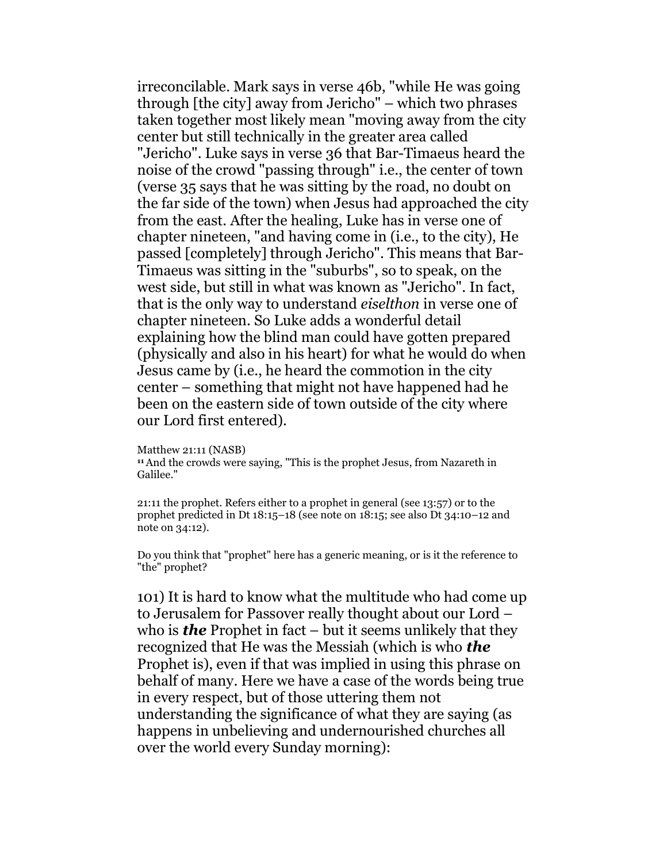irreconcilable. Mark says in verse 46b, "while He was going through [the city] away from Jericho" – which two phrases taken together most likely mean "moving away from the city center but still technically in the greater area called "Jericho". Luke says in verse 36 that Bar-Timaeus heard the noise of the crowd "passing through" i.e., the center of town (verse 35 says that he was sitting by the road, no doubt on the far side of the town) when Jesus had approached the city from the east. After the healing, Luke has in verse one of chapter nineteen, "and having come in (i.e., to the city), He passed [completely] through Jericho". This means that Bar-Timaeus was sitting in the "suburbs", so to speak, on the west side, but still in what was known as "Jericho". In fact, that is the only way to understand eiselthon in verse one of chapter nineteen. So Luke adds a wonderful detail explaining how the blind man could have gotten prepared (physically and also in his heart) for what he would do when Jesus came by (i.e., he heard the commotion in the city center – something that might not have happened had he been on the eastern side of town outside of the city where our Lord first entered).

Matthew 21:11 (NASB)

<sup>11</sup>And the crowds were saying, "This is the prophet Jesus, from Nazareth in Galilee."

21:11 the prophet. Refers either to a prophet in general (see 13:57) or to the prophet predicted in Dt 18:15–18 (see note on 18:15; see also Dt 34:10–12 and note on 34:12).

Do you think that "prophet" here has a generic meaning, or is it the reference to "the" prophet?

101) It is hard to know what the multitude who had come up to Jerusalem for Passover really thought about our Lord – who is **the** Prophet in fact – but it seems unlikely that they recognized that He was the Messiah (which is who **the** Prophet is), even if that was implied in using this phrase on behalf of many. Here we have a case of the words being true in every respect, but of those uttering them not understanding the significance of what they are saying (as happens in unbelieving and undernourished churches all over the world every Sunday morning):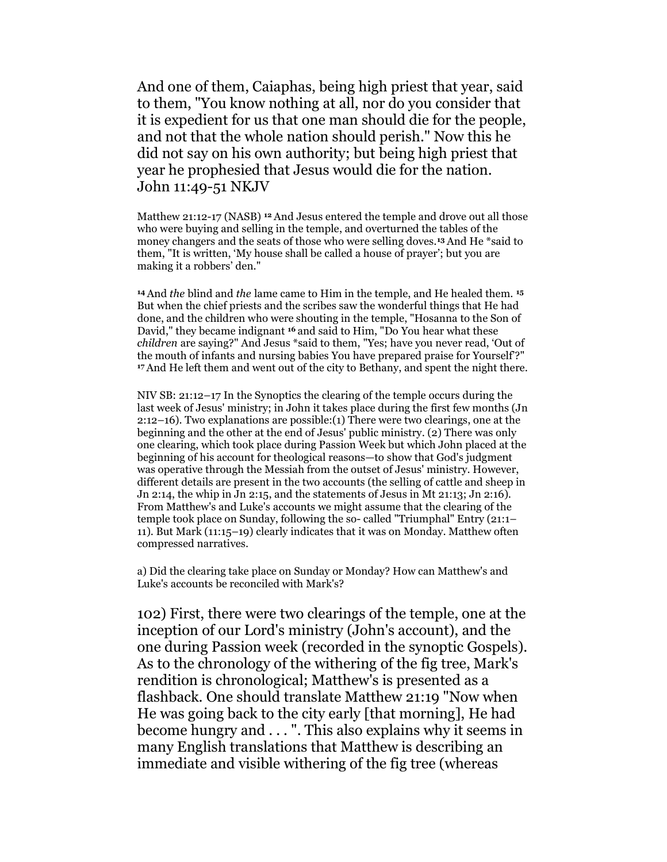And one of them, Caiaphas, being high priest that year, said to them, "You know nothing at all, nor do you consider that it is expedient for us that one man should die for the people, and not that the whole nation should perish." Now this he did not say on his own authority; but being high priest that year he prophesied that Jesus would die for the nation. John 11:49-51 NKJV

Matthew 21:12-17 (NASB) <sup>12</sup> And Jesus entered the temple and drove out all those who were buying and selling in the temple, and overturned the tables of the money changers and the seats of those who were selling doves.13 And He \*said to them, "It is written, 'My house shall be called a house of prayer'; but you are making it a robbers' den."

<sup>14</sup>And the blind and the lame came to Him in the temple, and He healed them. <sup>15</sup> But when the chief priests and the scribes saw the wonderful things that He had done, and the children who were shouting in the temple, "Hosanna to the Son of David," they became indignant 16 and said to Him, "Do You hear what these children are saying?" And Jesus \*said to them, "Yes; have you never read, 'Out of the mouth of infants and nursing babies You have prepared praise for Yourself'?" <sup>17</sup>And He left them and went out of the city to Bethany, and spent the night there.

NIV SB: 21:12–17 In the Synoptics the clearing of the temple occurs during the last week of Jesus' ministry; in John it takes place during the first few months (Jn 2:12–16). Two explanations are possible:(1) There were two clearings, one at the beginning and the other at the end of Jesus' public ministry. (2) There was only one clearing, which took place during Passion Week but which John placed at the beginning of his account for theological reasons—to show that God's judgment was operative through the Messiah from the outset of Jesus' ministry. However, different details are present in the two accounts (the selling of cattle and sheep in Jn 2:14, the whip in Jn 2:15, and the statements of Jesus in Mt 21:13; Jn 2:16). From Matthew's and Luke's accounts we might assume that the clearing of the temple took place on Sunday, following the so- called "Triumphal" Entry (21:1– 11). But Mark (11:15–19) clearly indicates that it was on Monday. Matthew often compressed narratives.

a) Did the clearing take place on Sunday or Monday? How can Matthew's and Luke's accounts be reconciled with Mark's?

102) First, there were two clearings of the temple, one at the inception of our Lord's ministry (John's account), and the one during Passion week (recorded in the synoptic Gospels). As to the chronology of the withering of the fig tree, Mark's rendition is chronological; Matthew's is presented as a flashback. One should translate Matthew 21:19 "Now when He was going back to the city early [that morning], He had become hungry and . . . ". This also explains why it seems in many English translations that Matthew is describing an immediate and visible withering of the fig tree (whereas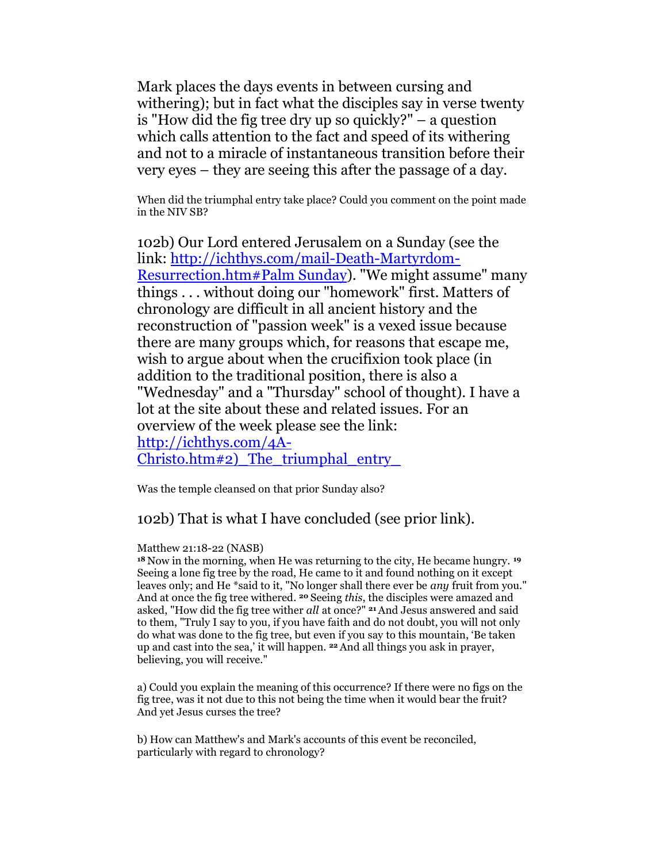Mark places the days events in between cursing and withering); but in fact what the disciples say in verse twenty is "How did the fig tree dry up so quickly?" – a question which calls attention to the fact and speed of its withering and not to a miracle of instantaneous transition before their very eyes – they are seeing this after the passage of a day.

When did the triumphal entry take place? Could you comment on the point made in the NIV SB?

102b) Our Lord entered Jerusalem on a Sunday (see the link: http://ichthys.com/mail-Death-Martyrdom-Resurrection.htm#Palm Sunday). "We might assume" many things . . . without doing our "homework" first. Matters of chronology are difficult in all ancient history and the reconstruction of "passion week" is a vexed issue because there are many groups which, for reasons that escape me, wish to argue about when the crucifixion took place (in addition to the traditional position, there is also a "Wednesday" and a "Thursday" school of thought). I have a lot at the site about these and related issues. For an overview of the week please see the link: http://ichthys.com/4A-Christo.htm#2) The triumphal entry

Was the temple cleansed on that prior Sunday also?

## 102b) That is what I have concluded (see prior link).

### Matthew 21:18-22 (NASB)

<sup>18</sup> Now in the morning, when He was returning to the city, He became hungry. <sup>19</sup> Seeing a lone fig tree by the road, He came to it and found nothing on it except leaves only; and He \*said to it, "No longer shall there ever be *any* fruit from you." And at once the fig tree withered. <sup>20</sup> Seeing this, the disciples were amazed and asked, "How did the fig tree wither all at once?" <sup>21</sup> And Jesus answered and said to them, "Truly I say to you, if you have faith and do not doubt, you will not only do what was done to the fig tree, but even if you say to this mountain, 'Be taken up and cast into the sea,' it will happen. 22 And all things you ask in prayer, believing, you will receive."

a) Could you explain the meaning of this occurrence? If there were no figs on the fig tree, was it not due to this not being the time when it would bear the fruit? And yet Jesus curses the tree?

b) How can Matthew's and Mark's accounts of this event be reconciled, particularly with regard to chronology?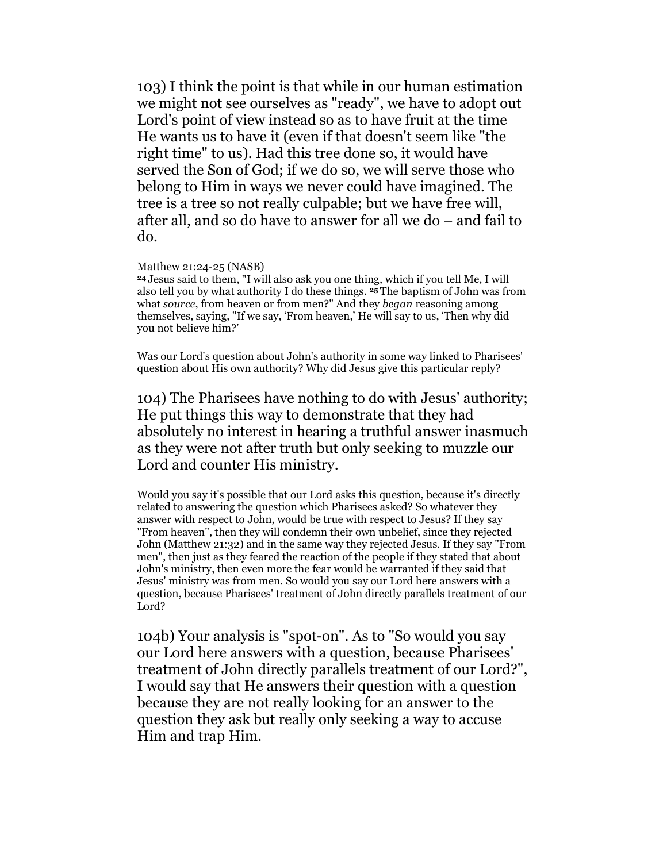103) I think the point is that while in our human estimation we might not see ourselves as "ready", we have to adopt out Lord's point of view instead so as to have fruit at the time He wants us to have it (even if that doesn't seem like "the right time" to us). Had this tree done so, it would have served the Son of God; if we do so, we will serve those who belong to Him in ways we never could have imagined. The tree is a tree so not really culpable; but we have free will, after all, and so do have to answer for all we do – and fail to do.

#### Matthew 21:24-25 (NASB)

<sup>24</sup>Jesus said to them, "I will also ask you one thing, which if you tell Me, I will also tell you by what authority I do these things. 25 The baptism of John was from what source, from heaven or from men?" And they began reasoning among themselves, saying, "If we say, 'From heaven,' He will say to us, 'Then why did you not believe him?'

Was our Lord's question about John's authority in some way linked to Pharisees' question about His own authority? Why did Jesus give this particular reply?

104) The Pharisees have nothing to do with Jesus' authority; He put things this way to demonstrate that they had absolutely no interest in hearing a truthful answer inasmuch as they were not after truth but only seeking to muzzle our Lord and counter His ministry.

Would you say it's possible that our Lord asks this question, because it's directly related to answering the question which Pharisees asked? So whatever they answer with respect to John, would be true with respect to Jesus? If they say "From heaven", then they will condemn their own unbelief, since they rejected John (Matthew 21:32) and in the same way they rejected Jesus. If they say "From men", then just as they feared the reaction of the people if they stated that about John's ministry, then even more the fear would be warranted if they said that Jesus' ministry was from men. So would you say our Lord here answers with a question, because Pharisees' treatment of John directly parallels treatment of our Lord?

104b) Your analysis is "spot-on". As to "So would you say our Lord here answers with a question, because Pharisees' treatment of John directly parallels treatment of our Lord?", I would say that He answers their question with a question because they are not really looking for an answer to the question they ask but really only seeking a way to accuse Him and trap Him.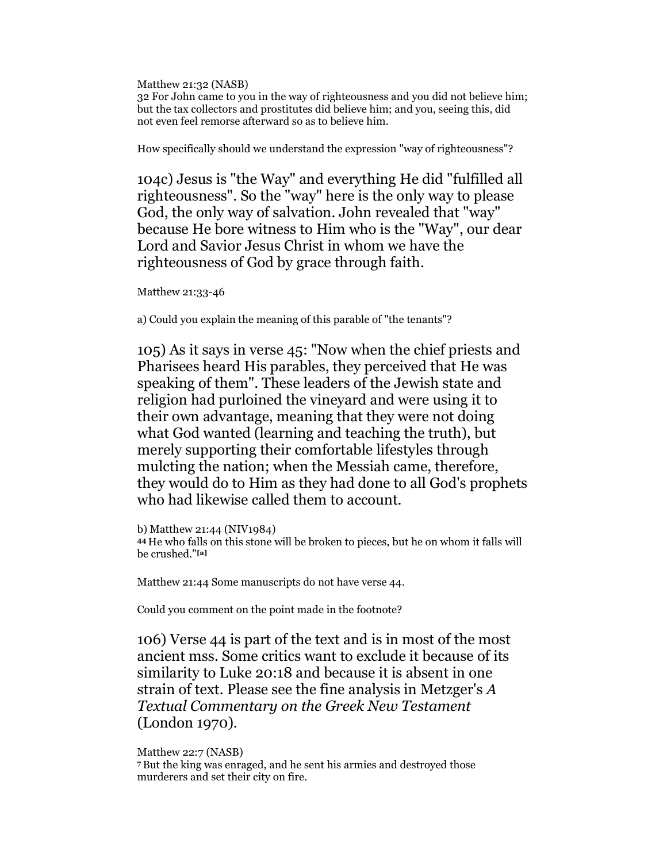Matthew 21:32 (NASB)

32 For John came to you in the way of righteousness and you did not believe him; but the tax collectors and prostitutes did believe him; and you, seeing this, did not even feel remorse afterward so as to believe him.

How specifically should we understand the expression "way of righteousness"?

104c) Jesus is "the Way" and everything He did "fulfilled all righteousness". So the "way" here is the only way to please God, the only way of salvation. John revealed that "way" because He bore witness to Him who is the "Way", our dear Lord and Savior Jesus Christ in whom we have the righteousness of God by grace through faith.

Matthew 21:33-46

a) Could you explain the meaning of this parable of "the tenants"?

105) As it says in verse 45: "Now when the chief priests and Pharisees heard His parables, they perceived that He was speaking of them". These leaders of the Jewish state and religion had purloined the vineyard and were using it to their own advantage, meaning that they were not doing what God wanted (learning and teaching the truth), but merely supporting their comfortable lifestyles through mulcting the nation; when the Messiah came, therefore, they would do to Him as they had done to all God's prophets who had likewise called them to account.

b) Matthew 21:44 (NIV1984) <sup>44</sup>He who falls on this stone will be broken to pieces, but he on whom it falls will be crushed."[a]

Matthew 21:44 Some manuscripts do not have verse 44.

Could you comment on the point made in the footnote?

106) Verse 44 is part of the text and is in most of the most ancient mss. Some critics want to exclude it because of its similarity to Luke 20:18 and because it is absent in one strain of text. Please see the fine analysis in Metzger's A Textual Commentary on the Greek New Testament (London 1970).

### Matthew 22:7 (NASB)

<sup>7</sup>But the king was enraged, and he sent his armies and destroyed those murderers and set their city on fire.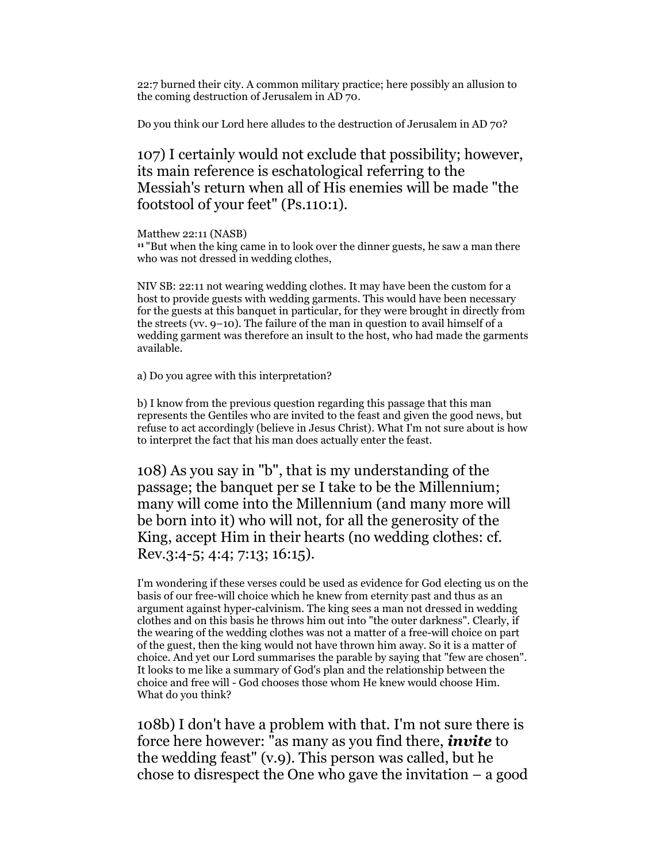22:7 burned their city. A common military practice; here possibly an allusion to the coming destruction of Jerusalem in AD 70.

Do you think our Lord here alludes to the destruction of Jerusalem in AD 70?

107) I certainly would not exclude that possibility; however, its main reference is eschatological referring to the Messiah's return when all of His enemies will be made "the footstool of your feet" (Ps.110:1).

Matthew 22:11 (NASB)

<sup>11</sup> "But when the king came in to look over the dinner guests, he saw a man there who was not dressed in wedding clothes,

NIV SB: 22:11 not wearing wedding clothes. It may have been the custom for a host to provide guests with wedding garments. This would have been necessary for the guests at this banquet in particular, for they were brought in directly from the streets (vv. 9–10). The failure of the man in question to avail himself of a wedding garment was therefore an insult to the host, who had made the garments available.

a) Do you agree with this interpretation?

b) I know from the previous question regarding this passage that this man represents the Gentiles who are invited to the feast and given the good news, but refuse to act accordingly (believe in Jesus Christ). What I'm not sure about is how to interpret the fact that his man does actually enter the feast.

108) As you say in "b", that is my understanding of the passage; the banquet per se I take to be the Millennium; many will come into the Millennium (and many more will be born into it) who will not, for all the generosity of the King, accept Him in their hearts (no wedding clothes: cf. Rev.3:4-5; 4:4; 7:13; 16:15).

I'm wondering if these verses could be used as evidence for God electing us on the basis of our free-will choice which he knew from eternity past and thus as an argument against hyper-calvinism. The king sees a man not dressed in wedding clothes and on this basis he throws him out into "the outer darkness". Clearly, if the wearing of the wedding clothes was not a matter of a free-will choice on part of the guest, then the king would not have thrown him away. So it is a matter of choice. And yet our Lord summarises the parable by saying that "few are chosen". It looks to me like a summary of God's plan and the relationship between the choice and free will - God chooses those whom He knew would choose Him. What do you think?

108b) I don't have a problem with that. I'm not sure there is force here however:  $\overline{u}$  as many as you find there, *invite* to the wedding feast" (v.9). This person was called, but he chose to disrespect the One who gave the invitation – a good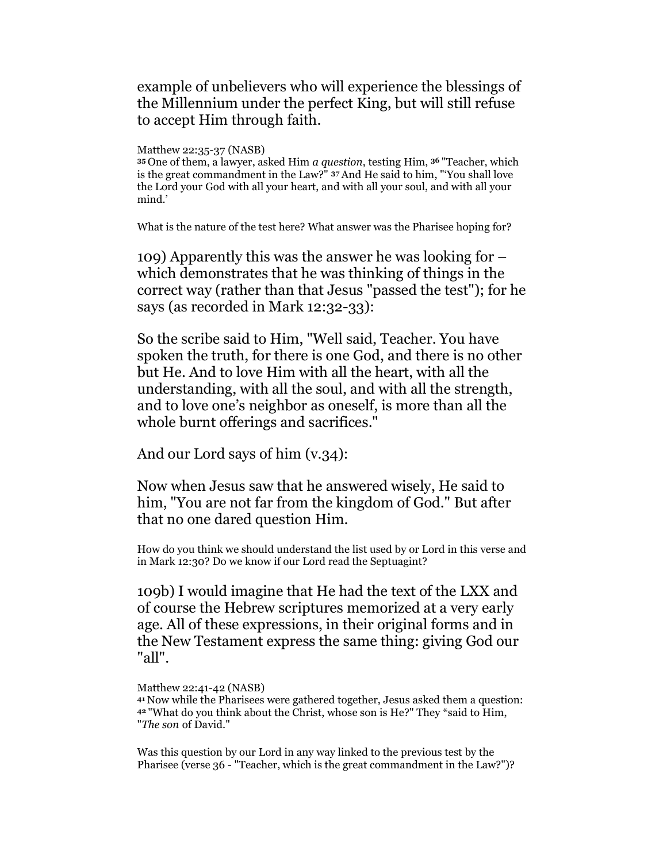# example of unbelievers who will experience the blessings of the Millennium under the perfect King, but will still refuse to accept Him through faith.

Matthew 22:35-37 (NASB)

<sup>35</sup>One of them, a lawyer, asked Him a question, testing Him, 36 "Teacher, which is the great commandment in the Law?" 37 And He said to him, "'You shall love the Lord your God with all your heart, and with all your soul, and with all your mind.'

What is the nature of the test here? What answer was the Pharisee hoping for?

109) Apparently this was the answer he was looking for – which demonstrates that he was thinking of things in the correct way (rather than that Jesus "passed the test"); for he says (as recorded in Mark 12:32-33):

So the scribe said to Him, "Well said, Teacher. You have spoken the truth, for there is one God, and there is no other but He. And to love Him with all the heart, with all the understanding, with all the soul, and with all the strength, and to love one's neighbor as oneself, is more than all the whole burnt offerings and sacrifices."

And our Lord says of him (v.34):

Now when Jesus saw that he answered wisely, He said to him, "You are not far from the kingdom of God." But after that no one dared question Him.

How do you think we should understand the list used by or Lord in this verse and in Mark 12:30? Do we know if our Lord read the Septuagint?

109b) I would imagine that He had the text of the LXX and of course the Hebrew scriptures memorized at a very early age. All of these expressions, in their original forms and in the New Testament express the same thing: giving God our "all".

Matthew 22:41-42 (NASB)

<sup>41</sup>Now while the Pharisees were gathered together, Jesus asked them a question: <sup>42</sup>"What do you think about the Christ, whose son is He?" They \*said to Him, "The son of David."

Was this question by our Lord in any way linked to the previous test by the Pharisee (verse 36 - "Teacher, which is the great commandment in the Law?")?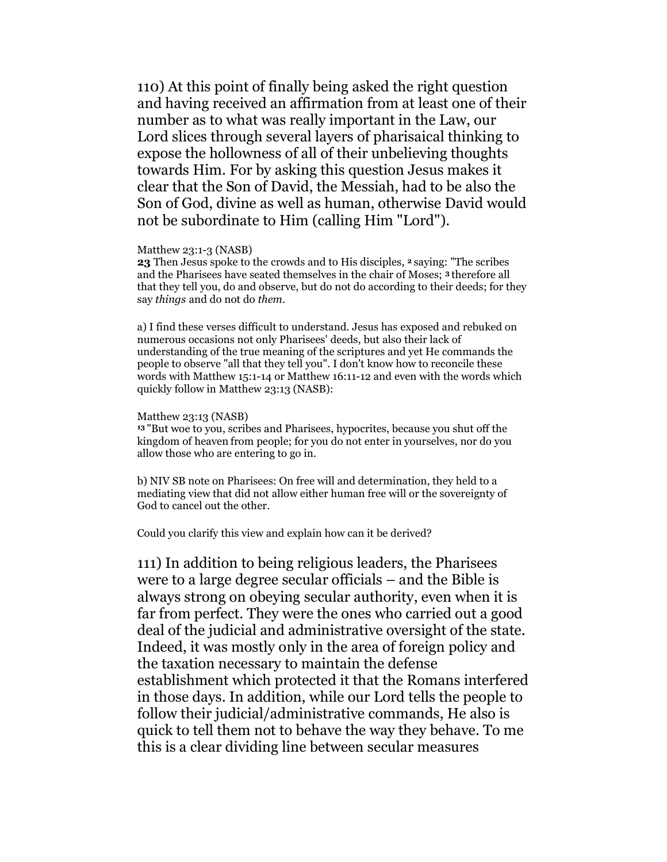110) At this point of finally being asked the right question and having received an affirmation from at least one of their number as to what was really important in the Law, our Lord slices through several layers of pharisaical thinking to expose the hollowness of all of their unbelieving thoughts towards Him. For by asking this question Jesus makes it clear that the Son of David, the Messiah, had to be also the Son of God, divine as well as human, otherwise David would not be subordinate to Him (calling Him "Lord").

#### Matthew 23:1-3 (NASB)

23 Then Jesus spoke to the crowds and to His disciples,  $2$  saying: "The scribes and the Pharisees have seated themselves in the chair of Moses; 3 therefore all that they tell you, do and observe, but do not do according to their deeds; for they say things and do not do them.

a) I find these verses difficult to understand. Jesus has exposed and rebuked on numerous occasions not only Pharisees' deeds, but also their lack of understanding of the true meaning of the scriptures and yet He commands the people to observe "all that they tell you". I don't know how to reconcile these words with Matthew 15:1-14 or Matthew 16:11-12 and even with the words which quickly follow in Matthew 23:13 (NASB):

#### Matthew 23:13 (NASB)

<sup>13</sup>"But woe to you, scribes and Pharisees, hypocrites, because you shut off the kingdom of heaven from people; for you do not enter in yourselves, nor do you allow those who are entering to go in.

b) NIV SB note on Pharisees: On free will and determination, they held to a mediating view that did not allow either human free will or the sovereignty of God to cancel out the other.

Could you clarify this view and explain how can it be derived?

111) In addition to being religious leaders, the Pharisees were to a large degree secular officials – and the Bible is always strong on obeying secular authority, even when it is far from perfect. They were the ones who carried out a good deal of the judicial and administrative oversight of the state. Indeed, it was mostly only in the area of foreign policy and the taxation necessary to maintain the defense establishment which protected it that the Romans interfered in those days. In addition, while our Lord tells the people to follow their judicial/administrative commands, He also is quick to tell them not to behave the way they behave. To me this is a clear dividing line between secular measures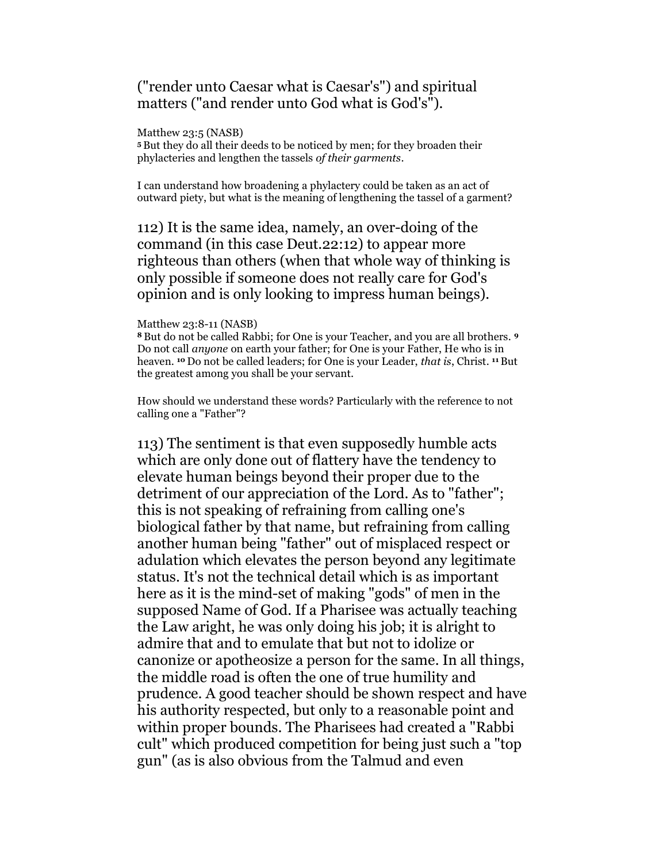# ("render unto Caesar what is Caesar's") and spiritual matters ("and render unto God what is God's").

#### Matthew 23:5 (NASB)

<sup>5</sup>But they do all their deeds to be noticed by men; for they broaden their phylacteries and lengthen the tassels of their garments.

I can understand how broadening a phylactery could be taken as an act of outward piety, but what is the meaning of lengthening the tassel of a garment?

112) It is the same idea, namely, an over-doing of the command (in this case Deut.22:12) to appear more righteous than others (when that whole way of thinking is only possible if someone does not really care for God's opinion and is only looking to impress human beings).

### Matthew 23:8-11 (NASB)

8 But do not be called Rabbi; for One is your Teacher, and you are all brothers. 9 Do not call anyone on earth your father; for One is your Father, He who is in heaven. 10 Do not be called leaders; for One is your Leader, that is, Christ. 11 But the greatest among you shall be your servant.

How should we understand these words? Particularly with the reference to not calling one a "Father"?

113) The sentiment is that even supposedly humble acts which are only done out of flattery have the tendency to elevate human beings beyond their proper due to the detriment of our appreciation of the Lord. As to "father"; this is not speaking of refraining from calling one's biological father by that name, but refraining from calling another human being "father" out of misplaced respect or adulation which elevates the person beyond any legitimate status. It's not the technical detail which is as important here as it is the mind-set of making "gods" of men in the supposed Name of God. If a Pharisee was actually teaching the Law aright, he was only doing his job; it is alright to admire that and to emulate that but not to idolize or canonize or apotheosize a person for the same. In all things, the middle road is often the one of true humility and prudence. A good teacher should be shown respect and have his authority respected, but only to a reasonable point and within proper bounds. The Pharisees had created a "Rabbi cult" which produced competition for being just such a "top gun" (as is also obvious from the Talmud and even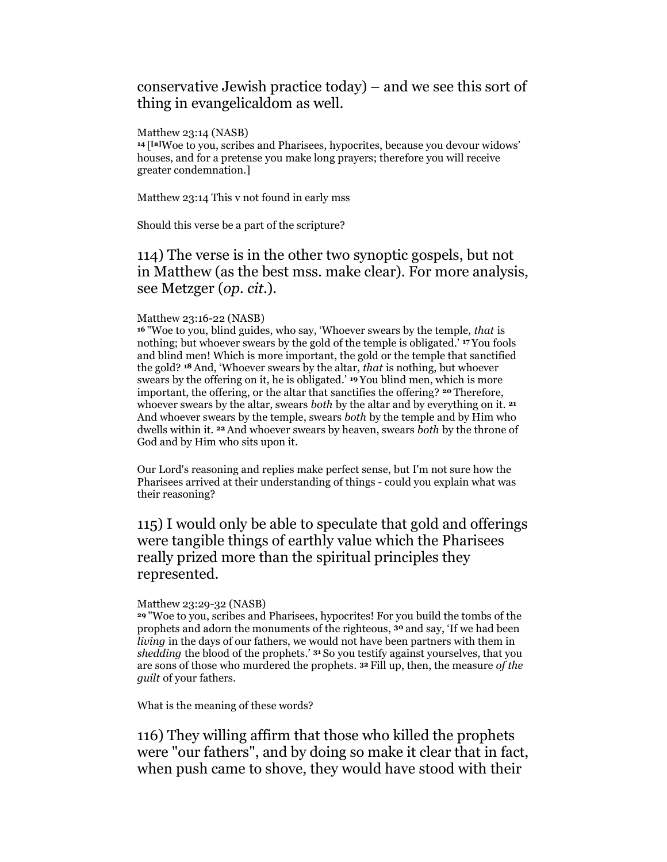## conservative Jewish practice today) – and we see this sort of thing in evangelicaldom as well.

### Matthew 23:14 (NASB)

<sup>14</sup>[ [a]Woe to you, scribes and Pharisees, hypocrites, because you devour widows' houses, and for a pretense you make long prayers; therefore you will receive greater condemnation.]

Matthew 23:14 This v not found in early mss

Should this verse be a part of the scripture?

# 114) The verse is in the other two synoptic gospels, but not in Matthew (as the best mss. make clear). For more analysis, see Metzger (op. cit.).

### Matthew 23:16-22 (NASB)

<sup>16</sup>"Woe to you, blind guides, who say, 'Whoever swears by the temple, that is nothing; but whoever swears by the gold of the temple is obligated.' 17 You fools and blind men! Which is more important, the gold or the temple that sanctified the gold? 18 And, 'Whoever swears by the altar, that is nothing, but whoever swears by the offering on it, he is obligated.' 19 You blind men, which is more important, the offering, or the altar that sanctifies the offering? 20 Therefore, whoever swears by the altar, swears both by the altar and by everything on it.  $2<sup>1</sup>$ And whoever swears by the temple, swears both by the temple and by Him who dwells within it. <sup>22</sup> And whoever swears by heaven, swears both by the throne of God and by Him who sits upon it.

Our Lord's reasoning and replies make perfect sense, but I'm not sure how the Pharisees arrived at their understanding of things - could you explain what was their reasoning?

# 115) I would only be able to speculate that gold and offerings were tangible things of earthly value which the Pharisees really prized more than the spiritual principles they represented.

### Matthew 23:29-32 (NASB)

<sup>29</sup>"Woe to you, scribes and Pharisees, hypocrites! For you build the tombs of the prophets and adorn the monuments of the righteous, 30 and say, 'If we had been living in the days of our fathers, we would not have been partners with them in shedding the blood of the prophets.' <sup>31</sup> So you testify against yourselves, that you are sons of those who murdered the prophets. 32 Fill up, then, the measure of the guilt of your fathers.

What is the meaning of these words?

116) They willing affirm that those who killed the prophets were "our fathers", and by doing so make it clear that in fact, when push came to shove, they would have stood with their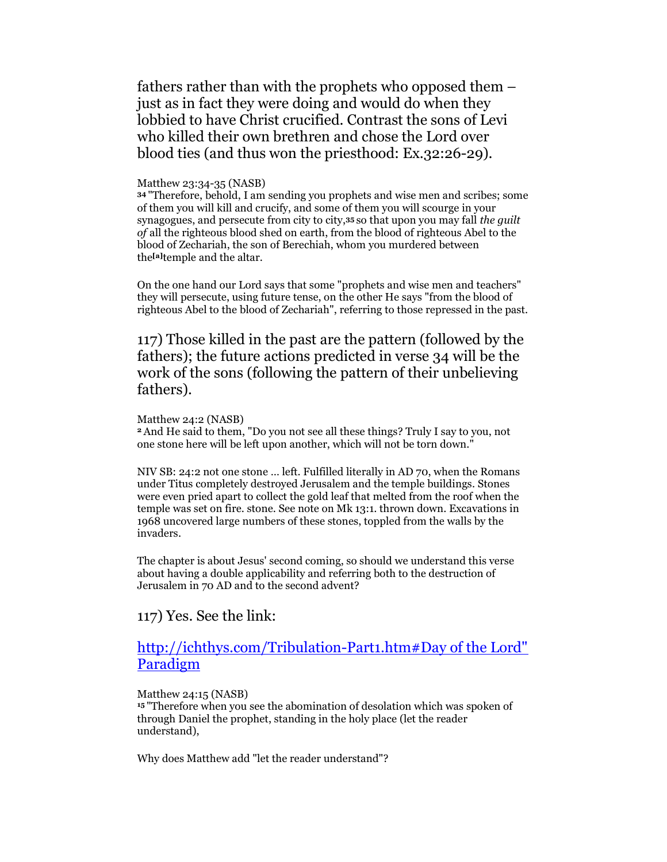fathers rather than with the prophets who opposed them – just as in fact they were doing and would do when they lobbied to have Christ crucified. Contrast the sons of Levi who killed their own brethren and chose the Lord over blood ties (and thus won the priesthood: Ex.32:26-29).

#### Matthew 23:34-35 (NASB)

<sup>34</sup>"Therefore, behold, I am sending you prophets and wise men and scribes; some of them you will kill and crucify, and some of them you will scourge in your synagogues, and persecute from city to city,35 so that upon you may fall the guilt of all the righteous blood shed on earth, from the blood of righteous Abel to the blood of Zechariah, the son of Berechiah, whom you murdered between the<sup>[a]</sup>temple and the altar.

On the one hand our Lord says that some "prophets and wise men and teachers" they will persecute, using future tense, on the other He says "from the blood of righteous Abel to the blood of Zechariah", referring to those repressed in the past.

117) Those killed in the past are the pattern (followed by the fathers); the future actions predicted in verse 34 will be the work of the sons (following the pattern of their unbelieving fathers).

#### Matthew 24:2 (NASB)

<sup>2</sup>And He said to them, "Do you not see all these things? Truly I say to you, not one stone here will be left upon another, which will not be torn down."

NIV SB: 24:2 not one stone … left. Fulfilled literally in AD 70, when the Romans under Titus completely destroyed Jerusalem and the temple buildings. Stones were even pried apart to collect the gold leaf that melted from the roof when the temple was set on fire. stone. See note on Mk 13:1. thrown down. Excavations in 1968 uncovered large numbers of these stones, toppled from the walls by the invaders.

The chapter is about Jesus' second coming, so should we understand this verse about having a double applicability and referring both to the destruction of Jerusalem in 70 AD and to the second advent?

### 117) Yes. See the link:

## http://ichthys.com/Tribulation-Part1.htm#Day of the Lord" Paradigm

### Matthew 24:15 (NASB)

<sup>15</sup>"Therefore when you see the abomination of desolation which was spoken of through Daniel the prophet, standing in the holy place (let the reader understand),

Why does Matthew add "let the reader understand"?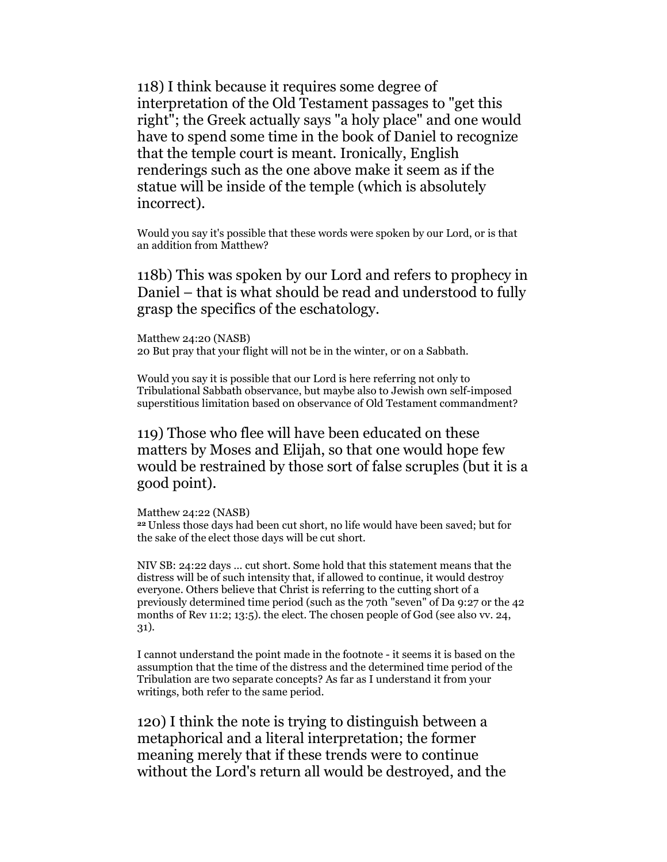118) I think because it requires some degree of interpretation of the Old Testament passages to "get this right"; the Greek actually says "a holy place" and one would have to spend some time in the book of Daniel to recognize that the temple court is meant. Ironically, English renderings such as the one above make it seem as if the statue will be inside of the temple (which is absolutely incorrect).

Would you say it's possible that these words were spoken by our Lord, or is that an addition from Matthew?

118b) This was spoken by our Lord and refers to prophecy in Daniel – that is what should be read and understood to fully grasp the specifics of the eschatology.

Matthew 24:20 (NASB) 20 But pray that your flight will not be in the winter, or on a Sabbath.

Would you say it is possible that our Lord is here referring not only to Tribulational Sabbath observance, but maybe also to Jewish own self-imposed superstitious limitation based on observance of Old Testament commandment?

119) Those who flee will have been educated on these matters by Moses and Elijah, so that one would hope few would be restrained by those sort of false scruples (but it is a good point).

Matthew 24:22 (NASB)

<sup>22</sup>Unless those days had been cut short, no life would have been saved; but for the sake of the elect those days will be cut short.

NIV SB: 24:22 days … cut short. Some hold that this statement means that the distress will be of such intensity that, if allowed to continue, it would destroy everyone. Others believe that Christ is referring to the cutting short of a previously determined time period (such as the 70th "seven" of Da 9:27 or the 42 months of Rev 11:2; 13:5). the elect. The chosen people of God (see also vv. 24, 31).

I cannot understand the point made in the footnote - it seems it is based on the assumption that the time of the distress and the determined time period of the Tribulation are two separate concepts? As far as I understand it from your writings, both refer to the same period.

120) I think the note is trying to distinguish between a metaphorical and a literal interpretation; the former meaning merely that if these trends were to continue without the Lord's return all would be destroyed, and the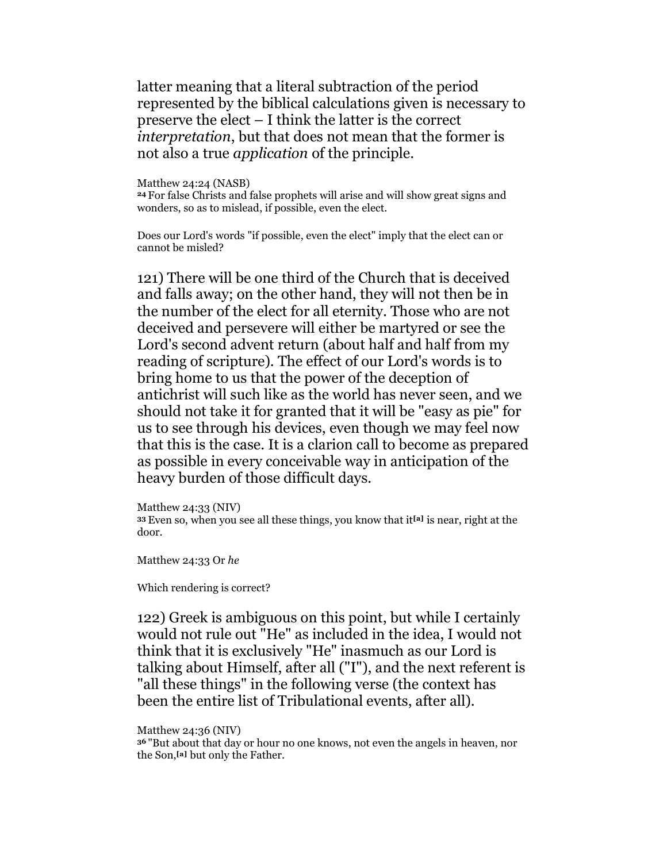latter meaning that a literal subtraction of the period represented by the biblical calculations given is necessary to preserve the elect – I think the latter is the correct interpretation, but that does not mean that the former is not also a true *application* of the principle.

Matthew 24:24 (NASB) <sup>24</sup>For false Christs and false prophets will arise and will show great signs and wonders, so as to mislead, if possible, even the elect.

Does our Lord's words "if possible, even the elect" imply that the elect can or cannot be misled?

121) There will be one third of the Church that is deceived and falls away; on the other hand, they will not then be in the number of the elect for all eternity. Those who are not deceived and persevere will either be martyred or see the Lord's second advent return (about half and half from my reading of scripture). The effect of our Lord's words is to bring home to us that the power of the deception of antichrist will such like as the world has never seen, and we should not take it for granted that it will be "easy as pie" for us to see through his devices, even though we may feel now that this is the case. It is a clarion call to become as prepared as possible in every conceivable way in anticipation of the heavy burden of those difficult days.

Matthew 24:33 (NIV) 33 Even so, when you see all these things, you know that it<sup>[a]</sup> is near, right at the door.

Matthew 24:33 Or he

Which rendering is correct?

122) Greek is ambiguous on this point, but while I certainly would not rule out "He" as included in the idea, I would not think that it is exclusively "He" inasmuch as our Lord is talking about Himself, after all ("I"), and the next referent is "all these things" in the following verse (the context has been the entire list of Tribulational events, after all).

Matthew 24:36 (NIV)

<sup>36</sup>"But about that day or hour no one knows, not even the angels in heaven, nor the Son,[a] but only the Father.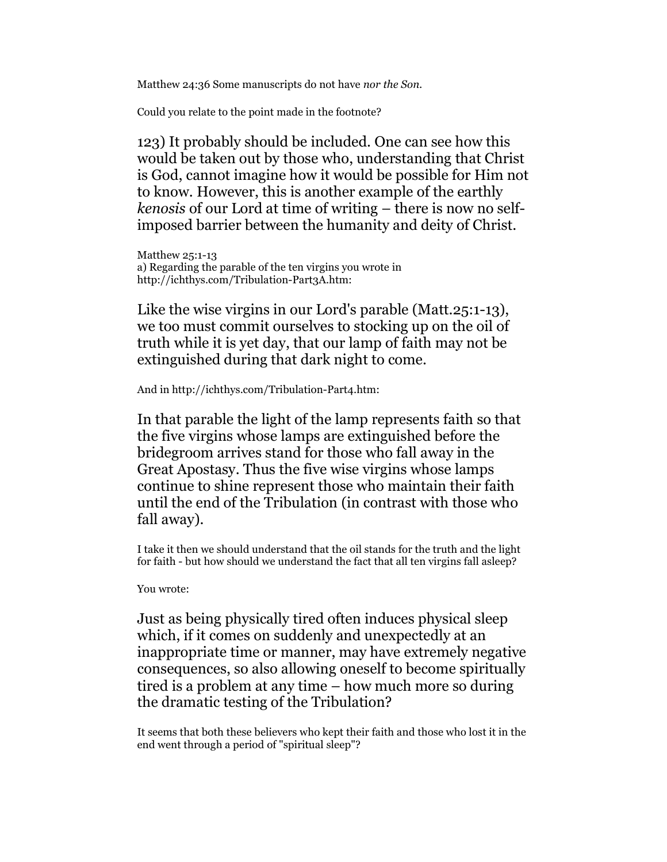Matthew 24:36 Some manuscripts do not have nor the Son.

Could you relate to the point made in the footnote?

123) It probably should be included. One can see how this would be taken out by those who, understanding that Christ is God, cannot imagine how it would be possible for Him not to know. However, this is another example of the earthly kenosis of our Lord at time of writing – there is now no selfimposed barrier between the humanity and deity of Christ.

Matthew 25:1-13 a) Regarding the parable of the ten virgins you wrote in http://ichthys.com/Tribulation-Part3A.htm:

Like the wise virgins in our Lord's parable (Matt.25:1-13), we too must commit ourselves to stocking up on the oil of truth while it is yet day, that our lamp of faith may not be extinguished during that dark night to come.

And in http://ichthys.com/Tribulation-Part4.htm:

In that parable the light of the lamp represents faith so that the five virgins whose lamps are extinguished before the bridegroom arrives stand for those who fall away in the Great Apostasy. Thus the five wise virgins whose lamps continue to shine represent those who maintain their faith until the end of the Tribulation (in contrast with those who fall away).

I take it then we should understand that the oil stands for the truth and the light for faith - but how should we understand the fact that all ten virgins fall asleep?

### You wrote:

Just as being physically tired often induces physical sleep which, if it comes on suddenly and unexpectedly at an inappropriate time or manner, may have extremely negative consequences, so also allowing oneself to become spiritually tired is a problem at any time – how much more so during the dramatic testing of the Tribulation?

It seems that both these believers who kept their faith and those who lost it in the end went through a period of "spiritual sleep"?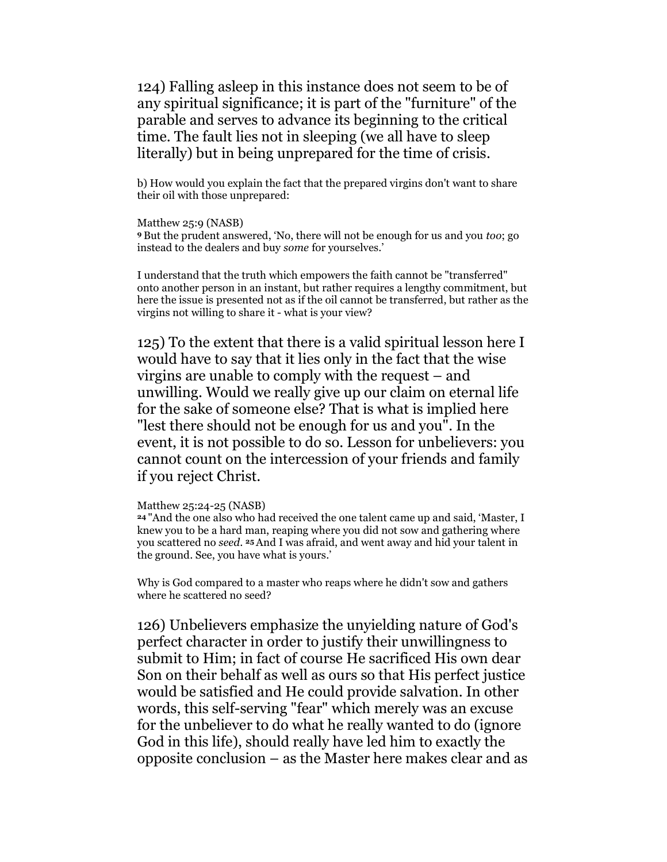124) Falling asleep in this instance does not seem to be of any spiritual significance; it is part of the "furniture" of the parable and serves to advance its beginning to the critical time. The fault lies not in sleeping (we all have to sleep literally) but in being unprepared for the time of crisis.

b) How would you explain the fact that the prepared virgins don't want to share their oil with those unprepared:

Matthew 25:9 (NASB) <sup>9</sup>But the prudent answered, 'No, there will not be enough for us and you too; go instead to the dealers and buy some for yourselves.'

I understand that the truth which empowers the faith cannot be "transferred" onto another person in an instant, but rather requires a lengthy commitment, but here the issue is presented not as if the oil cannot be transferred, but rather as the virgins not willing to share it - what is your view?

125) To the extent that there is a valid spiritual lesson here I would have to say that it lies only in the fact that the wise virgins are unable to comply with the request – and unwilling. Would we really give up our claim on eternal life for the sake of someone else? That is what is implied here "lest there should not be enough for us and you". In the event, it is not possible to do so. Lesson for unbelievers: you cannot count on the intercession of your friends and family if you reject Christ.

Matthew 25:24-25 (NASB)

<sup>24</sup>"And the one also who had received the one talent came up and said, 'Master, I knew you to be a hard man, reaping where you did not sow and gathering where you scattered no seed. 25 And I was afraid, and went away and hid your talent in the ground. See, you have what is yours.'

Why is God compared to a master who reaps where he didn't sow and gathers where he scattered no seed?

126) Unbelievers emphasize the unyielding nature of God's perfect character in order to justify their unwillingness to submit to Him; in fact of course He sacrificed His own dear Son on their behalf as well as ours so that His perfect justice would be satisfied and He could provide salvation. In other words, this self-serving "fear" which merely was an excuse for the unbeliever to do what he really wanted to do (ignore God in this life), should really have led him to exactly the opposite conclusion – as the Master here makes clear and as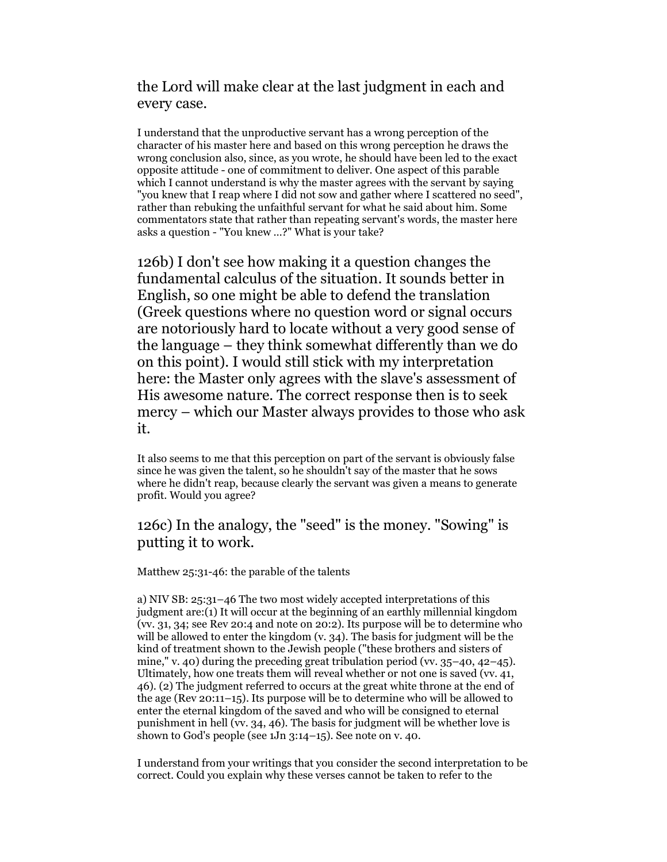# the Lord will make clear at the last judgment in each and every case.

I understand that the unproductive servant has a wrong perception of the character of his master here and based on this wrong perception he draws the wrong conclusion also, since, as you wrote, he should have been led to the exact opposite attitude - one of commitment to deliver. One aspect of this parable which I cannot understand is why the master agrees with the servant by saying "you knew that I reap where I did not sow and gather where I scattered no seed", rather than rebuking the unfaithful servant for what he said about him. Some commentators state that rather than repeating servant's words, the master here asks a question - "You knew …?" What is your take?

126b) I don't see how making it a question changes the fundamental calculus of the situation. It sounds better in English, so one might be able to defend the translation (Greek questions where no question word or signal occurs are notoriously hard to locate without a very good sense of the language – they think somewhat differently than we do on this point). I would still stick with my interpretation here: the Master only agrees with the slave's assessment of His awesome nature. The correct response then is to seek mercy – which our Master always provides to those who ask it.

It also seems to me that this perception on part of the servant is obviously false since he was given the talent, so he shouldn't say of the master that he sows where he didn't reap, because clearly the servant was given a means to generate profit. Would you agree?

## 126c) In the analogy, the "seed" is the money. "Sowing" is putting it to work.

Matthew 25:31-46: the parable of the talents

a) NIV SB: 25:31–46 The two most widely accepted interpretations of this judgment are:(1) It will occur at the beginning of an earthly millennial kingdom (vv. 31, 34; see Rev 20:4 and note on 20:2). Its purpose will be to determine who will be allowed to enter the kingdom (v. 34). The basis for judgment will be the kind of treatment shown to the Jewish people ("these brothers and sisters of mine," v. 40) during the preceding great tribulation period (vv. 35-40, 42-45). Ultimately, how one treats them will reveal whether or not one is saved (vv. 41, 46). (2) The judgment referred to occurs at the great white throne at the end of the age (Rev 20:11–15). Its purpose will be to determine who will be allowed to enter the eternal kingdom of the saved and who will be consigned to eternal punishment in hell (vv. 34, 46). The basis for judgment will be whether love is shown to God's people (see 1Jn 3:14–15). See note on v. 40.

I understand from your writings that you consider the second interpretation to be correct. Could you explain why these verses cannot be taken to refer to the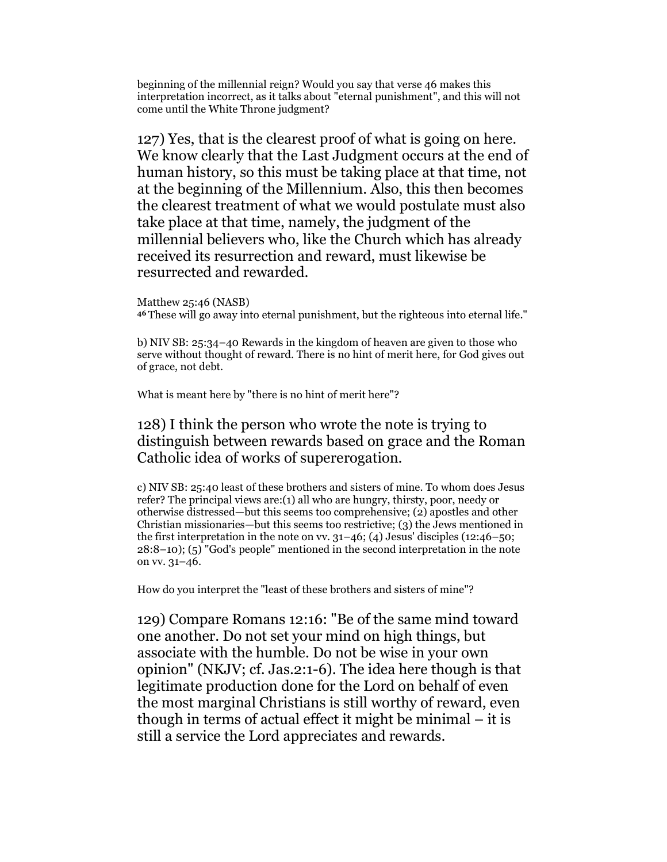beginning of the millennial reign? Would you say that verse 46 makes this interpretation incorrect, as it talks about "eternal punishment", and this will not come until the White Throne judgment?

127) Yes, that is the clearest proof of what is going on here. We know clearly that the Last Judgment occurs at the end of human history, so this must be taking place at that time, not at the beginning of the Millennium. Also, this then becomes the clearest treatment of what we would postulate must also take place at that time, namely, the judgment of the millennial believers who, like the Church which has already received its resurrection and reward, must likewise be resurrected and rewarded.

Matthew 25:46 (NASB) <sup>46</sup>These will go away into eternal punishment, but the righteous into eternal life."

b) NIV SB: 25:34–40 Rewards in the kingdom of heaven are given to those who serve without thought of reward. There is no hint of merit here, for God gives out of grace, not debt.

What is meant here by "there is no hint of merit here"?

## 128) I think the person who wrote the note is trying to distinguish between rewards based on grace and the Roman Catholic idea of works of supererogation.

c) NIV SB: 25:40 least of these brothers and sisters of mine. To whom does Jesus refer? The principal views are:(1) all who are hungry, thirsty, poor, needy or otherwise distressed—but this seems too comprehensive; (2) apostles and other Christian missionaries—but this seems too restrictive; (3) the Jews mentioned in the first interpretation in the note on vv.  $31-46$ ; (4) Jesus' disciples (12:46–50; 28:8–10); (5) "God's people" mentioned in the second interpretation in the note on vv. 31–46.

How do you interpret the "least of these brothers and sisters of mine"?

129) Compare Romans 12:16: "Be of the same mind toward one another. Do not set your mind on high things, but associate with the humble. Do not be wise in your own opinion" (NKJV; cf. Jas.2:1-6). The idea here though is that legitimate production done for the Lord on behalf of even the most marginal Christians is still worthy of reward, even though in terms of actual effect it might be minimal – it is still a service the Lord appreciates and rewards.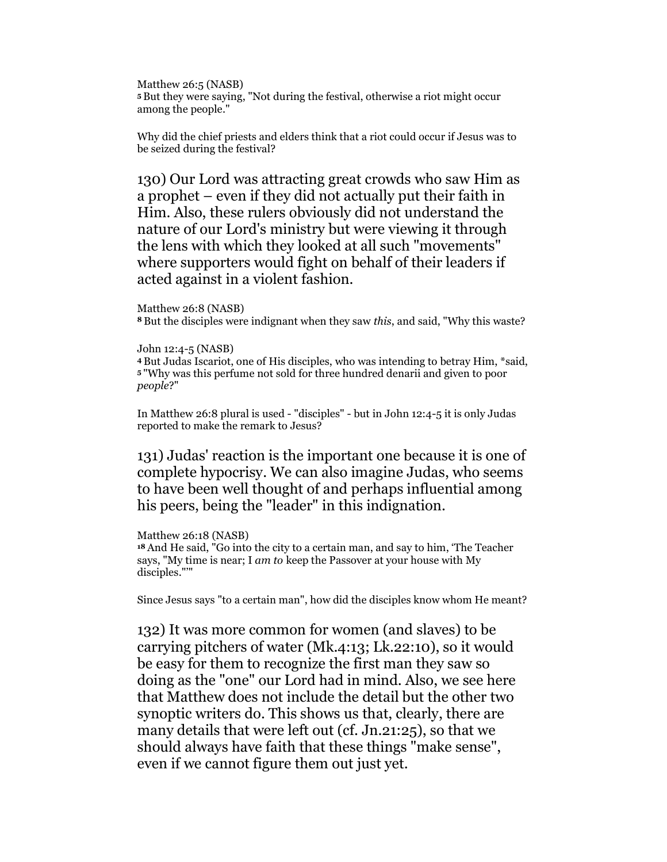Matthew 26:5 (NASB) <sup>5</sup>But they were saying, "Not during the festival, otherwise a riot might occur among the people."

Why did the chief priests and elders think that a riot could occur if Jesus was to be seized during the festival?

130) Our Lord was attracting great crowds who saw Him as a prophet – even if they did not actually put their faith in Him. Also, these rulers obviously did not understand the nature of our Lord's ministry but were viewing it through the lens with which they looked at all such "movements" where supporters would fight on behalf of their leaders if acted against in a violent fashion.

```
Matthew 26:8 (NASB)
```
<sup>8</sup>But the disciples were indignant when they saw this, and said, "Why this waste?

```
John 12:4-5 (NASB)
```
<sup>4</sup>But Judas Iscariot, one of His disciples, who was intending to betray Him, \*said, <sup>5</sup>"Why was this perfume not sold for three hundred denarii and given to poor people?"

In Matthew 26:8 plural is used - "disciples" - but in John 12:4-5 it is only Judas reported to make the remark to Jesus?

131) Judas' reaction is the important one because it is one of complete hypocrisy. We can also imagine Judas, who seems to have been well thought of and perhaps influential among his peers, being the "leader" in this indignation.

### Matthew 26:18 (NASB)

<sup>18</sup>And He said, "Go into the city to a certain man, and say to him, 'The Teacher says, "My time is near; I am to keep the Passover at your house with My disciples."'"

Since Jesus says "to a certain man", how did the disciples know whom He meant?

132) It was more common for women (and slaves) to be carrying pitchers of water (Mk.4:13; Lk.22:10), so it would be easy for them to recognize the first man they saw so doing as the "one" our Lord had in mind. Also, we see here that Matthew does not include the detail but the other two synoptic writers do. This shows us that, clearly, there are many details that were left out (cf. Jn.21:25), so that we should always have faith that these things "make sense", even if we cannot figure them out just yet.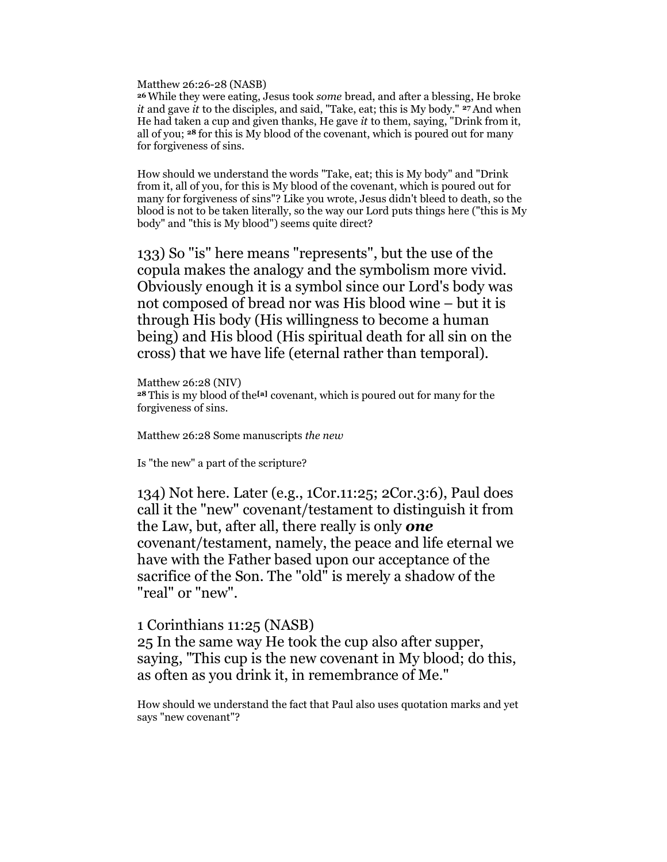Matthew 26:26-28 (NASB)

<sup>26</sup>While they were eating, Jesus took some bread, and after a blessing, He broke it and gave it to the disciples, and said, "Take, eat; this is My body."  $27$  And when He had taken a cup and given thanks, He gave  $it$  to them, saying, "Drink from it, all of you; 28 for this is My blood of the covenant, which is poured out for many for forgiveness of sins.

How should we understand the words "Take, eat; this is My body" and "Drink from it, all of you, for this is My blood of the covenant, which is poured out for many for forgiveness of sins"? Like you wrote, Jesus didn't bleed to death, so the blood is not to be taken literally, so the way our Lord puts things here ("this is My body" and "this is My blood") seems quite direct?

133) So "is" here means "represents", but the use of the copula makes the analogy and the symbolism more vivid. Obviously enough it is a symbol since our Lord's body was not composed of bread nor was His blood wine – but it is through His body (His willingness to become a human being) and His blood (His spiritual death for all sin on the cross) that we have life (eternal rather than temporal).

Matthew 26:28 (NIV) <sup>28</sup> This is my blood of the<sup>[a]</sup> covenant, which is poured out for many for the forgiveness of sins.

Matthew 26:28 Some manuscripts the new

Is "the new" a part of the scripture?

134) Not here. Later (e.g., 1Cor.11:25; 2Cor.3:6), Paul does call it the "new" covenant/testament to distinguish it from the Law, but, after all, there really is only **one** covenant/testament, namely, the peace and life eternal we have with the Father based upon our acceptance of the sacrifice of the Son. The "old" is merely a shadow of the "real" or "new".

### 1 Corinthians 11:25 (NASB)

25 In the same way He took the cup also after supper, saying, "This cup is the new covenant in My blood; do this, as often as you drink it, in remembrance of Me."

How should we understand the fact that Paul also uses quotation marks and yet says "new covenant"?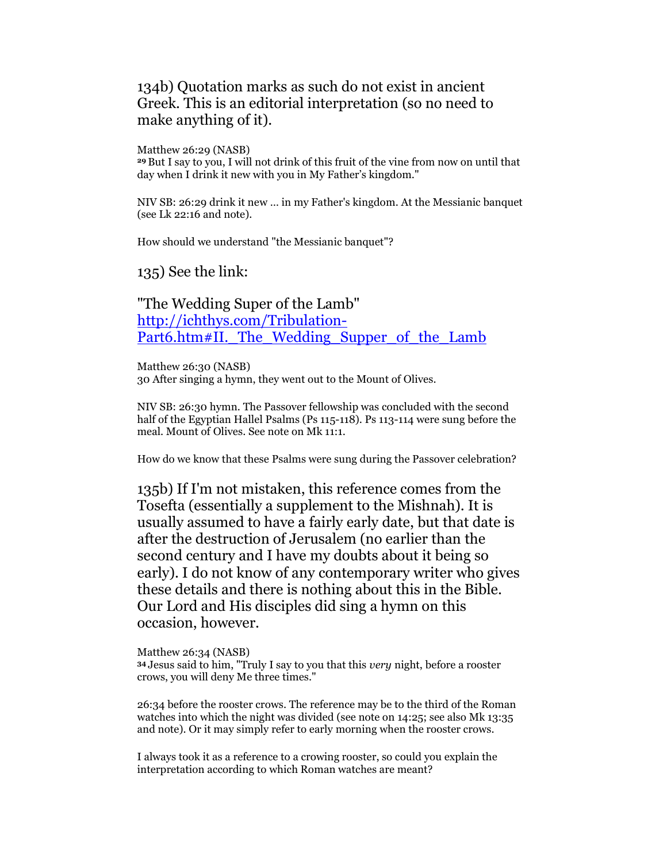## 134b) Quotation marks as such do not exist in ancient Greek. This is an editorial interpretation (so no need to make anything of it).

Matthew 26:29 (NASB)

<sup>29</sup>But I say to you, I will not drink of this fruit of the vine from now on until that day when I drink it new with you in My Father's kingdom."

NIV SB: 26:29 drink it new … in my Father's kingdom. At the Messianic banquet (see Lk 22:16 and note).

How should we understand "the Messianic banquet"?

135) See the link:

"The Wedding Super of the Lamb" http://ichthys.com/Tribulation-Part6.htm#II. The Wedding Supper of the Lamb

Matthew 26:30 (NASB) 30 After singing a hymn, they went out to the Mount of Olives.

NIV SB: 26:30 hymn. The Passover fellowship was concluded with the second half of the Egyptian Hallel Psalms (Ps 115-118). Ps 113-114 were sung before the meal. Mount of Olives. See note on Mk 11:1.

How do we know that these Psalms were sung during the Passover celebration?

135b) If I'm not mistaken, this reference comes from the Tosefta (essentially a supplement to the Mishnah). It is usually assumed to have a fairly early date, but that date is after the destruction of Jerusalem (no earlier than the second century and I have my doubts about it being so early). I do not know of any contemporary writer who gives these details and there is nothing about this in the Bible. Our Lord and His disciples did sing a hymn on this occasion, however.

Matthew 26:34 (NASB) <sup>34</sup>Jesus said to him, "Truly I say to you that this very night, before a rooster crows, you will deny Me three times."

26:34 before the rooster crows. The reference may be to the third of the Roman watches into which the night was divided (see note on 14:25; see also Mk 13:35 and note). Or it may simply refer to early morning when the rooster crows.

I always took it as a reference to a crowing rooster, so could you explain the interpretation according to which Roman watches are meant?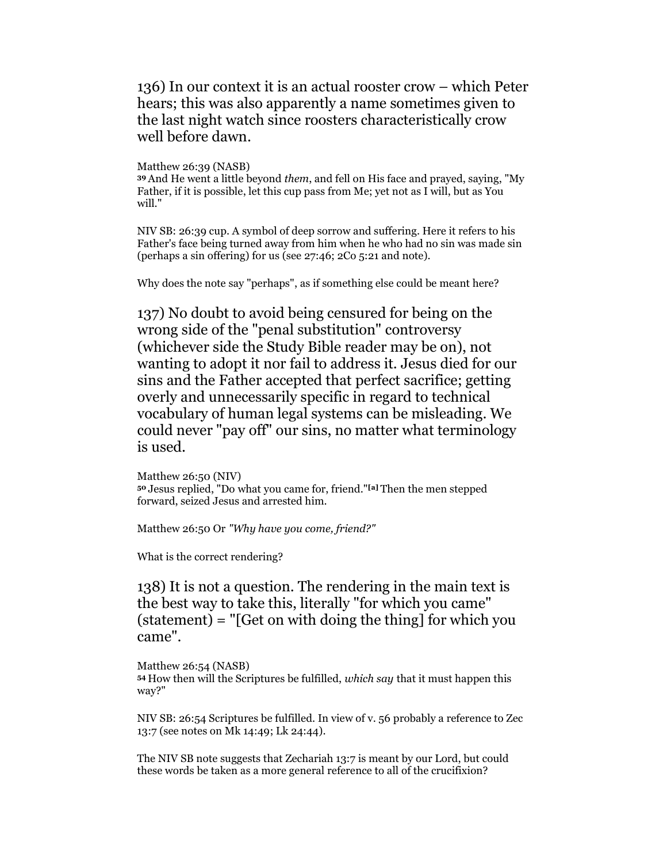136) In our context it is an actual rooster crow – which Peter hears; this was also apparently a name sometimes given to the last night watch since roosters characteristically crow well before dawn.

Matthew 26:39 (NASB)

<sup>39</sup>And He went a little beyond them, and fell on His face and prayed, saying, "My Father, if it is possible, let this cup pass from Me; yet not as I will, but as You will."

NIV SB: 26:39 cup. A symbol of deep sorrow and suffering. Here it refers to his Father's face being turned away from him when he who had no sin was made sin (perhaps a sin offering) for us (see 27:46; 2Co 5:21 and note).

Why does the note say "perhaps", as if something else could be meant here?

137) No doubt to avoid being censured for being on the wrong side of the "penal substitution" controversy (whichever side the Study Bible reader may be on), not wanting to adopt it nor fail to address it. Jesus died for our sins and the Father accepted that perfect sacrifice; getting overly and unnecessarily specific in regard to technical vocabulary of human legal systems can be misleading. We could never "pay off" our sins, no matter what terminology is used.

Matthew 26:50 (NIV) <sup>50</sup>Jesus replied, "Do what you came for, friend."[a] Then the men stepped forward, seized Jesus and arrested him.

Matthew 26:50 Or "Why have you come, friend?"

What is the correct rendering?

138) It is not a question. The rendering in the main text is the best way to take this, literally "for which you came" (statement) = "[Get on with doing the thing] for which you came".

Matthew 26:54 (NASB) <sup>54</sup>How then will the Scriptures be fulfilled, which say that it must happen this way?"

NIV SB: 26:54 Scriptures be fulfilled. In view of v. 56 probably a reference to Zec 13:7 (see notes on Mk 14:49; Lk 24:44).

The NIV SB note suggests that Zechariah 13:7 is meant by our Lord, but could these words be taken as a more general reference to all of the crucifixion?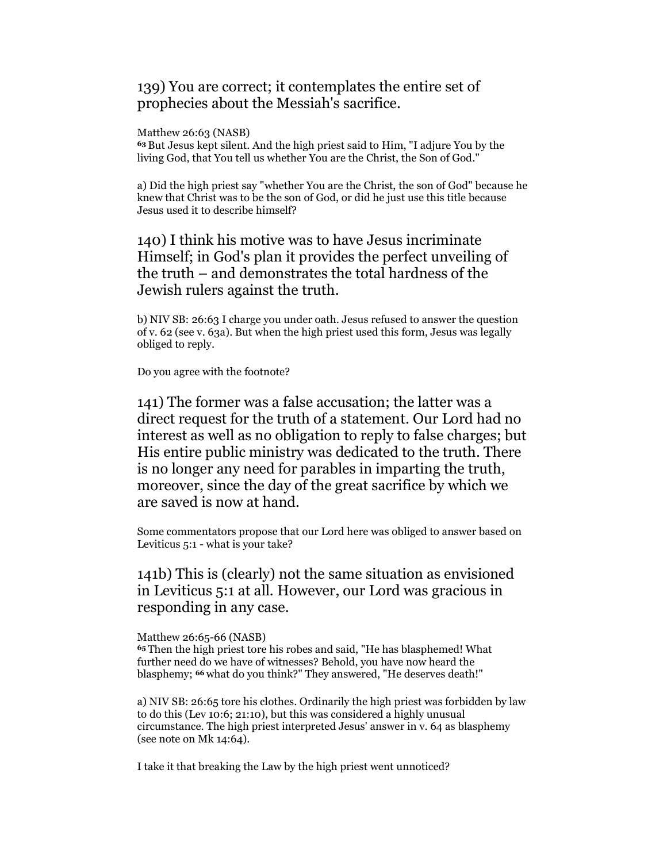## 139) You are correct; it contemplates the entire set of prophecies about the Messiah's sacrifice.

Matthew 26:63 (NASB)

<sup>63</sup>But Jesus kept silent. And the high priest said to Him, "I adjure You by the living God, that You tell us whether You are the Christ, the Son of God."

a) Did the high priest say "whether You are the Christ, the son of God" because he knew that Christ was to be the son of God, or did he just use this title because Jesus used it to describe himself?

140) I think his motive was to have Jesus incriminate Himself; in God's plan it provides the perfect unveiling of the truth – and demonstrates the total hardness of the Jewish rulers against the truth.

b) NIV SB: 26:63 I charge you under oath. Jesus refused to answer the question of v. 62 (see v. 63a). But when the high priest used this form, Jesus was legally obliged to reply.

Do you agree with the footnote?

141) The former was a false accusation; the latter was a direct request for the truth of a statement. Our Lord had no interest as well as no obligation to reply to false charges; but His entire public ministry was dedicated to the truth. There is no longer any need for parables in imparting the truth, moreover, since the day of the great sacrifice by which we are saved is now at hand.

Some commentators propose that our Lord here was obliged to answer based on Leviticus 5:1 - what is your take?

141b) This is (clearly) not the same situation as envisioned in Leviticus 5:1 at all. However, our Lord was gracious in responding in any case.

Matthew 26:65-66 (NASB)

<sup>65</sup>Then the high priest tore his robes and said, "He has blasphemed! What further need do we have of witnesses? Behold, you have now heard the blasphemy; 66 what do you think?" They answered, "He deserves death!"

a) NIV SB: 26:65 tore his clothes. Ordinarily the high priest was forbidden by law to do this (Lev 10:6; 21:10), but this was considered a highly unusual circumstance. The high priest interpreted Jesus' answer in v. 64 as blasphemy (see note on Mk 14:64).

I take it that breaking the Law by the high priest went unnoticed?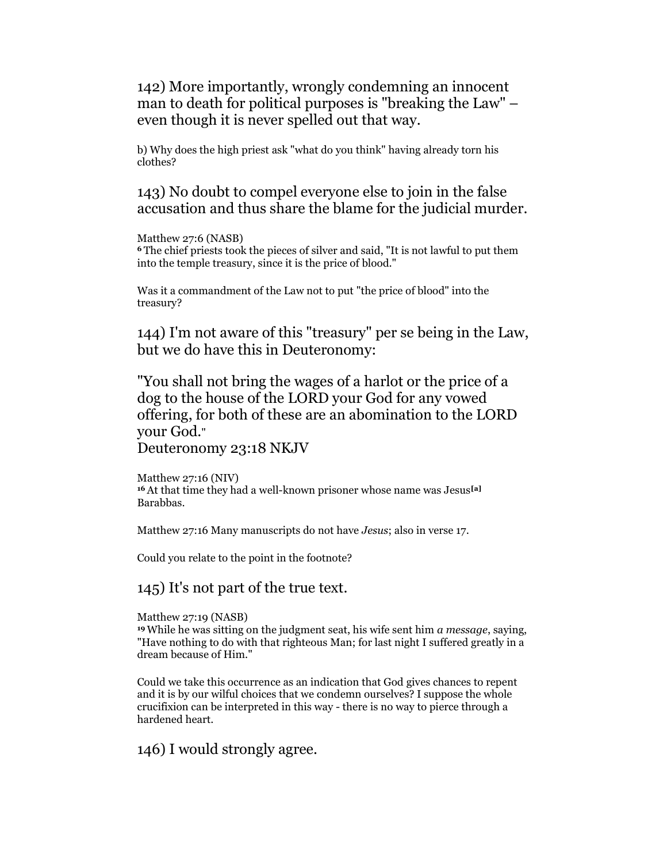142) More importantly, wrongly condemning an innocent man to death for political purposes is "breaking the Law" – even though it is never spelled out that way.

b) Why does the high priest ask "what do you think" having already torn his clothes?

143) No doubt to compel everyone else to join in the false accusation and thus share the blame for the judicial murder.

Matthew 27:6 (NASB)

<sup>6</sup>The chief priests took the pieces of silver and said, "It is not lawful to put them into the temple treasury, since it is the price of blood."

Was it a commandment of the Law not to put "the price of blood" into the treasury?

144) I'm not aware of this "treasury" per se being in the Law, but we do have this in Deuteronomy:

"You shall not bring the wages of a harlot or the price of a dog to the house of the LORD your God for any vowed offering, for both of these are an abomination to the LORD your God."

Deuteronomy 23:18 NKJV

Matthew 27:16 (NIV) <sup>16</sup>At that time they had a well-known prisoner whose name was Jesus[a] Barabbas.

Matthew 27:16 Many manuscripts do not have Jesus; also in verse 17.

Could you relate to the point in the footnote?

145) It's not part of the true text.

Matthew 27:19 (NASB)

<sup>19</sup> While he was sitting on the judgment seat, his wife sent him  $a$  message, saying, "Have nothing to do with that righteous Man; for last night I suffered greatly in a dream because of Him."

Could we take this occurrence as an indication that God gives chances to repent and it is by our wilful choices that we condemn ourselves? I suppose the whole crucifixion can be interpreted in this way - there is no way to pierce through a hardened heart.

146) I would strongly agree.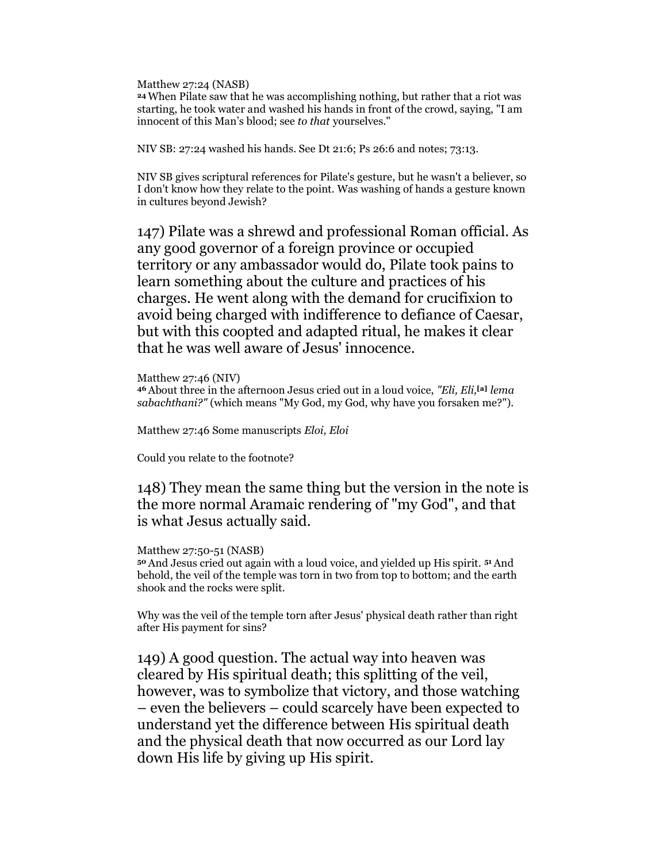Matthew 27:24 (NASB)

<sup>24</sup>When Pilate saw that he was accomplishing nothing, but rather that a riot was starting, he took water and washed his hands in front of the crowd, saying, "I am innocent of this Man's blood; see to that yourselves."

NIV SB: 27:24 washed his hands. See Dt 21:6; Ps 26:6 and notes; 73:13.

NIV SB gives scriptural references for Pilate's gesture, but he wasn't a believer, so I don't know how they relate to the point. Was washing of hands a gesture known in cultures beyond Jewish?

147) Pilate was a shrewd and professional Roman official. As any good governor of a foreign province or occupied territory or any ambassador would do, Pilate took pains to learn something about the culture and practices of his charges. He went along with the demand for crucifixion to avoid being charged with indifference to defiance of Caesar, but with this coopted and adapted ritual, he makes it clear that he was well aware of Jesus' innocence.

Matthew 27:46 (NIV) 46 About three in the afternoon Jesus cried out in a loud voice, "Eli, Eli, [a] lema sabachthani?" (which means "My God, my God, why have you forsaken me?").

Matthew 27:46 Some manuscripts Eloi, Eloi

Could you relate to the footnote?

148) They mean the same thing but the version in the note is the more normal Aramaic rendering of "my God", and that is what Jesus actually said.

#### Matthew 27:50-51 (NASB)

<sup>50</sup>And Jesus cried out again with a loud voice, and yielded up His spirit. 51 And behold, the veil of the temple was torn in two from top to bottom; and the earth shook and the rocks were split.

Why was the veil of the temple torn after Jesus' physical death rather than right after His payment for sins?

149) A good question. The actual way into heaven was cleared by His spiritual death; this splitting of the veil, however, was to symbolize that victory, and those watching – even the believers – could scarcely have been expected to understand yet the difference between His spiritual death and the physical death that now occurred as our Lord lay down His life by giving up His spirit.